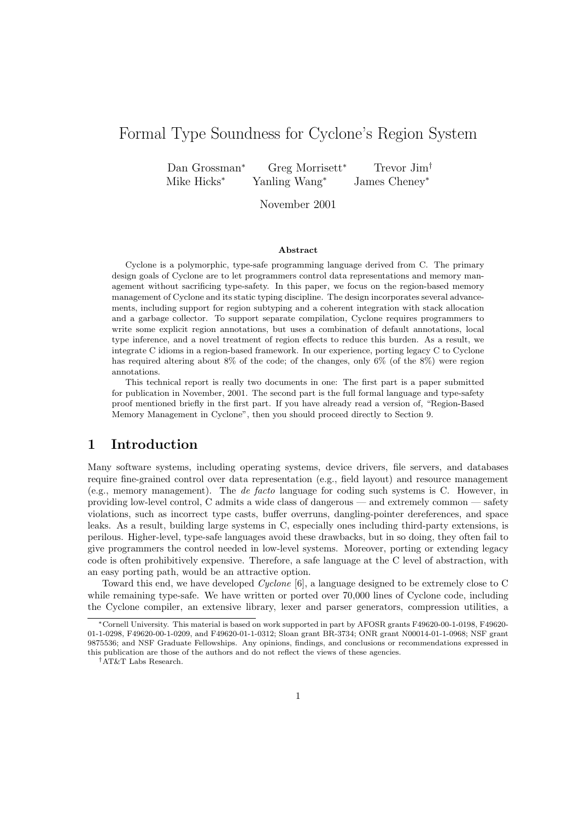# Formal Type Soundness for Cyclone's Region System

Dan Grossman<sup>∗</sup> Greg Morrisett<sup>∗</sup> Trevor Jim† Mike Hicks<sup>∗</sup> Yanling Wang<sup>∗</sup> James Cheney<sup>∗</sup>

November 2001

#### Abstract

Cyclone is a polymorphic, type-safe programming language derived from C. The primary design goals of Cyclone are to let programmers control data representations and memory management without sacrificing type-safety. In this paper, we focus on the region-based memory management of Cyclone and its static typing discipline. The design incorporates several advancements, including support for region subtyping and a coherent integration with stack allocation and a garbage collector. To support separate compilation, Cyclone requires programmers to write some explicit region annotations, but uses a combination of default annotations, local type inference, and a novel treatment of region effects to reduce this burden. As a result, we integrate C idioms in a region-based framework. In our experience, porting legacy C to Cyclone has required altering about 8% of the code; of the changes, only 6% (of the 8%) were region annotations.

This technical report is really two documents in one: The first part is a paper submitted for publication in November, 2001. The second part is the full formal language and type-safety proof mentioned briefly in the first part. If you have already read a version of, "Region-Based Memory Management in Cyclone", then you should proceed directly to Section 9.

# 1 Introduction

Many software systems, including operating systems, device drivers, file servers, and databases require fine-grained control over data representation (e.g., field layout) and resource management (e.g., memory management). The de facto language for coding such systems is C. However, in providing low-level control, C admits a wide class of dangerous — and extremely common — safety violations, such as incorrect type casts, buffer overruns, dangling-pointer dereferences, and space leaks. As a result, building large systems in C, especially ones including third-party extensions, is perilous. Higher-level, type-safe languages avoid these drawbacks, but in so doing, they often fail to give programmers the control needed in low-level systems. Moreover, porting or extending legacy code is often prohibitively expensive. Therefore, a safe language at the C level of abstraction, with an easy porting path, would be an attractive option.

Toward this end, we have developed Cyclone [6], a language designed to be extremely close to C while remaining type-safe. We have written or ported over 70,000 lines of Cyclone code, including the Cyclone compiler, an extensive library, lexer and parser generators, compression utilities, a

<sup>∗</sup>Cornell University. This material is based on work supported in part by AFOSR grants F49620-00-1-0198, F49620- 01-1-0298, F49620-00-1-0209, and F49620-01-1-0312; Sloan grant BR-3734; ONR grant N00014-01-1-0968; NSF grant 9875536; and NSF Graduate Fellowships. Any opinions, findings, and conclusions or recommendations expressed in this publication are those of the authors and do not reflect the views of these agencies.

<sup>†</sup>AT&T Labs Research.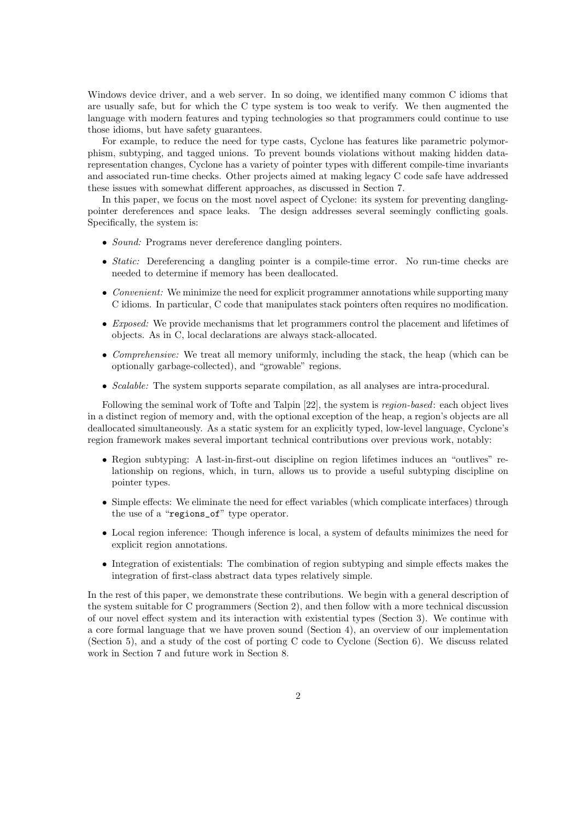Windows device driver, and a web server. In so doing, we identified many common C idioms that are usually safe, but for which the C type system is too weak to verify. We then augmented the language with modern features and typing technologies so that programmers could continue to use those idioms, but have safety guarantees.

For example, to reduce the need for type casts, Cyclone has features like parametric polymorphism, subtyping, and tagged unions. To prevent bounds violations without making hidden datarepresentation changes, Cyclone has a variety of pointer types with different compile-time invariants and associated run-time checks. Other projects aimed at making legacy C code safe have addressed these issues with somewhat different approaches, as discussed in Section 7.

In this paper, we focus on the most novel aspect of Cyclone: its system for preventing danglingpointer dereferences and space leaks. The design addresses several seemingly conflicting goals. Specifically, the system is:

- *Sound:* Programs never dereference dangling pointers.
- Static: Dereferencing a dangling pointer is a compile-time error. No run-time checks are needed to determine if memory has been deallocated.
- Convenient: We minimize the need for explicit programmer annotations while supporting many C idioms. In particular, C code that manipulates stack pointers often requires no modification.
- Exposed: We provide mechanisms that let programmers control the placement and lifetimes of objects. As in C, local declarations are always stack-allocated.
- Comprehensive: We treat all memory uniformly, including the stack, the heap (which can be optionally garbage-collected), and "growable" regions.
- Scalable: The system supports separate compilation, as all analyses are intra-procedural.

Following the seminal work of Tofte and Talpin [22], the system is region-based: each object lives in a distinct region of memory and, with the optional exception of the heap, a region's objects are all deallocated simultaneously. As a static system for an explicitly typed, low-level language, Cyclone's region framework makes several important technical contributions over previous work, notably:

- Region subtyping: A last-in-first-out discipline on region lifetimes induces an "outlives" relationship on regions, which, in turn, allows us to provide a useful subtyping discipline on pointer types.
- Simple effects: We eliminate the need for effect variables (which complicate interfaces) through the use of a "regions\_of" type operator.
- Local region inference: Though inference is local, a system of defaults minimizes the need for explicit region annotations.
- Integration of existentials: The combination of region subtyping and simple effects makes the integration of first-class abstract data types relatively simple.

In the rest of this paper, we demonstrate these contributions. We begin with a general description of the system suitable for C programmers (Section 2), and then follow with a more technical discussion of our novel effect system and its interaction with existential types (Section 3). We continue with a core formal language that we have proven sound (Section 4), an overview of our implementation (Section 5), and a study of the cost of porting C code to Cyclone (Section 6). We discuss related work in Section 7 and future work in Section 8.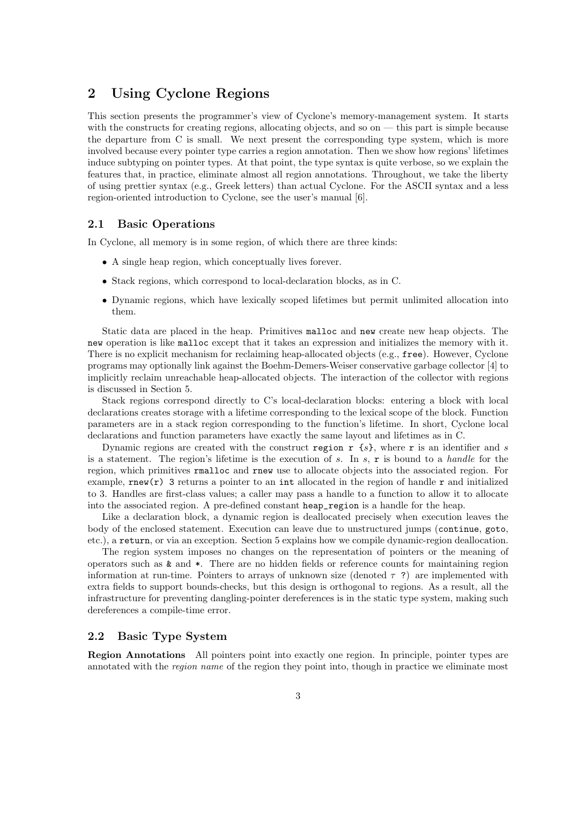# 2 Using Cyclone Regions

This section presents the programmer's view of Cyclone's memory-management system. It starts with the constructs for creating regions, allocating objects, and so on — this part is simple because the departure from C is small. We next present the corresponding type system, which is more involved because every pointer type carries a region annotation. Then we show how regions' lifetimes induce subtyping on pointer types. At that point, the type syntax is quite verbose, so we explain the features that, in practice, eliminate almost all region annotations. Throughout, we take the liberty of using prettier syntax (e.g., Greek letters) than actual Cyclone. For the ASCII syntax and a less region-oriented introduction to Cyclone, see the user's manual [6].

# 2.1 Basic Operations

In Cyclone, all memory is in some region, of which there are three kinds:

- A single heap region, which conceptually lives forever.
- Stack regions, which correspond to local-declaration blocks, as in C.
- Dynamic regions, which have lexically scoped lifetimes but permit unlimited allocation into them.

Static data are placed in the heap. Primitives malloc and new create new heap objects. The new operation is like malloc except that it takes an expression and initializes the memory with it. There is no explicit mechanism for reclaiming heap-allocated objects (e.g., free). However, Cyclone programs may optionally link against the Boehm-Demers-Weiser conservative garbage collector [4] to implicitly reclaim unreachable heap-allocated objects. The interaction of the collector with regions is discussed in Section 5.

Stack regions correspond directly to C's local-declaration blocks: entering a block with local declarations creates storage with a lifetime corresponding to the lexical scope of the block. Function parameters are in a stack region corresponding to the function's lifetime. In short, Cyclone local declarations and function parameters have exactly the same layout and lifetimes as in C.

Dynamic regions are created with the construct region  $r \{s\}$ , where r is an identifier and s is a statement. The region's lifetime is the execution of s. In s,  $\bf{r}$  is bound to a handle for the region, which primitives rmalloc and rnew use to allocate objects into the associated region. For example,  $rnew(r)$  3 returns a pointer to an int allocated in the region of handle r and initialized to 3. Handles are first-class values; a caller may pass a handle to a function to allow it to allocate into the associated region. A pre-defined constant heap\_region is a handle for the heap.

Like a declaration block, a dynamic region is deallocated precisely when execution leaves the body of the enclosed statement. Execution can leave due to unstructured jumps (continue, goto, etc.), a return, or via an exception. Section 5 explains how we compile dynamic-region deallocation.

The region system imposes no changes on the representation of pointers or the meaning of operators such as & and \*. There are no hidden fields or reference counts for maintaining region information at run-time. Pointers to arrays of unknown size (denoted  $\tau$ ?) are implemented with extra fields to support bounds-checks, but this design is orthogonal to regions. As a result, all the infrastructure for preventing dangling-pointer dereferences is in the static type system, making such dereferences a compile-time error.

# 2.2 Basic Type System

Region Annotations All pointers point into exactly one region. In principle, pointer types are annotated with the *region name* of the region they point into, though in practice we eliminate most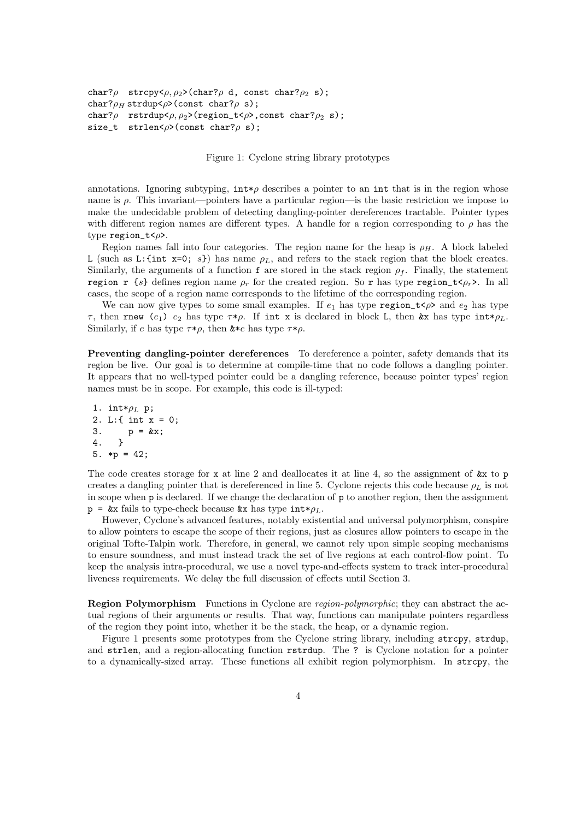```
char?\rho strcpy<\rho, \rho_2>(char?\rho d, const char?\rho_2 s);
char?\rho<sub>H</sub> strdup<\rho>(const char?\rho s);
char?\rho rstrdup<\rho, \rho_2>(region_t<\rho>, const char?\rho_2 s);
size_t strlen<\rho>(const char?\rho s);
```
Figure 1: Cyclone string library prototypes

annotations. Ignoring subtyping,  $int \phi$  describes a pointer to an int that is in the region whose name is ρ. This invariant—pointers have a particular region—is the basic restriction we impose to make the undecidable problem of detecting dangling-pointer dereferences tractable. Pointer types with different region names are different types. A handle for a region corresponding to  $\rho$  has the type  $\text{region}\_\text{t}<\rho$ .

Region names fall into four categories. The region name for the heap is  $\rho_H$ . A block labeled L (such as L: {int x=0; s}) has name  $\rho_L$ , and refers to the stack region that the block creates. Similarly, the arguments of a function f are stored in the stack region  $\rho_f$ . Finally, the statement region r  $\{s\}$  defines region name  $\rho_r$  for the created region. So r has type region\_t< $\rho_r$ . In all cases, the scope of a region name corresponds to the lifetime of the corresponding region.

We can now give types to some small examples. If  $e_1$  has type region\_t<*p*> and  $e_2$  has type τ, then rnew (e<sub>1</sub>) e<sub>2</sub> has type  $τ*\rho$ . If int x is declared in block L, then &x has type int $*\rho_L$ . Similarly, if e has type  $\tau * \rho$ , then  $\&*e$  has type  $\tau * \rho$ .

Preventing dangling-pointer dereferences To dereference a pointer, safety demands that its region be live. Our goal is to determine at compile-time that no code follows a dangling pointer. It appears that no well-typed pointer could be a dangling reference, because pointer types' region names must be in scope. For example, this code is ill-typed:

```
1. int*\rho_L p;
2. L:{ int x = 0;
3. p = kx;<br>4. }
\overline{4}.
5. *p = 42;
```
The code creates storage for x at line 2 and deallocates it at line 4, so the assignment of  $\&x$  to p creates a dangling pointer that is dereferenced in line 5. Cyclone rejects this code because  $\rho_L$  is not in scope when p is declared. If we change the declaration of p to another region, then the assignment  $p = \&x$  fails to type-check because  $\&x$  has type  $int * \rho_L$ .

However, Cyclone's advanced features, notably existential and universal polymorphism, conspire to allow pointers to escape the scope of their regions, just as closures allow pointers to escape in the original Tofte-Talpin work. Therefore, in general, we cannot rely upon simple scoping mechanisms to ensure soundness, and must instead track the set of live regions at each control-flow point. To keep the analysis intra-procedural, we use a novel type-and-effects system to track inter-procedural liveness requirements. We delay the full discussion of effects until Section 3.

Region Polymorphism Functions in Cyclone are *region-polymorphic*; they can abstract the actual regions of their arguments or results. That way, functions can manipulate pointers regardless of the region they point into, whether it be the stack, the heap, or a dynamic region.

Figure 1 presents some prototypes from the Cyclone string library, including strcpy, strdup, and strlen, and a region-allocating function rstrdup. The ? is Cyclone notation for a pointer to a dynamically-sized array. These functions all exhibit region polymorphism. In strcpy, the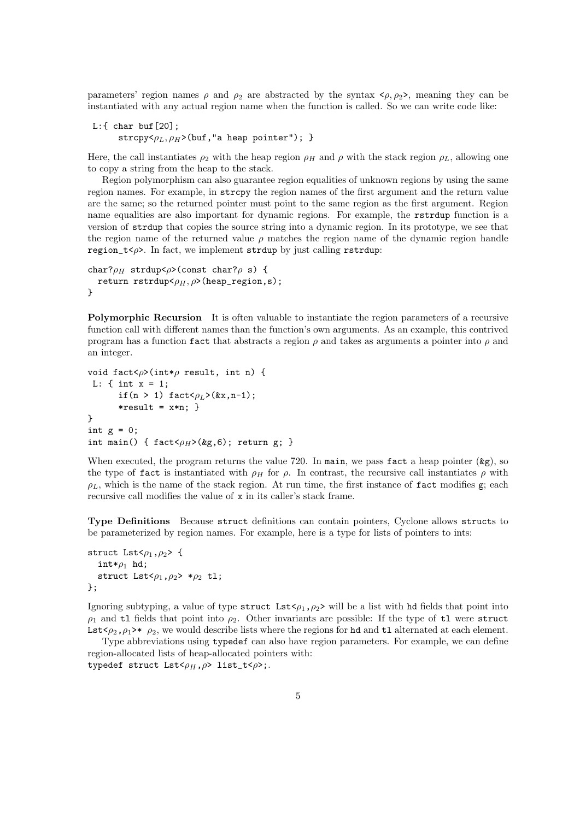parameters' region names  $\rho$  and  $\rho_2$  are abstracted by the syntax  $\langle \rho, \rho_2 \rangle$ , meaning they can be instantiated with any actual region name when the function is called. So we can write code like:

```
L:{ char buf[20];
       strcpy\langle \rho_L, \rho_H \rangle(buf, "a heap pointer"); }
```
Here, the call instantiates  $\rho_2$  with the heap region  $\rho_H$  and  $\rho$  with the stack region  $\rho_L$ , allowing one to copy a string from the heap to the stack.

Region polymorphism can also guarantee region equalities of unknown regions by using the same region names. For example, in strcpy the region names of the first argument and the return value are the same; so the returned pointer must point to the same region as the first argument. Region name equalities are also important for dynamic regions. For example, the rstrdup function is a version of strdup that copies the source string into a dynamic region. In its prototype, we see that the region name of the returned value  $\rho$  matches the region name of the dynamic region handle region\_t< $\rho$ >. In fact, we implement strdup by just calling rstrdup:

```
char?\rho_H strdup<\rho>(const char?\rho s) {
  return rstrdup<\rho_H, \rho>(heap_region,s);
}
```
Polymorphic Recursion It is often valuable to instantiate the region parameters of a recursive function call with different names than the function's own arguments. As an example, this contrived program has a function fact that abstracts a region  $\rho$  and takes as arguments a pointer into  $\rho$  and an integer.

```
void fact<\rho>(int*\rho result, int n) {
L: \{ int x = 1;if(n > 1) fact<\rho_L>(&x,n-1);
      *result = x*n: \}}
int g = 0;
int main() { fact<\rho_H>(kg, 6); return g; }
```
When executed, the program returns the value 720. In main, we pass fact a heap pointer  $(\&g)$ , so the type of fact is instantiated with  $\rho_H$  for  $\rho$ . In contrast, the recursive call instantiates  $\rho$  with  $\rho_L$ , which is the name of the stack region. At run time, the first instance of fact modifies g; each recursive call modifies the value of x in its caller's stack frame.

Type Definitions Because struct definitions can contain pointers, Cyclone allows structs to be parameterized by region names. For example, here is a type for lists of pointers to ints:

```
struct Lst<\rho_1, \rho_2> {
   int*\rho_1 hd;
  struct Lst<\rho_1, \rho_2> *\rho_2 tl;
};
```
Ignoring subtyping, a value of type struct Lst $\epsilon_{\rho_1,\rho_2}$  will be a list with hd fields that point into  $\rho_1$  and tl fields that point into  $\rho_2$ . Other invariants are possible: If the type of tl were struct Lst $\langle \rho_2, \rho_1 \rangle^*$   $\rho_2$ , we would describe lists where the regions for hd and tl alternated at each element.

Type abbreviations using typedef can also have region parameters. For example, we can define region-allocated lists of heap-allocated pointers with: typedef struct  $List<sub>PH</sub>, \rho$ > list\_t< $\rho$ >;.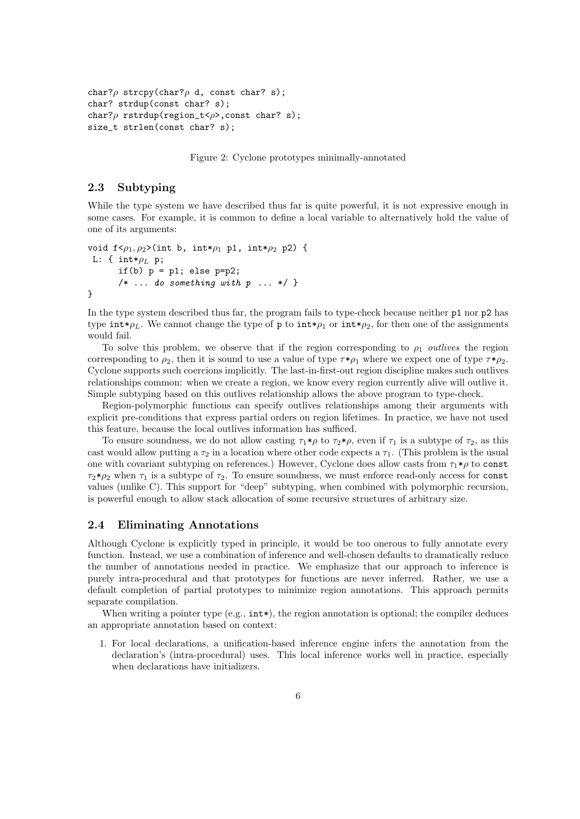```
char?\rho strcpy(char?\rho d, const char? s);
char? strdup(const char? s);
char?\rho rstrdup(region_t<\rho>, const char? s);
size_t strlen(const char? s);
```
Figure 2: Cyclone prototypes minimally-annotated

# 2.3 Subtyping

While the type system we have described thus far is quite powerful, it is not expressive enough in some cases. For example, it is common to define a local variable to alternatively hold the value of one of its arguments:

```
void f < \rho_1, \rho_2>(int b, int*\rho_1 p1, int*\rho_2 p2) {
 L: { int*\rho_L p;
       if(b) p = p1; else p=p2;
       /* \ldots do something with p \ldots */}
```
In the type system described thus far, the program fails to type-check because neither p1 nor p2 has type  $\text{int}*\rho_L$ . We cannot change the type of p to  $\text{int}*\rho_1$  or  $\text{int}*\rho_2$ , for then one of the assignments would fail.

To solve this problem, we observe that if the region corresponding to  $\rho_1$  *outlives* the region corresponding to  $\rho_2$ , then it is sound to use a value of type  $\tau * \rho_1$  where we expect one of type  $\tau * \rho_2$ . Cyclone supports such coercions implicitly. The last-in-first-out region discipline makes such outlives relationships common: when we create a region, we know every region currently alive will outlive it. Simple subtyping based on this outlives relationship allows the above program to type-check.

Region-polymorphic functions can specify outlives relationships among their arguments with explicit pre-conditions that express partial orders on region lifetimes. In practice, we have not used this feature, because the local outlives information has sufficed.

To ensure soundness, we do not allow casting  $\tau_1 * \rho$  to  $\tau_2 * \rho$ , even if  $\tau_1$  is a subtype of  $\tau_2$ , as this cast would allow putting a  $\tau_2$  in a location where other code expects a  $\tau_1$ . (This problem is the usual one with covariant subtyping on references.) However, Cyclone does allow casts from  $\tau_1 * \rho$  to const  $\tau_2*\rho_2$  when  $\tau_1$  is a subtype of  $\tau_2$ . To ensure soundness, we must enforce read-only access for const values (unlike C). This support for "deep" subtyping, when combined with polymorphic recursion, is powerful enough to allow stack allocation of some recursive structures of arbitrary size.

# 2.4 Eliminating Annotations

Although Cyclone is explicitly typed in principle, it would be too onerous to fully annotate every function. Instead, we use a combination of inference and well-chosen defaults to dramatically reduce the number of annotations needed in practice. We emphasize that our approach to inference is purely intra-procedural and that prototypes for functions are never inferred. Rather, we use a default completion of partial prototypes to minimize region annotations. This approach permits separate compilation.

When writing a pointer type  $(e.g., \text{int*})$ , the region annotation is optional; the compiler deduces an appropriate annotation based on context:

1. For local declarations, a unification-based inference engine infers the annotation from the declaration's (intra-procedural) uses. This local inference works well in practice, especially when declarations have initializers.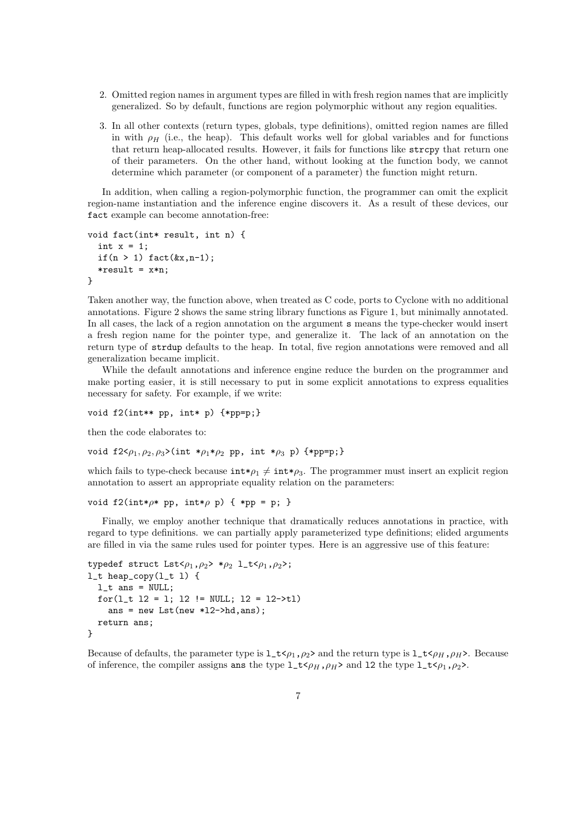- 2. Omitted region names in argument types are filled in with fresh region names that are implicitly generalized. So by default, functions are region polymorphic without any region equalities.
- 3. In all other contexts (return types, globals, type definitions), omitted region names are filled in with  $\rho_H$  (i.e., the heap). This default works well for global variables and for functions that return heap-allocated results. However, it fails for functions like strcpy that return one of their parameters. On the other hand, without looking at the function body, we cannot determine which parameter (or component of a parameter) the function might return.

In addition, when calling a region-polymorphic function, the programmer can omit the explicit region-name instantiation and the inference engine discovers it. As a result of these devices, our fact example can become annotation-free:

```
void fact(int* result, int n) {
  int x = 1;
  if(n > 1) fact(kx, n-1);
  *result = x*n;
}
```
Taken another way, the function above, when treated as C code, ports to Cyclone with no additional annotations. Figure 2 shows the same string library functions as Figure 1, but minimally annotated. In all cases, the lack of a region annotation on the argument s means the type-checker would insert a fresh region name for the pointer type, and generalize it. The lack of an annotation on the return type of strdup defaults to the heap. In total, five region annotations were removed and all generalization became implicit.

While the default annotations and inference engine reduce the burden on the programmer and make porting easier, it is still necessary to put in some explicit annotations to express equalities necessary for safety. For example, if we write:

void  $f2(int** pp, int* p)$  {\*pp=p;}

then the code elaborates to:

void f2< $\rho_1, \rho_2, \rho_3$ >(int \* $\rho_1 * \rho_2$  pp, int \* $\rho_3$  p) {\*pp=p;}

which fails to type-check because  $\text{int}*\rho_1 \neq \text{int}*\rho_3$ . The programmer must insert an explicit region annotation to assert an appropriate equality relation on the parameters:

```
void f2(int*\rho* pp, int*\rho p) { *pp = p; }
```
Finally, we employ another technique that dramatically reduces annotations in practice, with regard to type definitions. we can partially apply parameterized type definitions; elided arguments are filled in via the same rules used for pointer types. Here is an aggressive use of this feature:

```
typedef struct List<sub>ρ<sub>1</sub>, ρ<sub>2</sub> > *ρ<sub>2</sub> 1_t<sub>≤ρ<sub>1</sub>, ρ<sub>2</sub> >;l_t heap_copy(l_t l) {
  l_t ans = NULL;
  for(l_t l2 = l; l2 != NULL; l2 = l2->tl)
     ans = new List(new *12->hd,ans);return ans;
}
```
Because of defaults, the parameter type is  $1_t \lt \rho_1$ ,  $\rho_2$  and the return type is  $1_t \lt \rho_H$ ,  $\rho_H$ . Because of inference, the compiler assigns and the type  $1_t \lt \rho_H$ ,  $\rho_H$  and 12 the type  $1_t \lt \rho_1$ ,  $\rho_2$ .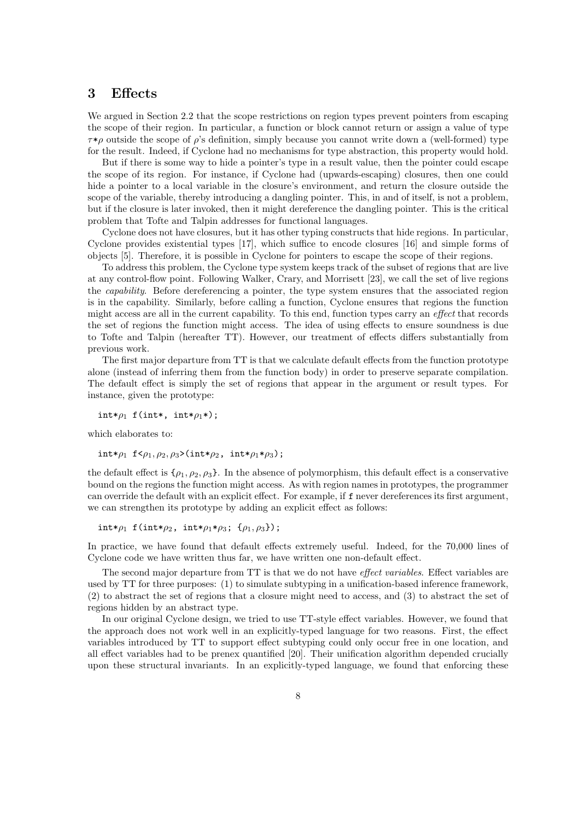# 3 Effects

We argued in Section 2.2 that the scope restrictions on region types prevent pointers from escaping the scope of their region. In particular, a function or block cannot return or assign a value of type  $\tau * \rho$  outside the scope of  $\rho$ 's definition, simply because you cannot write down a (well-formed) type for the result. Indeed, if Cyclone had no mechanisms for type abstraction, this property would hold.

But if there is some way to hide a pointer's type in a result value, then the pointer could escape the scope of its region. For instance, if Cyclone had (upwards-escaping) closures, then one could hide a pointer to a local variable in the closure's environment, and return the closure outside the scope of the variable, thereby introducing a dangling pointer. This, in and of itself, is not a problem, but if the closure is later invoked, then it might dereference the dangling pointer. This is the critical problem that Tofte and Talpin addresses for functional languages.

Cyclone does not have closures, but it has other typing constructs that hide regions. In particular, Cyclone provides existential types [17], which suffice to encode closures [16] and simple forms of objects [5]. Therefore, it is possible in Cyclone for pointers to escape the scope of their regions.

To address this problem, the Cyclone type system keeps track of the subset of regions that are live at any control-flow point. Following Walker, Crary, and Morrisett [23], we call the set of live regions the capability. Before dereferencing a pointer, the type system ensures that the associated region is in the capability. Similarly, before calling a function, Cyclone ensures that regions the function might access are all in the current capability. To this end, function types carry an effect that records the set of regions the function might access. The idea of using effects to ensure soundness is due to Tofte and Talpin (hereafter TT). However, our treatment of effects differs substantially from previous work.

The first major departure from TT is that we calculate default effects from the function prototype alone (instead of inferring them from the function body) in order to preserve separate compilation. The default effect is simply the set of regions that appear in the argument or result types. For instance, given the prototype:

int\* $\rho_1$  f(int\*, int\* $\rho_1$ \*);

which elaborates to:

int\* $\rho_1$  f< $\rho_1$ ,  $\rho_2$ ,  $\rho_3$ >(int\* $\rho_2$ , int\* $\rho_1$ \* $\rho_3$ );

the default effect is  $\{\rho_1, \rho_2, \rho_3\}$ . In the absence of polymorphism, this default effect is a conservative bound on the regions the function might access. As with region names in prototypes, the programmer can override the default with an explicit effect. For example, if f never dereferences its first argument, we can strengthen its prototype by adding an explicit effect as follows:

int\* $\rho_1$  f(int\* $\rho_2$ , int\* $\rho_1$ \* $\rho_3$ ; { $\rho_1, \rho_3$ });

In practice, we have found that default effects extremely useful. Indeed, for the 70,000 lines of Cyclone code we have written thus far, we have written one non-default effect.

The second major departure from TT is that we do not have effect variables. Effect variables are used by TT for three purposes: (1) to simulate subtyping in a unification-based inference framework, (2) to abstract the set of regions that a closure might need to access, and (3) to abstract the set of regions hidden by an abstract type.

In our original Cyclone design, we tried to use TT-style effect variables. However, we found that the approach does not work well in an explicitly-typed language for two reasons. First, the effect variables introduced by TT to support effect subtyping could only occur free in one location, and all effect variables had to be prenex quantified [20]. Their unification algorithm depended crucially upon these structural invariants. In an explicitly-typed language, we found that enforcing these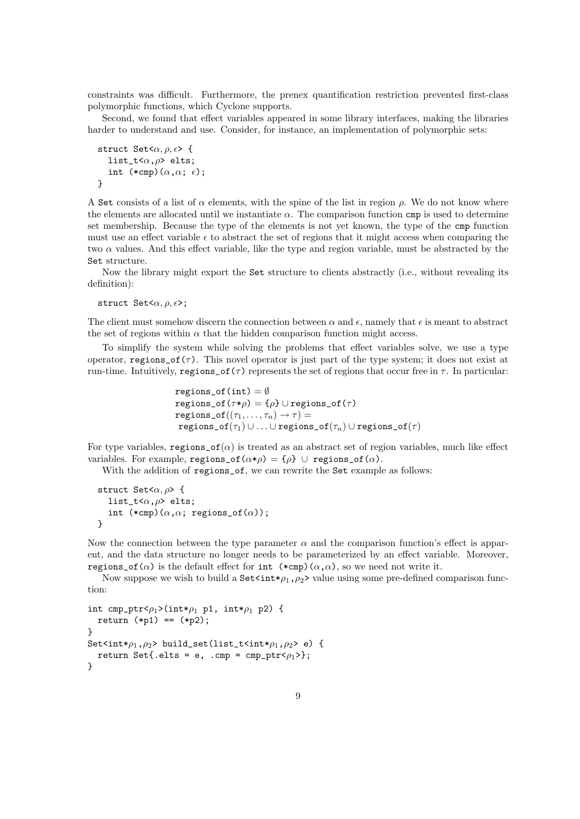constraints was difficult. Furthermore, the prenex quantification restriction prevented first-class polymorphic functions, which Cyclone supports.

Second, we found that effect variables appeared in some library interfaces, making the libraries harder to understand and use. Consider, for instance, an implementation of polymorphic sets:

```
struct Set\langle \alpha, \rho, \epsilon \rangle {
    list_t<\alpha,\rho> elts;
    int (*cmp)(\alpha, \alpha; \epsilon);}
```
A Set consists of a list of  $\alpha$  elements, with the spine of the list in region  $\rho$ . We do not know where the elements are allocated until we instantiate  $\alpha$ . The comparison function cmp is used to determine set membership. Because the type of the elements is not yet known, the type of the cmp function must use an effect variable  $\epsilon$  to abstract the set of regions that it might access when comparing the two  $\alpha$  values. And this effect variable, like the type and region variable, must be abstracted by the Set structure.

Now the library might export the Set structure to clients abstractly (i.e., without revealing its definition):

struct Set $\langle \alpha, \rho, \epsilon \rangle$ ;

The client must somehow discern the connection between  $\alpha$  and  $\epsilon$ , namely that  $\epsilon$  is meant to abstract the set of regions within  $\alpha$  that the hidden comparison function might access.

To simplify the system while solving the problems that effect variables solve, we use a type operator, regions  $of(\tau)$ . This novel operator is just part of the type system; it does not exist at run-time. Intuitively, regions of (τ) represents the set of regions that occur free in  $\tau$ . In particular:

```
\texttt{regions\_of} \left( \texttt{int} \right) = \emptysetregions_of(\tau * \rho) = {\rho} \cup regions_of(\tau)
\mathtt{regions\_of}((\tau_1, \ldots, \tau_n) \to \tau) =\text{regions\_of}(\tau_1) \cup \ldots \cup \text{regions\_of}(\tau_n) \cup \text{regions\_of}(\tau)
```
For type variables, regions  $of(\alpha)$  is treated as an abstract set of region variables, much like effect variables. For example, regions\_of( $\alpha * \rho$ ) = { $\rho$ } ∪ regions\_of( $\alpha$ ).

With the addition of regions\_of, we can rewrite the Set example as follows:

```
struct Set\langle \alpha, \rho \rangle {
   list_t<\alpha,\rho> elts;
   int (*cmp)(\alpha, \alpha; regions_of(\alpha);
}
```
Now the connection between the type parameter  $\alpha$  and the comparison function's effect is apparent, and the data structure no longer needs to be parameterized by an effect variable. Moreover, regions\_of( $\alpha$ ) is the default effect for int  $(*emp)(\alpha, \alpha)$ , so we need not write it.

Now suppose we wish to build a  $\text{Set}\text{sint}*\rho_1$ ,  $\rho_2$  value using some pre-defined comparison function:

```
int cmp_ptr<\rho_1>(int*\rho_1 p1, int*\rho_1 p2) {
  return (*p1) == (*p2);}
Set<int*\rho_1, \rho_2> build_set(list_t<int*\rho_1, \rho_2> e) {
  return Set{.elts = e, .cmp = cmp_ptr<\rho_1>};
}
```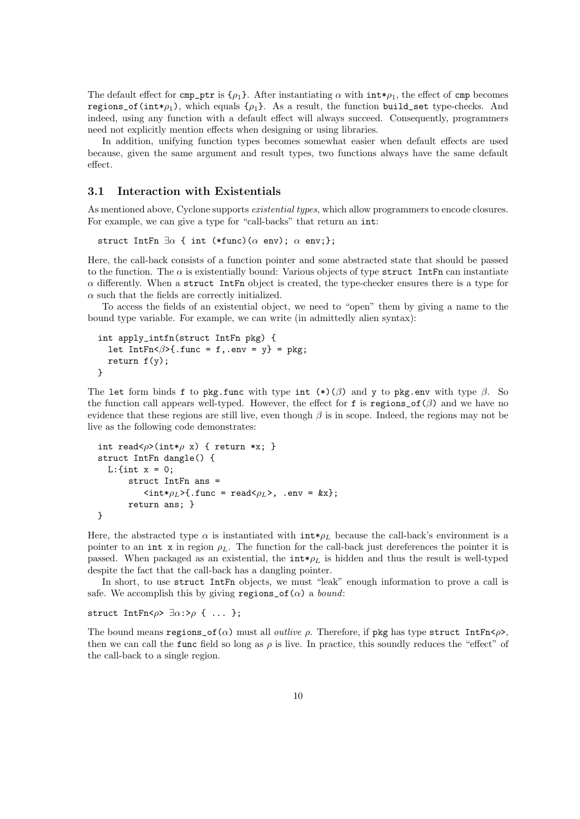The default effect for cmp\_ptr is  $\{\rho_1\}$ . After instantiating  $\alpha$  with int\* $\rho_1$ , the effect of cmp becomes regions of (int $*_p$ ), which equals  $\{\rho_1\}$ . As a result, the function build set type-checks. And indeed, using any function with a default effect will always succeed. Consequently, programmers need not explicitly mention effects when designing or using libraries.

In addition, unifying function types becomes somewhat easier when default effects are used because, given the same argument and result types, two functions always have the same default effect.

# 3.1 Interaction with Existentials

As mentioned above, Cyclone supports *existential types*, which allow programmers to encode closures. For example, we can give a type for "call-backs" that return an int:

struct IntFn  $\exists \alpha$  { int (\*func)( $\alpha$  env);  $\alpha$  env;};

Here, the call-back consists of a function pointer and some abstracted state that should be passed to the function. The  $\alpha$  is existentially bound: Various objects of type struct IntFn can instantiate  $\alpha$  differently. When a struct IntFn object is created, the type-checker ensures there is a type for  $\alpha$  such that the fields are correctly initialized.

To access the fields of an existential object, we need to "open" them by giving a name to the bound type variable. For example, we can write (in admittedly alien syntax):

```
int apply_intfn(struct IntFn pkg) {
  let IntFn<\beta>{.func = f,.env = y} = pkg;
  return f(y);
}
```
The let form binds f to pkg.func with type int  $(*)$ (β) and y to pkg.env with type  $\beta$ . So the function call appears well-typed. However, the effect for f is regions\_of( $\beta$ ) and we have no evidence that these regions are still live, even though  $\beta$  is in scope. Indeed, the regions may not be live as the following code demonstrates:

```
int read<\rho>(int*\rho x) { return *x; }
struct IntFn dangle() {
  L:\{int x = 0;struct IntFn ans =
            \langle \text{int} * \rho_L \rangle { . func = read\langle \rho_L \rangle, . env = &x};
        return ans; }
}
```
Here, the abstracted type  $\alpha$  is instantiated with  $int*\rho_L$  because the call-back's environment is a pointer to an int x in region  $\rho_L$ . The function for the call-back just dereferences the pointer it is passed. When packaged as an existential, the  $int*\rho_L$  is hidden and thus the result is well-typed despite the fact that the call-back has a dangling pointer.

In short, to use struct IntFn objects, we must "leak" enough information to prove a call is safe. We accomplish this by giving regions\_of( $\alpha$ ) a *bound*:

struct IntFn< $\rho$ >  $\exists \alpha : \geq \rho \ \{ \ \ldots \ \}$ ;

The bound means regions  $\cot(\alpha)$  must all *outlive*  $\rho$ . Therefore, if pkg has type struct IntFn< $\rho$ , then we can call the func field so long as  $\rho$  is live. In practice, this soundly reduces the "effect" of the call-back to a single region.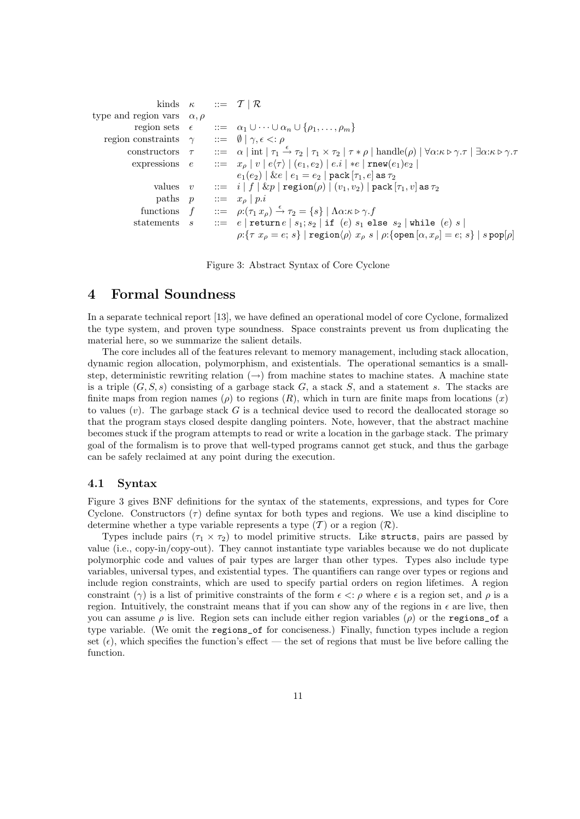```
kinds \kappa ::= \mathcal{T} | \mathcal{R}type and region vars \alpha, \rhoregion sets \epsilon ::= \alpha_1 \cup \cdots \cup \alpha_n \cup \{\rho_1, \ldots, \rho_m\}region constraints \gamma ::= \emptyset | \gamma, \epsilon <: \rhoconstructors \tau ::=
                                                            \alpha | int | \tau_1 \stackrel{\epsilon}{\rightarrow} \tau_2 | \tau_1 \times \tau_2 | \tau * \rho | handle(\rho) | \forall \alpha: \kappa \triangleright \gamma. \tau | \exists \alpha: \kappa \triangleright \gamma. \tauexpressions e ::= x_{\rho} | v | e \langle \tau \rangle | (e_1, e_2) | e.i | *e | \text{rnew}(e_1)e_2 |e_1(e_2) | \& e | e_1 = e_2 | \text{pack} [\tau_1, e] \text{ as } \tau_2values v := i | f | \& p | \operatorname{region}(\rho) | (v_1, v_2) | \operatorname{pack}[\tau_1, v] as \tau_2paths p ::= x_o | p.ifunctions f ::= \rho: (\tau_1 x_\rho) \stackrel{\epsilon}{\rightarrow} \tau_2 = \{s\} \mid \Lambda \alpha : \kappa \triangleright \gamma \cdot fstatements s ::= e | return e | s_1; s_2 | if (e) s_1 else s_2 | while (e) s |\rho:\{\tau x_{\rho}=e;\,s\}\mid \mathtt{region}\langle\rho\rangle\ x_{\rho}\ s\mid \rho:\{\mathtt{open}\,[\alpha,x_{\rho}]=e;\,s\}\mid s\,\mathtt{pop}[\rho]
```
Figure 3: Abstract Syntax of Core Cyclone

# 4 Formal Soundness

In a separate technical report [13], we have defined an operational model of core Cyclone, formalized the type system, and proven type soundness. Space constraints prevent us from duplicating the material here, so we summarize the salient details.

The core includes all of the features relevant to memory management, including stack allocation, dynamic region allocation, polymorphism, and existentials. The operational semantics is a smallstep, deterministic rewriting relation  $(\rightarrow)$  from machine states to machine states. A machine state is a triple  $(G, S, s)$  consisting of a garbage stack G, a stack S, and a statement s. The stacks are finite maps from region names ( $\rho$ ) to regions (R), which in turn are finite maps from locations (x) to values  $(v)$ . The garbage stack G is a technical device used to record the deallocated storage so that the program stays closed despite dangling pointers. Note, however, that the abstract machine becomes stuck if the program attempts to read or write a location in the garbage stack. The primary goal of the formalism is to prove that well-typed programs cannot get stuck, and thus the garbage can be safely reclaimed at any point during the execution.

# 4.1 Syntax

Figure 3 gives BNF definitions for the syntax of the statements, expressions, and types for Core Cyclone. Constructors  $(\tau)$  define syntax for both types and regions. We use a kind discipline to determine whether a type variable represents a type  $(\mathcal{T})$  or a region  $(\mathcal{R})$ .

Types include pairs  $(\tau_1 \times \tau_2)$  to model primitive structs. Like structs, pairs are passed by value (i.e., copy-in/copy-out). They cannot instantiate type variables because we do not duplicate polymorphic code and values of pair types are larger than other types. Types also include type variables, universal types, and existential types. The quantifiers can range over types or regions and include region constraints, which are used to specify partial orders on region lifetimes. A region constraint (γ) is a list of primitive constraints of the form  $\epsilon \leq p$  where  $\epsilon$  is a region set, and  $\rho$  is a region. Intuitively, the constraint means that if you can show any of the regions in  $\epsilon$  are live, then you can assume  $\rho$  is live. Region sets can include either region variables ( $\rho$ ) or the regions of a type variable. (We omit the regions\_of for conciseness.) Finally, function types include a region set  $(\epsilon)$ , which specifies the function's effect — the set of regions that must be live before calling the function.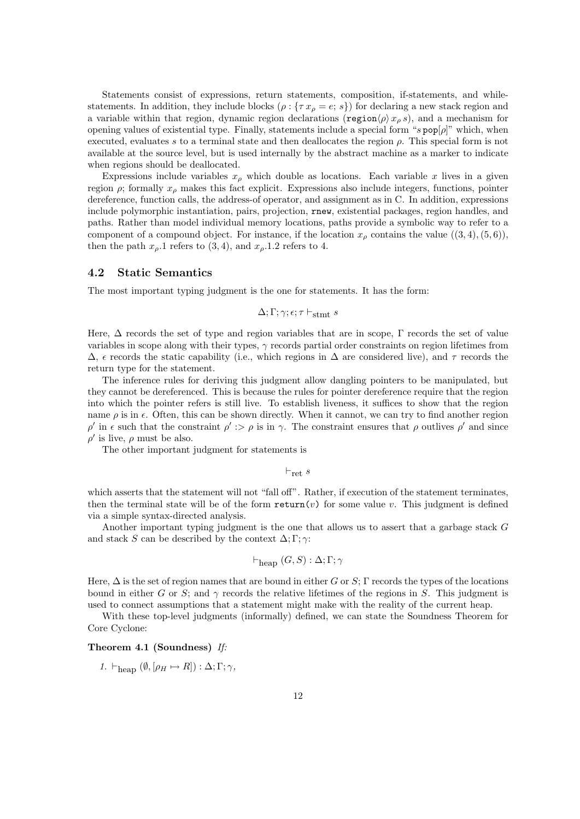Statements consist of expressions, return statements, composition, if-statements, and whilestatements. In addition, they include blocks  $(\rho : {\tau x<sub>o</sub> = e; s})$  for declaring a new stack region and a variable within that region, dynamic region declarations (region $\langle \rho \rangle x_\rho s$ ), and a mechanism for opening values of existential type. Finally, statements include a special form " $s$  pop $[\rho]$ " which, when executed, evaluates s to a terminal state and then deallocates the region  $\rho$ . This special form is not available at the source level, but is used internally by the abstract machine as a marker to indicate when regions should be deallocated.

Expressions include variables  $x_{\rho}$  which double as locations. Each variable x lives in a given region  $\rho$ ; formally  $x_{\rho}$  makes this fact explicit. Expressions also include integers, functions, pointer dereference, function calls, the address-of operator, and assignment as in C. In addition, expressions include polymorphic instantiation, pairs, projection, rnew, existential packages, region handles, and paths. Rather than model individual memory locations, paths provide a symbolic way to refer to a component of a compound object. For instance, if the location  $x_{\rho}$  contains the value  $((3,4),(5,6)),$ then the path  $x_{\rho}$ . 1 refers to (3, 4), and  $x_{\rho}$ . 1.2 refers to 4.

# 4.2 Static Semantics

The most important typing judgment is the one for statements. It has the form:

$$
\Delta;\Gamma;\gamma;\epsilon;\tau\vdash_{\mathrm{stmt}} s
$$

Here, ∆ records the set of type and region variables that are in scope, Γ records the set of value variables in scope along with their types,  $\gamma$  records partial order constraints on region lifetimes from  $\Delta$ ,  $\epsilon$  records the static capability (i.e., which regions in  $\Delta$  are considered live), and  $\tau$  records the return type for the statement.

The inference rules for deriving this judgment allow dangling pointers to be manipulated, but they cannot be dereferenced. This is because the rules for pointer dereference require that the region into which the pointer refers is still live. To establish liveness, it suffices to show that the region name  $\rho$  is in  $\epsilon$ . Often, this can be shown directly. When it cannot, we can try to find another region  $\rho'$  in  $\epsilon$  such that the constraint  $\rho'$  : >  $\rho$  is in  $\gamma$ . The constraint ensures that  $\rho$  outlives  $\rho'$  and since  $\rho'$  is live,  $\rho$  must be also.

The other important judgment for statements is

 $\vdash_{\text{ret}} s$ 

which asserts that the statement will not "fall off". Rather, if execution of the statement terminates, then the terminal state will be of the form  $return(v)$  for some value v. This judgment is defined via a simple syntax-directed analysis.

Another important typing judgment is the one that allows us to assert that a garbage stack G and stack S can be described by the context  $\Delta$ ; Γ;  $\gamma$ :

$$
\vdash_{\text{heap}} (G, S) : \Delta; \Gamma; \gamma
$$

Here,  $\Delta$  is the set of region names that are bound in either G or S; Γ records the types of the locations bound in either G or S; and  $\gamma$  records the relative lifetimes of the regions in S. This judgment is used to connect assumptions that a statement might make with the reality of the current heap.

With these top-level judgments (informally) defined, we can state the Soundness Theorem for Core Cyclone:

# Theorem 4.1 (Soundness) If:

1.  $\vdash_{\text{hean}} (\emptyset, [\rho_H \mapsto R]) : \Delta; \Gamma; \gamma,$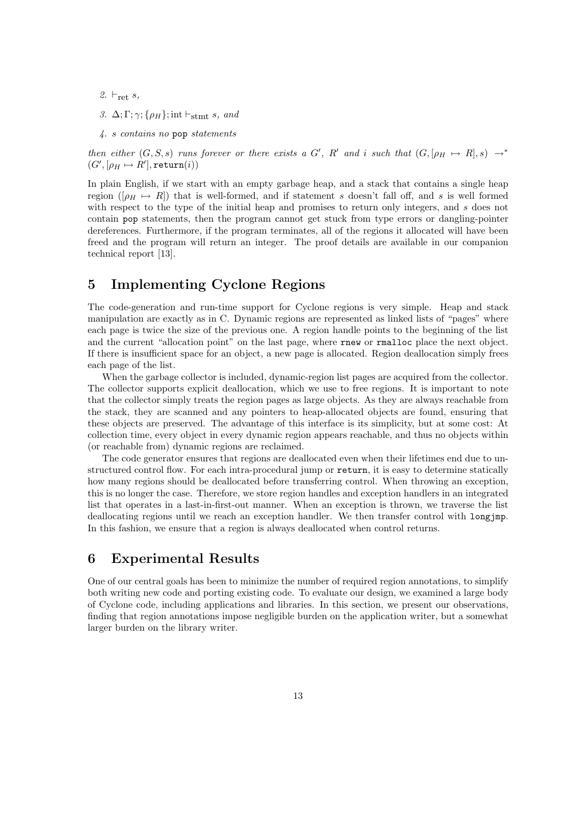- 2.  $\vdash_{\text{rot}} s$ ,
- 3.  $\Delta; \Gamma; \gamma; {\rho_H}; \text{int } \vdash_{\text{stmt}} s, \text{ and}$
- 4. s contains no pop statements

then either  $(G, S, s)$  runs forever or there exists a G', R' and i such that  $(G, [\rho_H \rightarrow R], s) \rightarrow^*$  $(G', [\rho_H \mapsto R'], \texttt{return}(i))$ 

In plain English, if we start with an empty garbage heap, and a stack that contains a single heap region ( $[\rho_H \mapsto R]$ ) that is well-formed, and if statement s doesn't fall off, and s is well formed with respect to the type of the initial heap and promises to return only integers, and s does not contain pop statements, then the program cannot get stuck from type errors or dangling-pointer dereferences. Furthermore, if the program terminates, all of the regions it allocated will have been freed and the program will return an integer. The proof details are available in our companion technical report [13].

# 5 Implementing Cyclone Regions

The code-generation and run-time support for Cyclone regions is very simple. Heap and stack manipulation are exactly as in C. Dynamic regions are represented as linked lists of "pages" where each page is twice the size of the previous one. A region handle points to the beginning of the list and the current "allocation point" on the last page, where rnew or rmalloc place the next object. If there is insufficient space for an object, a new page is allocated. Region deallocation simply frees each page of the list.

When the garbage collector is included, dynamic-region list pages are acquired from the collector. The collector supports explicit deallocation, which we use to free regions. It is important to note that the collector simply treats the region pages as large objects. As they are always reachable from the stack, they are scanned and any pointers to heap-allocated objects are found, ensuring that these objects are preserved. The advantage of this interface is its simplicity, but at some cost: At collection time, every object in every dynamic region appears reachable, and thus no objects within (or reachable from) dynamic regions are reclaimed.

The code generator ensures that regions are deallocated even when their lifetimes end due to unstructured control flow. For each intra-procedural jump or return, it is easy to determine statically how many regions should be deallocated before transferring control. When throwing an exception, this is no longer the case. Therefore, we store region handles and exception handlers in an integrated list that operates in a last-in-first-out manner. When an exception is thrown, we traverse the list deallocating regions until we reach an exception handler. We then transfer control with longjmp. In this fashion, we ensure that a region is always deallocated when control returns.

# 6 Experimental Results

One of our central goals has been to minimize the number of required region annotations, to simplify both writing new code and porting existing code. To evaluate our design, we examined a large body of Cyclone code, including applications and libraries. In this section, we present our observations, finding that region annotations impose negligible burden on the application writer, but a somewhat larger burden on the library writer.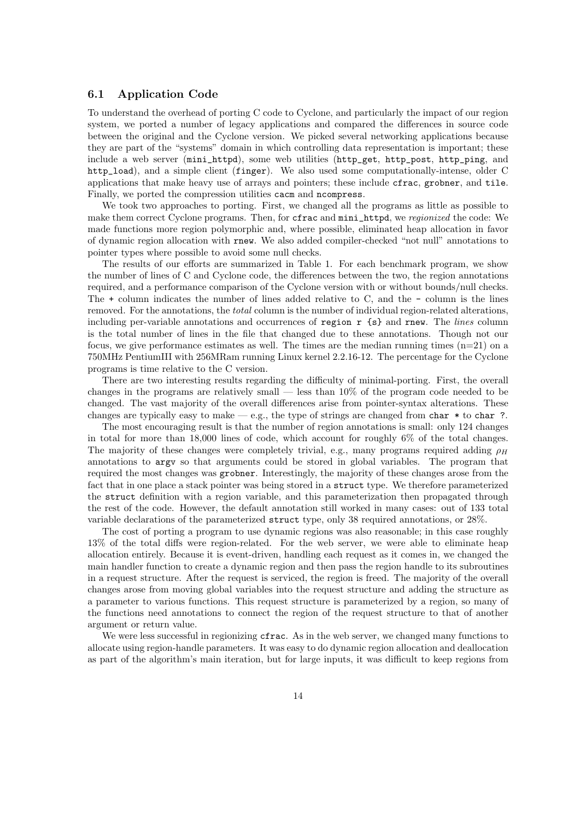# 6.1 Application Code

To understand the overhead of porting C code to Cyclone, and particularly the impact of our region system, we ported a number of legacy applications and compared the differences in source code between the original and the Cyclone version. We picked several networking applications because they are part of the "systems" domain in which controlling data representation is important; these include a web server (mini\_httpd), some web utilities (http\_get, http\_post, http\_ping, and http\_load), and a simple client (finger). We also used some computationally-intense, older C applications that make heavy use of arrays and pointers; these include cfrac, grobner, and tile. Finally, we ported the compression utilities cacm and ncompress.

We took two approaches to porting. First, we changed all the programs as little as possible to make them correct Cyclone programs. Then, for cfrac and mini\_httpd, we regionized the code: We made functions more region polymorphic and, where possible, eliminated heap allocation in favor of dynamic region allocation with rnew. We also added compiler-checked "not null" annotations to pointer types where possible to avoid some null checks.

The results of our efforts are summarized in Table 1. For each benchmark program, we show the number of lines of C and Cyclone code, the differences between the two, the region annotations required, and a performance comparison of the Cyclone version with or without bounds/null checks. The + column indicates the number of lines added relative to C, and the - column is the lines removed. For the annotations, the total column is the number of individual region-related alterations, including per-variable annotations and occurrences of region  $r \{s\}$  and rnew. The lines column is the total number of lines in the file that changed due to these annotations. Though not our focus, we give performance estimates as well. The times are the median running times  $(n=21)$  on a 750MHz PentiumIII with 256MRam running Linux kernel 2.2.16-12. The percentage for the Cyclone programs is time relative to the C version.

There are two interesting results regarding the difficulty of minimal-porting. First, the overall changes in the programs are relatively small — less than 10% of the program code needed to be changed. The vast majority of the overall differences arise from pointer-syntax alterations. These changes are typically easy to make — e.g., the type of strings are changed from char  $*$  to char ?.

The most encouraging result is that the number of region annotations is small: only 124 changes in total for more than 18,000 lines of code, which account for roughly 6% of the total changes. The majority of these changes were completely trivial, e.g., many programs required adding  $\rho_H$ annotations to argv so that arguments could be stored in global variables. The program that required the most changes was grobner. Interestingly, the majority of these changes arose from the fact that in one place a stack pointer was being stored in a struct type. We therefore parameterized the struct definition with a region variable, and this parameterization then propagated through the rest of the code. However, the default annotation still worked in many cases: out of 133 total variable declarations of the parameterized struct type, only 38 required annotations, or 28%.

The cost of porting a program to use dynamic regions was also reasonable; in this case roughly 13% of the total diffs were region-related. For the web server, we were able to eliminate heap allocation entirely. Because it is event-driven, handling each request as it comes in, we changed the main handler function to create a dynamic region and then pass the region handle to its subroutines in a request structure. After the request is serviced, the region is freed. The majority of the overall changes arose from moving global variables into the request structure and adding the structure as a parameter to various functions. This request structure is parameterized by a region, so many of the functions need annotations to connect the region of the request structure to that of another argument or return value.

We were less successful in regionizing cfrac. As in the web server, we changed many functions to allocate using region-handle parameters. It was easy to do dynamic region allocation and deallocation as part of the algorithm's main iteration, but for large inputs, it was difficult to keep regions from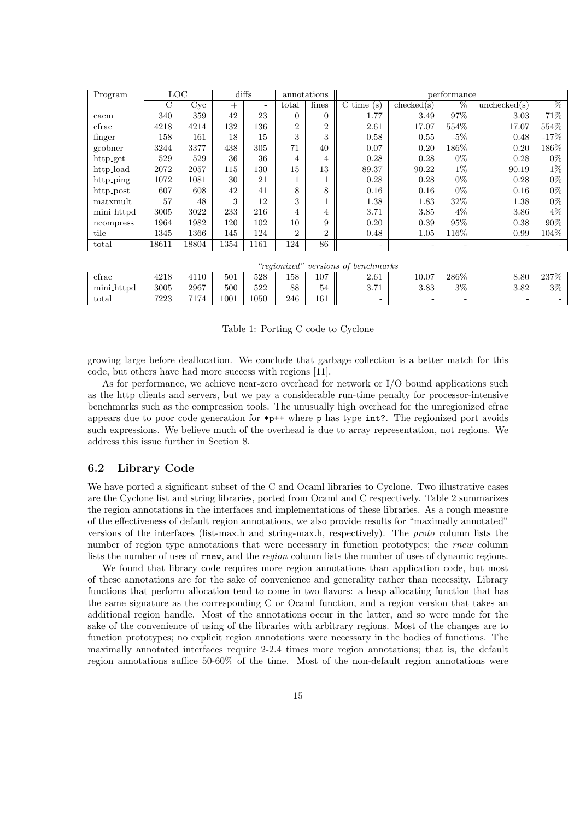| Program        | <b>LOC</b> |       | diffs  |      | annotations    |                | performance                      |            |                          |             |                 |
|----------------|------------|-------|--------|------|----------------|----------------|----------------------------------|------------|--------------------------|-------------|-----------------|
|                | C          | Cyc   | $^{+}$ | Ξ.   | total          | lines          | $\overline{\mathrm{C}}$ time (s) | checked(s) | %                        | unchexed(s) | $\overline{\%}$ |
| cacm           | 340        | 359   | 42     | 23   | $\Omega$       | $\Omega$       | 1.77                             | 3.49       | 97%                      | 3.03        | 71%             |
| $_{\rm cfrac}$ | 4218       | 4214  | 132    | 136  | $\overline{2}$ | $\overline{2}$ | 2.61                             | 17.07      | 554\%                    | 17.07       | 554\%           |
| finger         | 158        | 161   | 18     | 15   | 3              | 3              | 0.58                             | 0.55       | $-5\%$                   | 0.48        | $-17%$          |
| grobner        | 3244       | 3377  | 438    | 305  | 71             | 40             | 0.07                             | 0.20       | 186\%                    | 0.20        | 186\%           |
| http_get       | 529        | 529   | 36     | 36   | 4              | 4              | 0.28                             | 0.28       | $0\%$                    | 0.28        | $0\%$           |
| http_load      | 2072       | 2057  | 115    | 130  | 15             | 13             | 89.37                            | 90.22      | $1\%$                    | 90.19       | $1\%$           |
| http_ping      | 1072       | 1081  | 30     | 21   |                |                | 0.28                             | 0.28       | $0\%$                    | 0.28        | $0\%$           |
| http_post      | 607        | 608   | 42     | 41   | 8              | 8              | 0.16                             | 0.16       | $0\%$                    | 0.16        | $0\%$           |
| matxmult       | 57         | 48    | 3      | 12   | 3              |                | 1.38                             | 1.83       | 32\%                     | 1.38        | $0\%$           |
| mini_httpd     | 3005       | 3022  | 233    | 216  | 4              | 4              | 3.71                             | 3.85       | $4\%$                    | 3.86        | $4\%$           |
| ncompress      | 1964       | 1982  | 120    | 102  | 10             | 9              | 0.20                             | 0.39       | 95%                      | 0.38        | $90\%$          |
| tile           | 1345       | 1366  | 145    | 124  | $\overline{2}$ | $\overline{2}$ | 0.48                             | 1.05       | 116\%                    | 0.99        | 104\%           |
| total          | 18611      | 18804 | 1354   | 1161 | 124            | 86             | $\overline{\phantom{0}}$         |            | $\overline{\phantom{0}}$ |             |                 |
|                |            |       |        |      |                |                |                                  |            |                          |             |                 |

| "regionized"<br><i>r</i> versions of benchmarks |      |      |      |            |     |     |            |           |         |           |                          |
|-------------------------------------------------|------|------|------|------------|-----|-----|------------|-----------|---------|-----------|--------------------------|
| ctrac                                           | 4218 | 4110 | 501  | 528        | 158 | 107 | $2.61\,$   | $10.07\,$ | $286\%$ | 8.80      | 237\%                    |
| mini_httpd                                      | 3005 | 2967 | 500  | roo<br>944 | 88  | 54  | o m<br>. 1 | 3.83      | $3\%$   | $_{3.82}$ | $3\%$                    |
| total                                           | 7223 | 7174 | 1001 | 1050       | 246 | 161 | -          |           | -       | -         | $\overline{\phantom{a}}$ |

Table 1: Porting C code to Cyclone

growing large before deallocation. We conclude that garbage collection is a better match for this code, but others have had more success with regions [11].

As for performance, we achieve near-zero overhead for network or I/O bound applications such as the http clients and servers, but we pay a considerable run-time penalty for processor-intensive benchmarks such as the compression tools. The unusually high overhead for the unregionized cfrac appears due to poor code generation for  $\ast p++$  where p has type int?. The regionized port avoids such expressions. We believe much of the overhead is due to array representation, not regions. We address this issue further in Section 8.

# 6.2 Library Code

We have ported a significant subset of the C and Ocaml libraries to Cyclone. Two illustrative cases are the Cyclone list and string libraries, ported from Ocaml and C respectively. Table 2 summarizes the region annotations in the interfaces and implementations of these libraries. As a rough measure of the effectiveness of default region annotations, we also provide results for "maximally annotated" versions of the interfaces (list-max.h and string-max.h, respectively). The proto column lists the number of region type annotations that were necessary in function prototypes; the rnew column lists the number of uses of rnew, and the *region* column lists the number of uses of dynamic regions.

We found that library code requires more region annotations than application code, but most of these annotations are for the sake of convenience and generality rather than necessity. Library functions that perform allocation tend to come in two flavors: a heap allocating function that has the same signature as the corresponding C or Ocaml function, and a region version that takes an additional region handle. Most of the annotations occur in the latter, and so were made for the sake of the convenience of using of the libraries with arbitrary regions. Most of the changes are to function prototypes; no explicit region annotations were necessary in the bodies of functions. The maximally annotated interfaces require 2-2.4 times more region annotations; that is, the default region annotations suffice 50-60% of the time. Most of the non-default region annotations were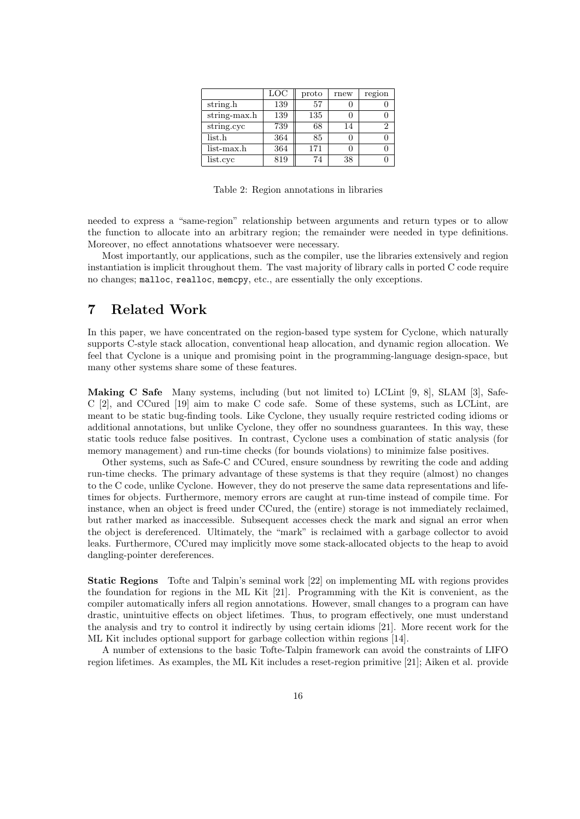|                     | $_{\mathrm{LOC}}$ | proto | rnew | region |
|---------------------|-------------------|-------|------|--------|
| string.h            | 139               | 57    |      |        |
| string-max. $h$     | 139               | 135   |      |        |
| string.cyc          | 739               | 68    | 14   | 2      |
| list.h              | 364               | 85    |      |        |
| $_{\rm list-max.h}$ | 364               | 171   |      |        |
| list.cyc            | 819               | 74    | 38   |        |

Table 2: Region annotations in libraries

needed to express a "same-region" relationship between arguments and return types or to allow the function to allocate into an arbitrary region; the remainder were needed in type definitions. Moreover, no effect annotations whatsoever were necessary.

Most importantly, our applications, such as the compiler, use the libraries extensively and region instantiation is implicit throughout them. The vast majority of library calls in ported C code require no changes; malloc, realloc, memcpy, etc., are essentially the only exceptions.

# 7 Related Work

In this paper, we have concentrated on the region-based type system for Cyclone, which naturally supports C-style stack allocation, conventional heap allocation, and dynamic region allocation. We feel that Cyclone is a unique and promising point in the programming-language design-space, but many other systems share some of these features.

Making C Safe Many systems, including (but not limited to) LCLint [9, 8], SLAM [3], Safe-C [2], and CCured [19] aim to make C code safe. Some of these systems, such as LCLint, are meant to be static bug-finding tools. Like Cyclone, they usually require restricted coding idioms or additional annotations, but unlike Cyclone, they offer no soundness guarantees. In this way, these static tools reduce false positives. In contrast, Cyclone uses a combination of static analysis (for memory management) and run-time checks (for bounds violations) to minimize false positives.

Other systems, such as Safe-C and CCured, ensure soundness by rewriting the code and adding run-time checks. The primary advantage of these systems is that they require (almost) no changes to the C code, unlike Cyclone. However, they do not preserve the same data representations and lifetimes for objects. Furthermore, memory errors are caught at run-time instead of compile time. For instance, when an object is freed under CCured, the (entire) storage is not immediately reclaimed, but rather marked as inaccessible. Subsequent accesses check the mark and signal an error when the object is dereferenced. Ultimately, the "mark" is reclaimed with a garbage collector to avoid leaks. Furthermore, CCured may implicitly move some stack-allocated objects to the heap to avoid dangling-pointer dereferences.

Static Regions Tofte and Talpin's seminal work [22] on implementing ML with regions provides the foundation for regions in the ML Kit [21]. Programming with the Kit is convenient, as the compiler automatically infers all region annotations. However, small changes to a program can have drastic, unintuitive effects on object lifetimes. Thus, to program effectively, one must understand the analysis and try to control it indirectly by using certain idioms [21]. More recent work for the ML Kit includes optional support for garbage collection within regions [14].

A number of extensions to the basic Tofte-Talpin framework can avoid the constraints of LIFO region lifetimes. As examples, the ML Kit includes a reset-region primitive [21]; Aiken et al. provide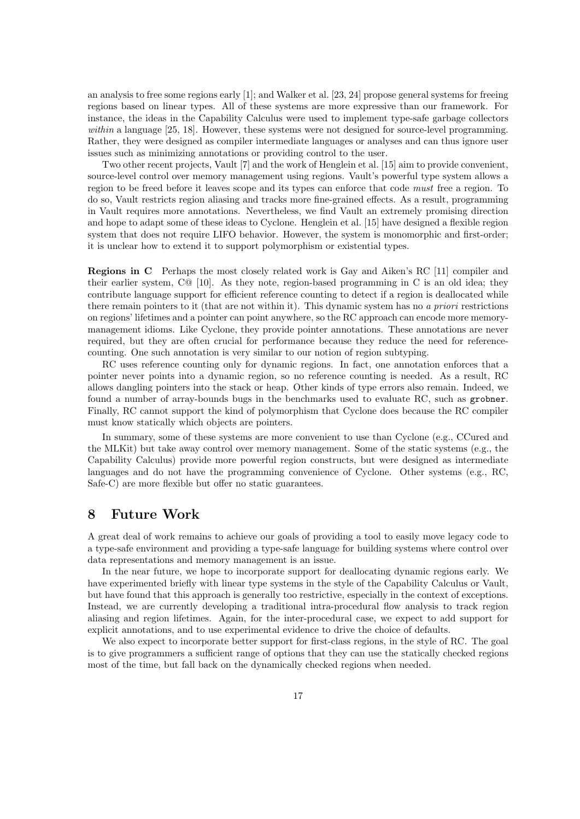an analysis to free some regions early [1]; and Walker et al. [23, 24] propose general systems for freeing regions based on linear types. All of these systems are more expressive than our framework. For instance, the ideas in the Capability Calculus were used to implement type-safe garbage collectors within a language [25, 18]. However, these systems were not designed for source-level programming. Rather, they were designed as compiler intermediate languages or analyses and can thus ignore user issues such as minimizing annotations or providing control to the user.

Two other recent projects, Vault [7] and the work of Henglein et al. [15] aim to provide convenient, source-level control over memory management using regions. Vault's powerful type system allows a region to be freed before it leaves scope and its types can enforce that code must free a region. To do so, Vault restricts region aliasing and tracks more fine-grained effects. As a result, programming in Vault requires more annotations. Nevertheless, we find Vault an extremely promising direction and hope to adapt some of these ideas to Cyclone. Henglein et al. [15] have designed a flexible region system that does not require LIFO behavior. However, the system is monomorphic and first-order; it is unclear how to extend it to support polymorphism or existential types.

Regions in C Perhaps the most closely related work is Gay and Aiken's RC [11] compiler and their earlier system, C@ [10]. As they note, region-based programming in C is an old idea; they contribute language support for efficient reference counting to detect if a region is deallocated while there remain pointers to it (that are not within it). This dynamic system has no a priori restrictions on regions' lifetimes and a pointer can point anywhere, so the RC approach can encode more memorymanagement idioms. Like Cyclone, they provide pointer annotations. These annotations are never required, but they are often crucial for performance because they reduce the need for referencecounting. One such annotation is very similar to our notion of region subtyping.

RC uses reference counting only for dynamic regions. In fact, one annotation enforces that a pointer never points into a dynamic region, so no reference counting is needed. As a result, RC allows dangling pointers into the stack or heap. Other kinds of type errors also remain. Indeed, we found a number of array-bounds bugs in the benchmarks used to evaluate RC, such as grobner. Finally, RC cannot support the kind of polymorphism that Cyclone does because the RC compiler must know statically which objects are pointers.

In summary, some of these systems are more convenient to use than Cyclone (e.g., CCured and the MLKit) but take away control over memory management. Some of the static systems (e.g., the Capability Calculus) provide more powerful region constructs, but were designed as intermediate languages and do not have the programming convenience of Cyclone. Other systems (e.g., RC, Safe-C) are more flexible but offer no static guarantees.

# 8 Future Work

A great deal of work remains to achieve our goals of providing a tool to easily move legacy code to a type-safe environment and providing a type-safe language for building systems where control over data representations and memory management is an issue.

In the near future, we hope to incorporate support for deallocating dynamic regions early. We have experimented briefly with linear type systems in the style of the Capability Calculus or Vault, but have found that this approach is generally too restrictive, especially in the context of exceptions. Instead, we are currently developing a traditional intra-procedural flow analysis to track region aliasing and region lifetimes. Again, for the inter-procedural case, we expect to add support for explicit annotations, and to use experimental evidence to drive the choice of defaults.

We also expect to incorporate better support for first-class regions, in the style of RC. The goal is to give programmers a sufficient range of options that they can use the statically checked regions most of the time, but fall back on the dynamically checked regions when needed.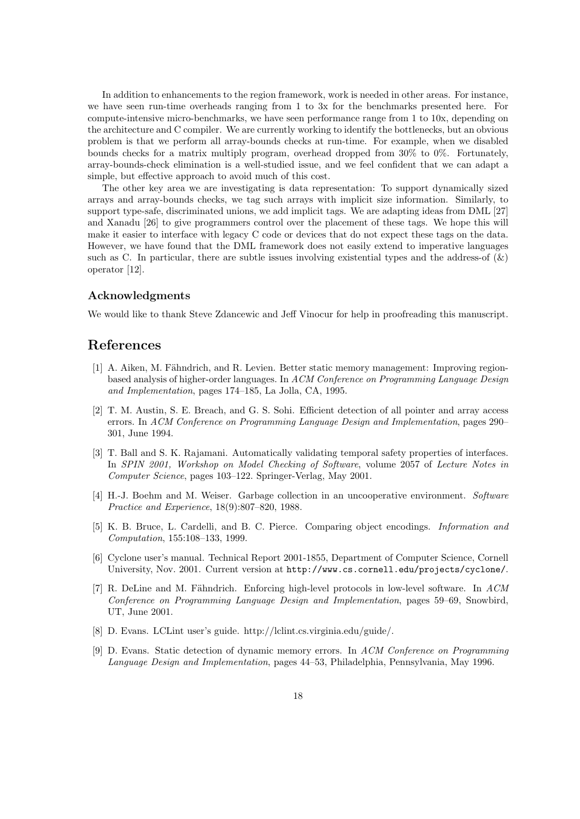In addition to enhancements to the region framework, work is needed in other areas. For instance, we have seen run-time overheads ranging from 1 to 3x for the benchmarks presented here. For compute-intensive micro-benchmarks, we have seen performance range from 1 to 10x, depending on the architecture and C compiler. We are currently working to identify the bottlenecks, but an obvious problem is that we perform all array-bounds checks at run-time. For example, when we disabled bounds checks for a matrix multiply program, overhead dropped from 30% to 0%. Fortunately, array-bounds-check elimination is a well-studied issue, and we feel confident that we can adapt a simple, but effective approach to avoid much of this cost.

The other key area we are investigating is data representation: To support dynamically sized arrays and array-bounds checks, we tag such arrays with implicit size information. Similarly, to support type-safe, discriminated unions, we add implicit tags. We are adapting ideas from DML [27] and Xanadu [26] to give programmers control over the placement of these tags. We hope this will make it easier to interface with legacy C code or devices that do not expect these tags on the data. However, we have found that the DML framework does not easily extend to imperative languages such as C. In particular, there are subtle issues involving existential types and the address-of  $(\&)$ operator [12].

## Acknowledgments

We would like to thank Steve Zdancewic and Jeff Vinocur for help in proofreading this manuscript.

# References

- [1] A. Aiken, M. Fähndrich, and R. Levien. Better static memory management: Improving regionbased analysis of higher-order languages. In ACM Conference on Programming Language Design and Implementation, pages 174–185, La Jolla, CA, 1995.
- [2] T. M. Austin, S. E. Breach, and G. S. Sohi. Efficient detection of all pointer and array access errors. In ACM Conference on Programming Language Design and Implementation, pages 290– 301, June 1994.
- [3] T. Ball and S. K. Rajamani. Automatically validating temporal safety properties of interfaces. In SPIN 2001, Workshop on Model Checking of Software, volume 2057 of Lecture Notes in Computer Science, pages 103–122. Springer-Verlag, May 2001.
- [4] H.-J. Boehm and M. Weiser. Garbage collection in an uncooperative environment. Software Practice and Experience, 18(9):807–820, 1988.
- [5] K. B. Bruce, L. Cardelli, and B. C. Pierce. Comparing object encodings. Information and Computation, 155:108–133, 1999.
- [6] Cyclone user's manual. Technical Report 2001-1855, Department of Computer Science, Cornell University, Nov. 2001. Current version at http://www.cs.cornell.edu/projects/cyclone/.
- [7] R. DeLine and M. Fähndrich. Enforcing high-level protocols in low-level software. In  $ACM$ Conference on Programming Language Design and Implementation, pages 59–69, Snowbird, UT, June 2001.
- [8] D. Evans. LCLint user's guide. http://lclint.cs.virginia.edu/guide/.
- [9] D. Evans. Static detection of dynamic memory errors. In ACM Conference on Programming Language Design and Implementation, pages 44–53, Philadelphia, Pennsylvania, May 1996.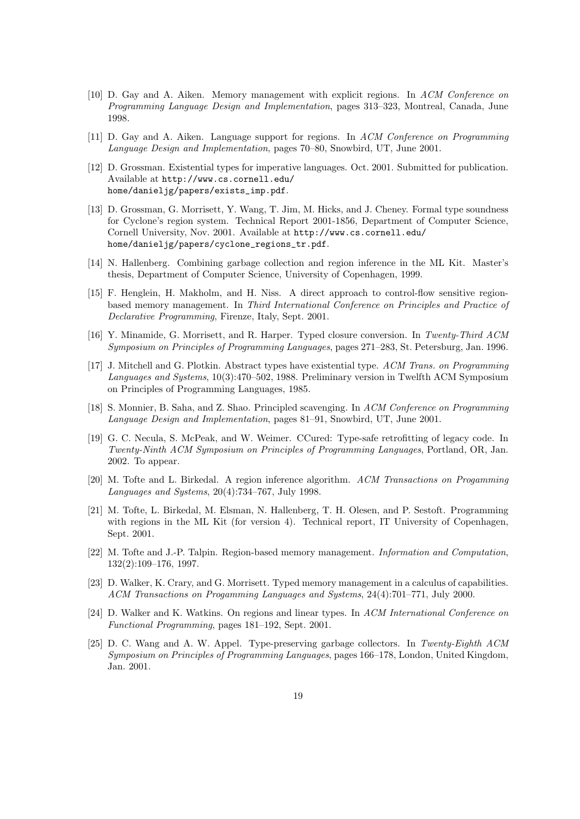- [10] D. Gay and A. Aiken. Memory management with explicit regions. In ACM Conference on Programming Language Design and Implementation, pages 313–323, Montreal, Canada, June 1998.
- [11] D. Gay and A. Aiken. Language support for regions. In ACM Conference on Programming Language Design and Implementation, pages 70–80, Snowbird, UT, June 2001.
- [12] D. Grossman. Existential types for imperative languages. Oct. 2001. Submitted for publication. Available at http://www.cs.cornell.edu/ home/danieljg/papers/exists\_imp.pdf.
- [13] D. Grossman, G. Morrisett, Y. Wang, T. Jim, M. Hicks, and J. Cheney. Formal type soundness for Cyclone's region system. Technical Report 2001-1856, Department of Computer Science, Cornell University, Nov. 2001. Available at http://www.cs.cornell.edu/ home/danieljg/papers/cyclone\_regions\_tr.pdf.
- [14] N. Hallenberg. Combining garbage collection and region inference in the ML Kit. Master's thesis, Department of Computer Science, University of Copenhagen, 1999.
- [15] F. Henglein, H. Makholm, and H. Niss. A direct approach to control-flow sensitive regionbased memory management. In Third International Conference on Principles and Practice of Declarative Programming, Firenze, Italy, Sept. 2001.
- [16] Y. Minamide, G. Morrisett, and R. Harper. Typed closure conversion. In Twenty-Third ACM Symposium on Principles of Programming Languages, pages 271–283, St. Petersburg, Jan. 1996.
- [17] J. Mitchell and G. Plotkin. Abstract types have existential type. ACM Trans. on Programming Languages and Systems, 10(3):470–502, 1988. Preliminary version in Twelfth ACM Symposium on Principles of Programming Languages, 1985.
- [18] S. Monnier, B. Saha, and Z. Shao. Principled scavenging. In ACM Conference on Programming Language Design and Implementation, pages 81–91, Snowbird, UT, June 2001.
- [19] G. C. Necula, S. McPeak, and W. Weimer. CCured: Type-safe retrofitting of legacy code. In Twenty-Ninth ACM Symposium on Principles of Programming Languages, Portland, OR, Jan. 2002. To appear.
- [20] M. Tofte and L. Birkedal. A region inference algorithm. ACM Transactions on Progamming Languages and Systems, 20(4):734–767, July 1998.
- [21] M. Tofte, L. Birkedal, M. Elsman, N. Hallenberg, T. H. Olesen, and P. Sestoft. Programming with regions in the ML Kit (for version 4). Technical report, IT University of Copenhagen, Sept. 2001.
- [22] M. Tofte and J.-P. Talpin. Region-based memory management. Information and Computation, 132(2):109–176, 1997.
- [23] D. Walker, K. Crary, and G. Morrisett. Typed memory management in a calculus of capabilities. ACM Transactions on Progamming Languages and Systems, 24(4):701–771, July 2000.
- [24] D. Walker and K. Watkins. On regions and linear types. In ACM International Conference on Functional Programming, pages 181–192, Sept. 2001.
- [25] D. C. Wang and A. W. Appel. Type-preserving garbage collectors. In Twenty-Eighth ACM Symposium on Principles of Programming Languages, pages 166–178, London, United Kingdom, Jan. 2001.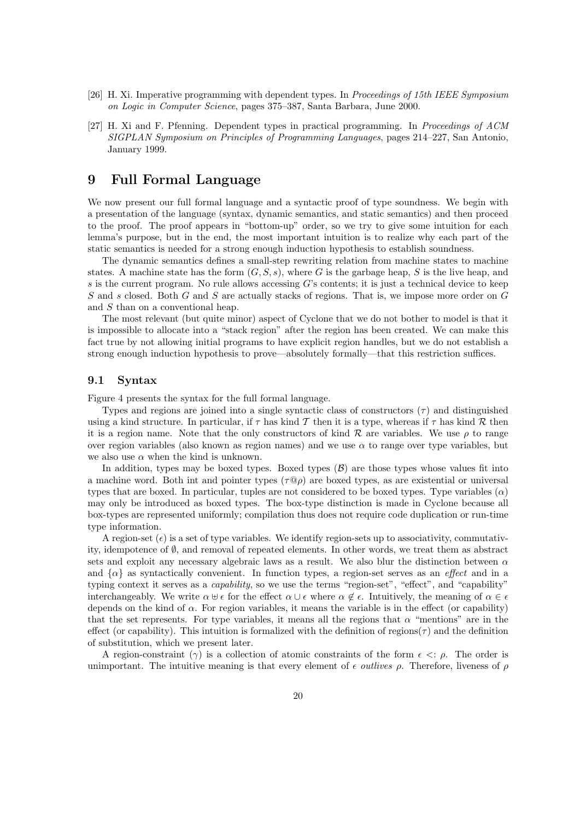- [26] H. Xi. Imperative programming with dependent types. In Proceedings of 15th IEEE Symposium on Logic in Computer Science, pages 375–387, Santa Barbara, June 2000.
- [27] H. Xi and F. Pfenning. Dependent types in practical programming. In Proceedings of ACM SIGPLAN Symposium on Principles of Programming Languages, pages 214–227, San Antonio, January 1999.

# 9 Full Formal Language

We now present our full formal language and a syntactic proof of type soundness. We begin with a presentation of the language (syntax, dynamic semantics, and static semantics) and then proceed to the proof. The proof appears in "bottom-up" order, so we try to give some intuition for each lemma's purpose, but in the end, the most important intuition is to realize why each part of the static semantics is needed for a strong enough induction hypothesis to establish soundness.

The dynamic semantics defines a small-step rewriting relation from machine states to machine states. A machine state has the form  $(G, S, s)$ , where G is the garbage heap, S is the live heap, and s is the current program. No rule allows accessing  $G$ 's contents; it is just a technical device to keep  $S$  and  $s$  closed. Both  $G$  and  $S$  are actually stacks of regions. That is, we impose more order on  $G$ and S than on a conventional heap.

The most relevant (but quite minor) aspect of Cyclone that we do not bother to model is that it is impossible to allocate into a "stack region" after the region has been created. We can make this fact true by not allowing initial programs to have explicit region handles, but we do not establish a strong enough induction hypothesis to prove—absolutely formally—that this restriction suffices.

# 9.1 Syntax

Figure 4 presents the syntax for the full formal language.

Types and regions are joined into a single syntactic class of constructors  $(\tau)$  and distinguished using a kind structure. In particular, if  $\tau$  has kind T then it is a type, whereas if  $\tau$  has kind R then it is a region name. Note that the only constructors of kind  $\mathcal R$  are variables. We use  $\rho$  to range over region variables (also known as region names) and we use  $\alpha$  to range over type variables, but we also use  $\alpha$  when the kind is unknown.

In addition, types may be boxed types. Boxed types  $(\mathcal{B})$  are those types whose values fit into a machine word. Both int and pointer types  $(\tau \mathbb{Q}_p)$  are boxed types, as are existential or universal types that are boxed. In particular, tuples are not considered to be boxed types. Type variables  $(\alpha)$ may only be introduced as boxed types. The box-type distinction is made in Cyclone because all box-types are represented uniformly; compilation thus does not require code duplication or run-time type information.

A region-set  $(\epsilon)$  is a set of type variables. We identify region-sets up to associativity, commutativity, idempotence of  $\emptyset$ , and removal of repeated elements. In other words, we treat them as abstract sets and exploit any necessary algebraic laws as a result. We also blur the distinction between  $\alpha$ and  $\{\alpha\}$  as syntactically convenient. In function types, a region-set serves as an *effect* and in a typing context it serves as a capability, so we use the terms "region-set", "effect", and "capability" interchangeably. We write  $\alpha \oplus \epsilon$  for the effect  $\alpha \cup \epsilon$  where  $\alpha \notin \epsilon$ . Intuitively, the meaning of  $\alpha \in \epsilon$ depends on the kind of  $\alpha$ . For region variables, it means the variable is in the effect (or capability) that the set represents. For type variables, it means all the regions that  $\alpha$  "mentions" are in the effect (or capability). This intuition is formalized with the definition of regions( $\tau$ ) and the definition of substitution, which we present later.

A region-constraint ( $\gamma$ ) is a collection of atomic constraints of the form  $\epsilon \leq \rho$ . The order is unimportant. The intuitive meaning is that every element of  $\epsilon$  *outlives*  $\rho$ . Therefore, liveness of  $\rho$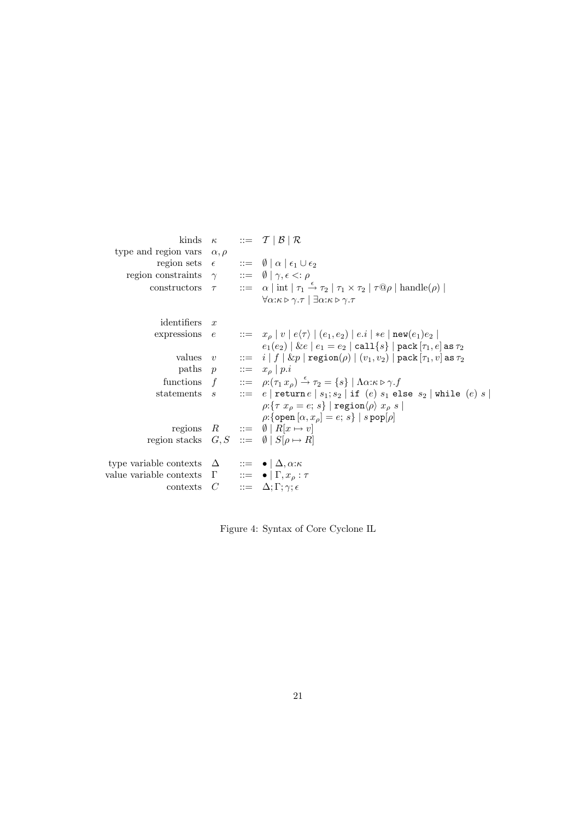|                                                                                       |  | kinds $\kappa$ ::= $\mathcal{T}   \mathcal{B}   \mathcal{R}$                                                                                          |
|---------------------------------------------------------------------------------------|--|-------------------------------------------------------------------------------------------------------------------------------------------------------|
| type and region vars $\alpha, \rho$                                                   |  |                                                                                                                                                       |
|                                                                                       |  | region sets $\epsilon$ ::= $\emptyset   \alpha   \epsilon_1 \cup \epsilon_2$                                                                          |
| region constraints $\gamma$ ::= $\emptyset   \gamma, \epsilon \langle : \rho \rangle$ |  |                                                                                                                                                       |
|                                                                                       |  | constructors $\tau$ ::= $\alpha$   int   $\tau_1 \stackrel{\epsilon}{\rightarrow} \tau_2$   $\tau_1 \times \tau_2$   $\tau @ \rho$   handle( $\rho$ ) |
|                                                                                       |  | $\forall \alpha:\kappa \triangleright \gamma.\tau \mid \exists \alpha:\kappa \triangleright \gamma.\tau$                                              |
| identifiers $x$                                                                       |  |                                                                                                                                                       |
|                                                                                       |  | expressions $e$ $\qquad := x_{\rho}   v   e \langle \tau \rangle   (e_1, e_2)   e_i   *e   \text{new}(e_1) e_2  $                                     |
|                                                                                       |  | $e_1(e_2)   \& e   e_1 = e_2   \text{call}\{s\}   \text{pack}[\tau_1, e] \text{ as } \tau_2$                                                          |
|                                                                                       |  | values $v$ : $i   f   \& p   \mathbf{rep}(p)   (v_1, v_2)   \mathbf{pack}[\tau_1, v]$ as $\tau_2$                                                     |
|                                                                                       |  | paths $p$ ::= $x_{\rho}   p.i$                                                                                                                        |
|                                                                                       |  | functions $f$ $::= \rho: (\tau_1 x_o) \stackrel{\epsilon}{\rightarrow} \tau_2 = \{s\} \mid \Lambda \alpha: \kappa \triangleright \gamma \cdot f$      |
| statements                                                                            |  | $s$ := e return $e   s_1; s_2  $ if $(e)   s_1$ else $s_2  $ while $(e)   s  $                                                                        |
|                                                                                       |  | $\rho: \{ \tau   x_{\rho} = e \text{; } s \} \mid \text{region} \langle \rho \rangle   x_{\rho}   s \mid$                                             |
|                                                                                       |  | $\rho:\{\text{open}\,[\alpha,x_o]=e;\,s\}\mid s\,\text{pop}[\rho]$                                                                                    |
|                                                                                       |  | regions $R$ ::= $\emptyset \mid R[x \mapsto v]$                                                                                                       |
| region stacks $G, S ::= \emptyset   S[\rho \mapsto R]$                                |  |                                                                                                                                                       |
| type variable contexts $\Delta$ ::= $\bullet$ $ \Delta, \alpha:\kappa$                |  |                                                                                                                                                       |
| value variable contexts $\Gamma$ ::= $\bullet   \Gamma, x_{\rho} : \tau$              |  |                                                                                                                                                       |
|                                                                                       |  | contexts $C$ ::= $\Delta; \Gamma; \gamma; \epsilon$                                                                                                   |
|                                                                                       |  |                                                                                                                                                       |

Figure 4: Syntax of Core Cyclone IL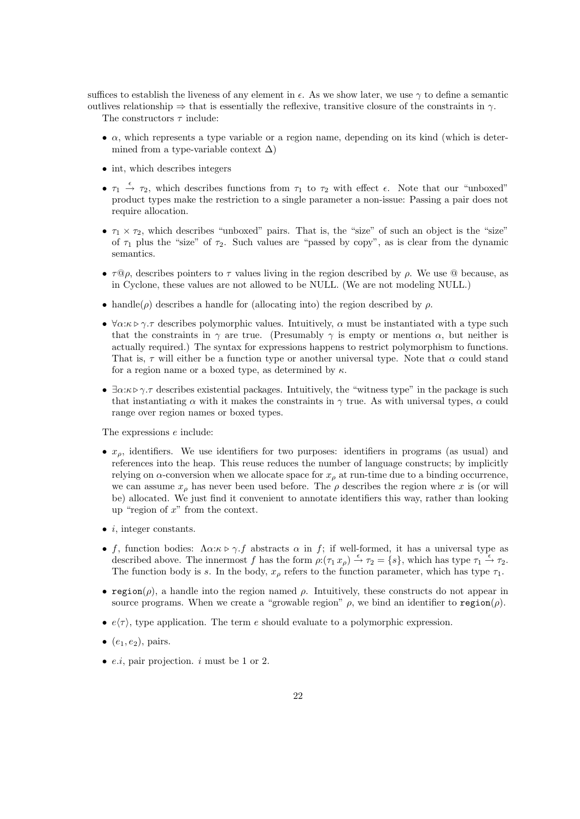suffices to establish the liveness of any element in  $\epsilon$ . As we show later, we use  $\gamma$  to define a semantic outlives relationship  $\Rightarrow$  that is essentially the reflexive, transitive closure of the constraints in  $\gamma$ .

The constructors  $\tau$  include:

- $\bullet$   $\alpha$ , which represents a type variable or a region name, depending on its kind (which is determined from a type-variable context  $\Delta$ )
- int, which describes integers
- $\tau_1 \stackrel{\epsilon}{\rightarrow} \tau_2$ , which describes functions from  $\tau_1$  to  $\tau_2$  with effect  $\epsilon$ . Note that our "unboxed" product types make the restriction to a single parameter a non-issue: Passing a pair does not require allocation.
- $\tau_1 \times \tau_2$ , which describes "unboxed" pairs. That is, the "size" of such an object is the "size" of  $\tau_1$  plus the "size" of  $\tau_2$ . Such values are "passed by copy", as is clear from the dynamic semantics.
- $\tau \mathbb{Q}_\rho$ , describes pointers to  $\tau$  values living in the region described by  $\rho$ . We use  $\mathbb{Q}$  because, as in Cyclone, these values are not allowed to be NULL. (We are not modeling NULL.)
- handle( $\rho$ ) describes a handle for (allocating into) the region described by  $\rho$ .
- $\forall \alpha:\kappa \triangleright \gamma.\tau$  describes polymorphic values. Intuitively,  $\alpha$  must be instantiated with a type such that the constraints in  $\gamma$  are true. (Presumably  $\gamma$  is empty or mentions  $\alpha$ , but neither is actually required.) The syntax for expressions happens to restrict polymorphism to functions. That is,  $\tau$  will either be a function type or another universal type. Note that  $\alpha$  could stand for a region name or a boxed type, as determined by  $\kappa$ .
- $\exists \alpha:\kappa \triangleright \gamma$ , describes existential packages. Intuitively, the "witness type" in the package is such that instantiating  $\alpha$  with it makes the constraints in  $\gamma$  true. As with universal types,  $\alpha$  could range over region names or boxed types.

The expressions e include:

- $x_{\rho}$ , identifiers. We use identifiers for two purposes: identifiers in programs (as usual) and references into the heap. This reuse reduces the number of language constructs; by implicitly relying on  $\alpha$ -conversion when we allocate space for  $x_{\rho}$  at run-time due to a binding occurrence, we can assume  $x_{\rho}$  has never been used before. The  $\rho$  describes the region where x is (or will be) allocated. We just find it convenient to annotate identifiers this way, rather than looking up "region of  $x$ " from the context.
- $\bullet$  *i*, integer constants.
- f, function bodies:  $\Lambda \alpha : \kappa \triangleright \gamma$  f abstracts  $\alpha$  in f; if well-formed, it has a universal type as described above. The innermost f has the form  $\rho: (\tau_1 x_\rho) \stackrel{\epsilon}{\to} \tau_2 = \{s\}$ , which has type  $\tau_1 \stackrel{\epsilon}{\to} \tau_2$ . The function body is s. In the body,  $x<sub>o</sub>$  refers to the function parameter, which has type  $\tau_1$ .
- region( $\rho$ ), a handle into the region named  $\rho$ . Intuitively, these constructs do not appear in source programs. When we create a "growable region"  $\rho$ , we bind an identifier to region( $\rho$ ).
- $e\langle \tau \rangle$ , type application. The term e should evaluate to a polymorphic expression.
- $\bullet$   $(e_1, e_2)$ , pairs.
- *e.i.*, pair projection.  $i$  must be 1 or 2.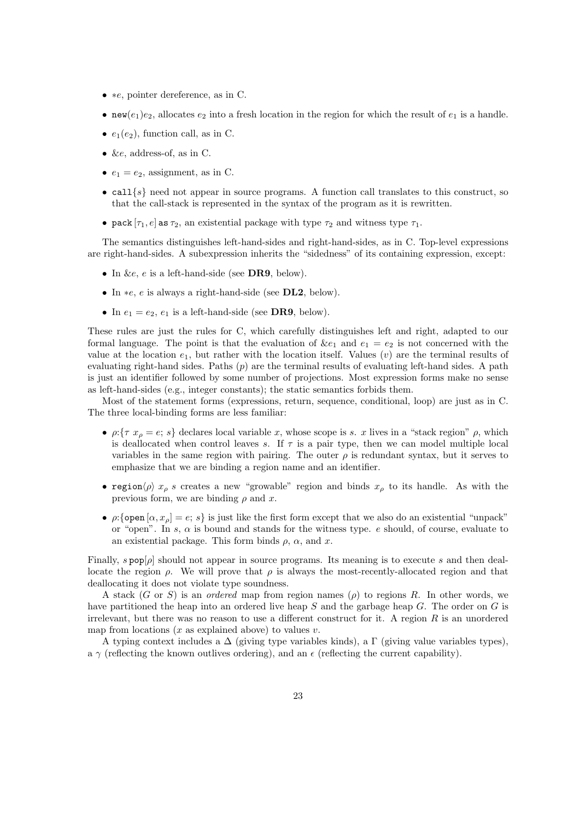- ∗e, pointer dereference, as in C.
- new( $e_1$ ) $e_2$ , allocates  $e_2$  into a fresh location in the region for which the result of  $e_1$  is a handle.
- $e_1(e_2)$ , function call, as in C.
- &e, address-of, as in C.
- $e_1 = e_2$ , assignment, as in C.
- call  $\{s\}$  need not appear in source programs. A function call translates to this construct, so that the call-stack is represented in the syntax of the program as it is rewritten.
- pack  $[\tau_1, e]$  as  $\tau_2$ , an existential package with type  $\tau_2$  and witness type  $\tau_1$ .

The semantics distinguishes left-hand-sides and right-hand-sides, as in C. Top-level expressions are right-hand-sides. A subexpression inherits the "sidedness" of its containing expression, except:

- In &e, e is a left-hand-side (see DR9, below).
- In ∗e, e is always a right-hand-side (see DL2, below).
- In  $e_1 = e_2, e_1$  is a left-hand-side (see DR9, below).

These rules are just the rules for C, which carefully distinguishes left and right, adapted to our formal language. The point is that the evaluation of  $\&e_1$  and  $e_1 = e_2$  is not concerned with the value at the location  $e_1$ , but rather with the location itself. Values (v) are the terminal results of evaluating right-hand sides. Paths (p) are the terminal results of evaluating left-hand sides. A path is just an identifier followed by some number of projections. Most expression forms make no sense as left-hand-sides (e.g., integer constants); the static semantics forbids them.

Most of the statement forms (expressions, return, sequence, conditional, loop) are just as in C. The three local-binding forms are less familiar:

- $\rho:\{\tau x_{\rho} = e; s\}$  declares local variable x, whose scope is s. x lives in a "stack region"  $\rho$ , which is deallocated when control leaves s. If  $\tau$  is a pair type, then we can model multiple local variables in the same region with pairing. The outer  $\rho$  is redundant syntax, but it serves to emphasize that we are binding a region name and an identifier.
- region $\langle \rho \rangle x_\rho$  s creates a new "growable" region and binds  $x_\rho$  to its handle. As with the previous form, we are binding  $\rho$  and x.
- $\rho:\{\text{open}[\alpha, x_o] = e; s\}$  is just like the first form except that we also do an existential "unpack" or "open". In s,  $\alpha$  is bound and stands for the witness type. e should, of course, evaluate to an existential package. This form binds  $\rho$ ,  $\alpha$ , and x.

Finally, s pop[ $\rho$ ] should not appear in source programs. Its meaning is to execute s and then deallocate the region  $\rho$ . We will prove that  $\rho$  is always the most-recently-allocated region and that deallocating it does not violate type soundness.

A stack  $(G \text{ or } S)$  is an *ordered* map from region names  $(\rho)$  to regions R. In other words, we have partitioned the heap into an ordered live heap S and the garbage heap G. The order on G is irrelevant, but there was no reason to use a different construct for it. A region  $R$  is an unordered map from locations  $(x \text{ as explained above})$  to values v.

A typing context includes a  $\Delta$  (giving type variables kinds), a  $\Gamma$  (giving value variables types), a  $\gamma$  (reflecting the known outlives ordering), and an  $\epsilon$  (reflecting the current capability).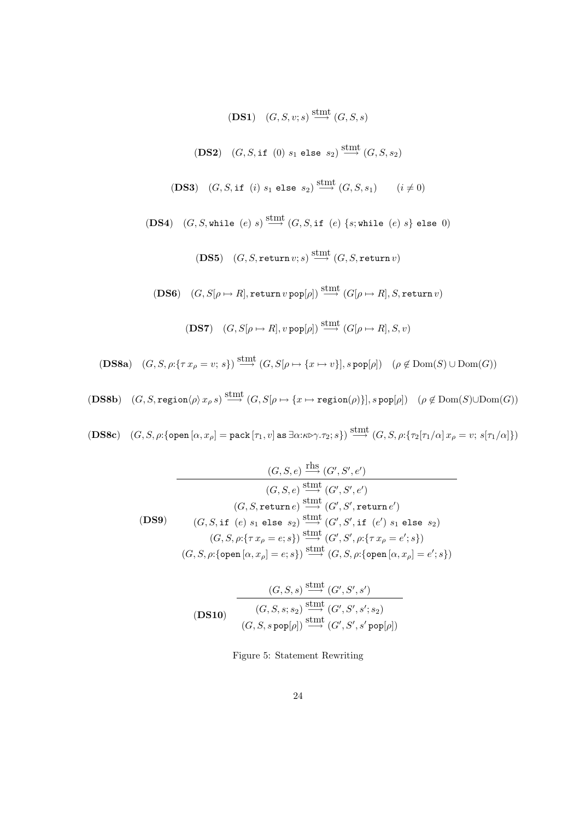(DS1) 
$$
(G, S, v; s) \xrightarrow{\text{stmt}} (G, S, s)
$$

(DS2) 
$$
(G, S, \text{if } (0) \ s_1 \text{ else } s_2) \overset{\text{stmt}}{\longrightarrow} (G, S, s_2)
$$

(DS3) 
$$
(G, S, \text{if } (i) \ s_1 \text{ else } s_2) \overset{\text{stmt}}{\longrightarrow} (G, S, s_1) \qquad (i \neq 0)
$$

(DS4) 
$$
(G, S, \text{while } (e) s) \xrightarrow{\text{stmt}} (G, S, \text{if } (e) \{s; \text{while } (e) s\} \text{ else } 0)
$$

 $(DS5)$   $(G, S, return v; s) \overset{\text{stmt}}{\longrightarrow} (G, S, return v)$ 

(DS6)  $(G, S[\rho \mapsto R], \texttt{return } v \texttt{ pop}[\rho]) \stackrel{\text{stmt}}{\longrightarrow} (G[\rho \mapsto R], S, \texttt{return } v)$ 

$$
(\textbf{DS7}) \quad (G, S[\rho \mapsto R], v \operatorname{pop}[\rho]) \stackrel{\operatorname{stmt}}{\longrightarrow} (G[\rho \mapsto R], S, v)
$$

 $(DSSa)$   $(G, S, \rho: \{\tau x_{\rho} = v; s\}) \stackrel{\text{stmt}}{\longrightarrow} (G, S[\rho \mapsto \{x \mapsto v\}], s \text{ pop}[\rho])$   $(\rho \notin \text{Dom}(S) \cup \text{Dom}(G))$ 

 $(DS8b)$   $(G, S, \text{region}\langle\rho\rangle x_{\rho} s) \stackrel{\text{stmt}}{\longrightarrow} (G, S[\rho \mapsto \{x \mapsto \text{region}(\rho)\}], s \,\text{pop}[\rho])$   $(\rho \not\in \text{Dom}(S) \cup \text{Dom}(G))$ 

 $(\textbf{DSSc}) \quad (G, S, \rho: \{\texttt{open}\, [\alpha, x_\rho] = \texttt{pack}\, [\tau_1, v] \text{ as } \exists \alpha: \kappa \triangleright \gamma \cdot \tau_2; s\}) \stackrel{\text{stmt}}{\longrightarrow} (G, S, \rho: \{\tau_2[\tau_1/\alpha] \, x_\rho = v; \, s[\tau_1/\alpha]\})$ 

(7.5, e) 
$$
\xrightarrow{\text{rhs}} (G', S', e')
$$
  
\n $(G, S, e) \xrightarrow{\text{stmt}} (G', S', e')$   
\n $(G, S, \text{return } e) \xrightarrow{\text{stmt}} (G', S', \text{return } e')$   
\n(DS9) (G, S, if (e) s<sub>1</sub> else s<sub>2</sub>)  $\xrightarrow{\text{stmt}} (G', S', \text{if } (e') s_1 \text{ else } s_2)$   
\n $(G, S, \rho: \{\tau x_\rho = e; s\}) \xrightarrow{\text{stmt}} (G', S', \rho: \{\tau x_\rho = e'; s\})$   
\n $(G, S, \rho: \{\text{open } [\alpha, x_\rho] = e; s\}) \xrightarrow{\text{stmt}} (G, S, \rho: \{\text{open } [\alpha, x_\rho] = e'; s\})$ 

$$
\frac{(G, S, s) \xrightarrow{\text{stmt}} (G', S', s')}{(G, S, s; s_2) \xrightarrow{\text{stmt}} (G', S', s'; s_2)}
$$

$$
(G, S, s \text{ pop}[\rho]) \xrightarrow{\text{stmt}} (G', S', s' \text{ pop}[\rho])}
$$

Figure 5: Statement Rewriting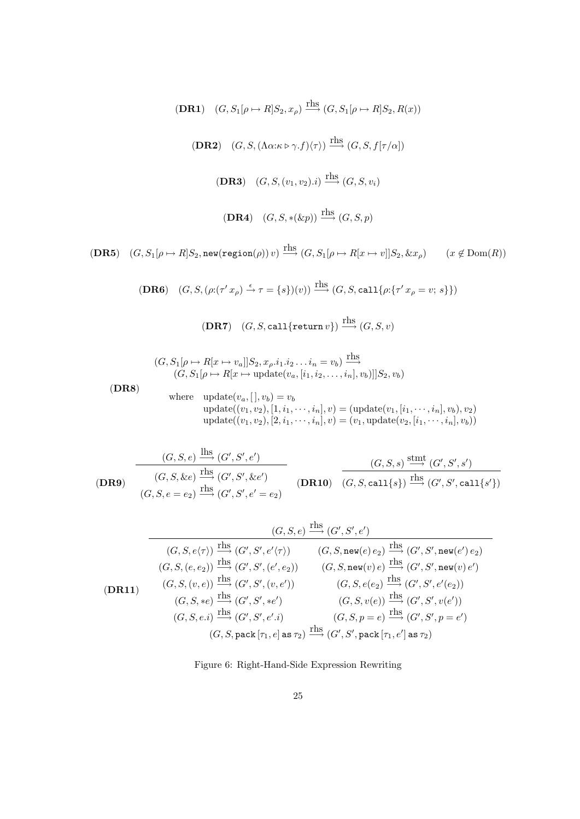$(DR1)$   $(G, S_1[\rho \mapsto R]S_2, x_{\rho}) \xrightarrow{\text{rhs}} (G, S_1[\rho \mapsto R]S_2, R(x))$ **(DR2)**  $(G, S, (\Lambda \alpha : \kappa \triangleright \gamma . f)(\tau)) \xrightarrow{\text{rhs}} (G, S, f[\tau/\alpha])$ (DR3)  $(G, S, (v_1, v_2).i) \xrightarrow{\text{rhs}} (G, S, v_i)$ (DR4)  $(G, S, *(\&p)) \xrightarrow{\text{rhs}} (G, S, p)$ 

 $(DR5)$   $(G, S_1[\rho \mapsto R]S_2$ , new(region( $\rho$ )) v)  $\stackrel{\text{rhs}}{\longrightarrow}$   $(G, S_1[\rho \mapsto R[x \mapsto v]]S_2$ ,  $\&x_\rho$ )  $(x \notin \text{Dom}(R))$ 

$$
(\mathbf{DR6}) \quad (G, S, (\rho: (\tau' x_{\rho}) \xrightarrow{\epsilon} \tau = \{s\})(v)) \xrightarrow{\text{rhs}} (G, S, \text{call}\{\rho: (\tau' x_{\rho} = v; s\}))
$$

 $(DR7)$   $(G, S, \text{call}\{\text{return } v\}) \stackrel{\text{rhs}}{\longrightarrow} (G, S, v)$ 

$$
(G, S_1[\rho \mapsto R[x \mapsto v_a]]S_2, x_{\rho}.i_1. i_2 \dots i_n = v_b) \xrightarrow{\text{rhs}} (G, S_1[\rho \mapsto R[x \mapsto \text{update}(v_a, [i_1, i_2, \dots, i_n], v_b)]]S_2, v_b)
$$

(DR8)

where  $update(v_a, [ ], v_b) = v_b$  $update((v_1, v_2), [1, i_1, \cdots, i_n], v) = (update(v_1, [i_1, \cdots, i_n], v_b), v_2)$  $update((v_1, v_2), [2, i_1, \cdots, i_n], v) = (v_1, update(v_2, [i_1, \cdots, i_n], v_b))$ 

(DR9)  $(G, S, e) \xrightarrow{\text{lhs}} (G', S', e')$  $(G, S, \&e) \xrightarrow{\text{rhs}} (G', S', \&e')$  $(G, S, e = e_2) \xrightarrow{\text{rhs}} (G', S', e' = e_2)$ (DR10)  $(G, S, s) \xrightarrow{\text{stmt}} (G', S', s')$  $(G, S, \text{call{s}}) \xrightarrow{\text{rhs}} (G', S', \text{call{s'}})$ 

$$
(G, S, e) \xrightarrow{\text{rhs}} (G', S', e')
$$
\n
$$
(G, S, e\langle \tau \rangle) \xrightarrow{\text{rhs}} (G', S', e'\langle \tau \rangle) \qquad (G, S, \text{new}(e) e_2) \xrightarrow{\text{rhs}} (G', S', \text{new}(e') e_2)
$$
\n
$$
(G, S, (e, e_2)) \xrightarrow{\text{rhs}} (G', S', (e', e_2)) \qquad (G, S, \text{new}(v) e) \xrightarrow{\text{rhs}} (G', S', \text{new}(v) e')
$$
\n
$$
(G, S, (v, e)) \xrightarrow{\text{rhs}} (G', S', (v, e')) \qquad (G, S, e(e_2) \xrightarrow{\text{rhs}} (G', S', e'(e_2))
$$
\n
$$
(G, S, *e) \xrightarrow{\text{rhs}} (G', S', *e')
$$
\n
$$
(G, S, v(e)) \xrightarrow{\text{rhs}} (G', S', v(e'))
$$
\n
$$
(G, S, \text{pack} [\tau_1, e] \text{ as } \tau_2) \xrightarrow{\text{rhs}} (G', S', \text{pack} [\tau_1, e'] \text{ as } \tau_2)
$$

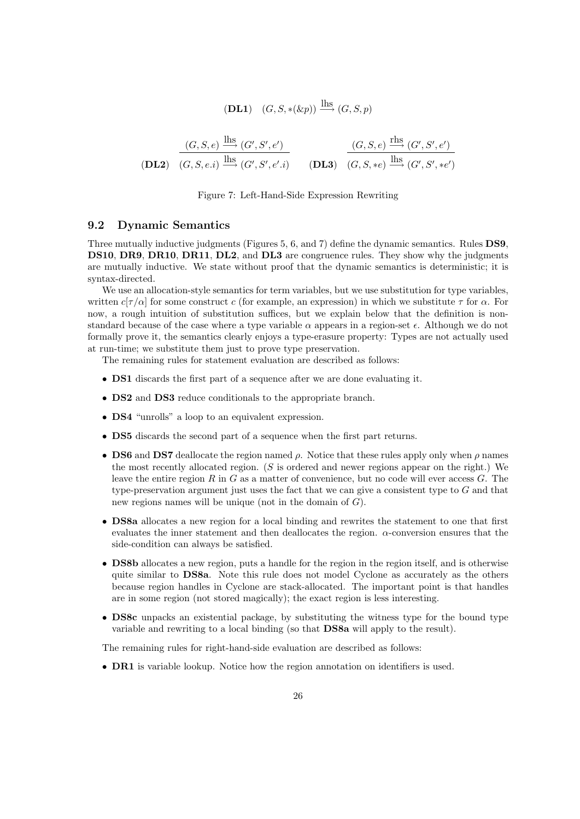$$
(\mathbf{DL1}) \quad (G, S, *(\&p)) \stackrel{\text{hbs}}{\longrightarrow} (G, S, p)
$$

$$
\frac{(G, S, e) \xrightarrow{\text{lhs}} (G', S', e')}{(G, S, e.i) \xrightarrow{\text{lhs}} (G', S', e'.i)} \qquad \frac{(G, S, e) \xrightarrow{\text{rhs}} (G', S', e')}{(G, S, *e) \xrightarrow{\text{lhs}} (G', S', *e')}
$$

#### Figure 7: Left-Hand-Side Expression Rewriting

## 9.2 Dynamic Semantics

Three mutually inductive judgments (Figures 5, 6, and 7) define the dynamic semantics. Rules DS9, DS10, DR9, DR10, DR11, DL2, and DL3 are congruence rules. They show why the judgments are mutually inductive. We state without proof that the dynamic semantics is deterministic; it is syntax-directed.

We use an allocation-style semantics for term variables, but we use substitution for type variables, written  $c[\tau/\alpha]$  for some construct c (for example, an expression) in which we substitute  $\tau$  for  $\alpha$ . For now, a rough intuition of substitution suffices, but we explain below that the definition is nonstandard because of the case where a type variable  $\alpha$  appears in a region-set  $\epsilon$ . Although we do not formally prove it, the semantics clearly enjoys a type-erasure property: Types are not actually used at run-time; we substitute them just to prove type preservation.

The remaining rules for statement evaluation are described as follows:

- DS1 discards the first part of a sequence after we are done evaluating it.
- DS2 and DS3 reduce conditionals to the appropriate branch.
- DS4 "unrolls" a loop to an equivalent expression.
- DS5 discards the second part of a sequence when the first part returns.
- DS6 and DS7 deallocate the region named  $\rho$ . Notice that these rules apply only when  $\rho$  names the most recently allocated region.  $(S$  is ordered and newer regions appear on the right.) We leave the entire region  $R$  in  $G$  as a matter of convenience, but no code will ever access  $G$ . The type-preservation argument just uses the fact that we can give a consistent type to G and that new regions names will be unique (not in the domain of G).
- DS8a allocates a new region for a local binding and rewrites the statement to one that first evaluates the inner statement and then deallocates the region.  $\alpha$ -conversion ensures that the side-condition can always be satisfied.
- DS8b allocates a new region, puts a handle for the region in the region itself, and is otherwise quite similar to **DS8a**. Note this rule does not model Cyclone as accurately as the others because region handles in Cyclone are stack-allocated. The important point is that handles are in some region (not stored magically); the exact region is less interesting.
- DS8c unpacks an existential package, by substituting the witness type for the bound type variable and rewriting to a local binding (so that DS8a will apply to the result).

The remaining rules for right-hand-side evaluation are described as follows:

• DR1 is variable lookup. Notice how the region annotation on identifiers is used.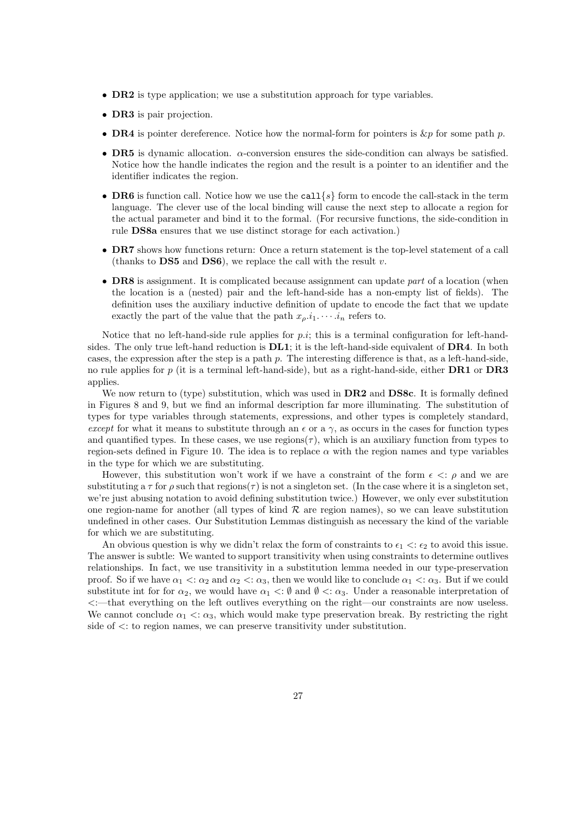- **DR2** is type application; we use a substitution approach for type variables.
- **DR3** is pair projection.
- DR4 is pointer dereference. Notice how the normal-form for pointers is  $\&p$  for some path p.
- DR5 is dynamic allocation.  $\alpha$ -conversion ensures the side-condition can always be satisfied. Notice how the handle indicates the region and the result is a pointer to an identifier and the identifier indicates the region.
- DR6 is function call. Notice how we use the call  $\{s\}$  form to encode the call-stack in the term language. The clever use of the local binding will cause the next step to allocate a region for the actual parameter and bind it to the formal. (For recursive functions, the side-condition in rule DS8a ensures that we use distinct storage for each activation.)
- DR7 shows how functions return: Once a return statement is the top-level statement of a call (thanks to DS5 and DS6), we replace the call with the result  $v$ .
- DR8 is assignment. It is complicated because assignment can update part of a location (when the location is a (nested) pair and the left-hand-side has a non-empty list of fields). The definition uses the auxiliary inductive definition of update to encode the fact that we update exactly the part of the value that the path  $x_o, i_1, \dots, i_n$  refers to.

Notice that no left-hand-side rule applies for  $p.i$ ; this is a terminal configuration for left-handsides. The only true left-hand reduction is **DL1**; it is the left-hand-side equivalent of **DR4**. In both cases, the expression after the step is a path p. The interesting difference is that, as a left-hand-side, no rule applies for p (it is a terminal left-hand-side), but as a right-hand-side, either **DR1** or **DR3** applies.

We now return to (type) substitution, which was used in **DR2** and **DS8c**. It is formally defined in Figures 8 and 9, but we find an informal description far more illuminating. The substitution of types for type variables through statements, expressions, and other types is completely standard, except for what it means to substitute through an  $\epsilon$  or a  $\gamma$ , as occurs in the cases for function types and quantified types. In these cases, we use regions( $\tau$ ), which is an auxiliary function from types to region-sets defined in Figure 10. The idea is to replace  $\alpha$  with the region names and type variables in the type for which we are substituting.

However, this substitution won't work if we have a constraint of the form  $\epsilon \leq \rho$  and we are substituting a  $\tau$  for  $\rho$  such that regions( $\tau$ ) is not a singleton set. (In the case where it is a singleton set, we're just abusing notation to avoid defining substitution twice.) However, we only ever substitution one region-name for another (all types of kind  $R$  are region names), so we can leave substitution undefined in other cases. Our Substitution Lemmas distinguish as necessary the kind of the variable for which we are substituting.

An obvious question is why we didn't relax the form of constraints to  $\epsilon_1 < \epsilon_2$  to avoid this issue. The answer is subtle: We wanted to support transitivity when using constraints to determine outlives relationships. In fact, we use transitivity in a substitution lemma needed in our type-preservation proof. So if we have  $\alpha_1 < \alpha_2$  and  $\alpha_2 < \alpha_3$ , then we would like to conclude  $\alpha_1 < \alpha_3$ . But if we could substitute int for for  $\alpha_2$ , we would have  $\alpha_1 < \emptyset$  and  $\emptyset < \alpha_3$ . Under a reasonable interpretation of <:—that everything on the left outlives everything on the right—our constraints are now useless. We cannot conclude  $\alpha_1 < \alpha_3$ , which would make type preservation break. By restricting the right side of  $\lt$ : to region names, we can preserve transitivity under substitution.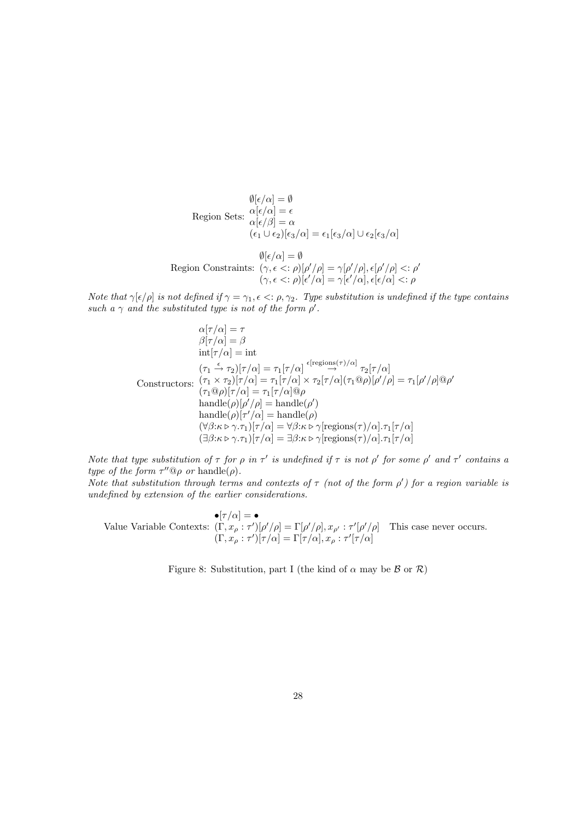$$
\emptyset[\epsilon/\alpha] = \emptyset
$$
  
Region Sets: 
$$
\alpha[\epsilon/\alpha] = \epsilon
$$

$$
\alpha[\epsilon/\beta] = \alpha
$$

$$
(\epsilon_1 \cup \epsilon_2)[\epsilon_3/\alpha] = \epsilon_1[\epsilon_3/\alpha] \cup \epsilon_2[\epsilon_3/\alpha]
$$

$$
\emptyset[\epsilon/\alpha] = \emptyset
$$

$$
\emptyset[\epsilon/\alpha] = \emptyset
$$

$$
\text{Region Constraints: } (\gamma, \epsilon \leq \epsilon) [\rho'/\rho] = \gamma[\rho'/\rho], \epsilon[\rho'/\rho] < \epsilon \rho'
$$

$$
(\gamma, \epsilon \leq \epsilon) [\epsilon'/\alpha] = \gamma[\epsilon'/\alpha], \epsilon[\epsilon/\alpha] < \epsilon \rho
$$

Note that  $\gamma[\epsilon/\rho]$  is not defined if  $\gamma = \gamma_1, \epsilon \leq \rho, \gamma_2$ . Type substitution is undefined if the type contains such a  $\gamma$  and the substituted type is not of the form  $\rho'$ .

$$
\alpha[\tau/\alpha] = \tau
$$
  
\n
$$
\beta[\tau/\alpha] = \beta
$$
  
\n
$$
int[\tau/\alpha] = int
$$
  
\n
$$
(\tau_1 \xrightarrow{\epsilon} \tau_2)[\tau/\alpha] = \tau_1[\tau/\alpha] \xrightarrow{\epsilon[\text{regions}(\tau)/\alpha]} \tau_2[\tau/\alpha]
$$
  
\nConstructors:  $(\tau_1 \times \tau_2)[\tau/\alpha] = \tau_1[\tau/\alpha] \times \tau_2[\tau/\alpha](\tau_1 \t{0} \rho)[\rho'/\rho] = \tau_1[\rho'/\rho]\t{0} \rho'$   
\n
$$
(\tau_1 \t{0} \rho)[\tau/\alpha] = \tau_1[\tau/\alpha]\t{0} \rho
$$
  
\nhandle( $\rho$ )[ $\rho'/\rho$ ] = handle( $\rho$ )  
\nhandle( $\rho$ )[ $\tau'/\alpha$ ] = handle( $\rho$ )  
\n $(\forall \beta: \kappa \triangleright \gamma \cdot \tau_1)[\tau/\alpha] = \forall \beta: \kappa \triangleright \gamma[\text{regions}(\tau)/\alpha] \cdot \tau_1[\tau/\alpha]$   
\n $(\exists \beta: \kappa \triangleright \gamma \cdot \tau_1)[\tau/\alpha] = \exists \beta: \kappa \triangleright \gamma[\text{regions}(\tau)/\alpha] \cdot \tau_1[\tau/\alpha]$ 

Note that type substitution of  $\tau$  for  $\rho$  in  $\tau'$  is undefined if  $\tau$  is not  $\rho'$  for some  $\rho'$  and  $\tau'$  contains a type of the form  $\tau''@ \rho$  or handle( $\rho$ ).

Note that substitution through terms and contexts of  $\tau$  (not of the form  $\rho'$ ) for a region variable is undefined by extension of the earlier considerations.

Value Variable Contexts:  $(\Gamma, x_{\rho} : \tau')[\rho'/\rho] = \Gamma[\rho'/\rho], x_{\rho'} : \tau'[\rho'/\rho]$  This case never occurs.  $\bullet[\tau/\alpha] = \bullet$  $(\Gamma, x_{\rho} : \tau')[\tau/\alpha] = \Gamma[\tau/\alpha], x_{\rho} : \tau'[\tau/\alpha]$ 

Figure 8: Substitution, part I (the kind of  $\alpha$  may be  $\beta$  or  $\mathcal{R}$ )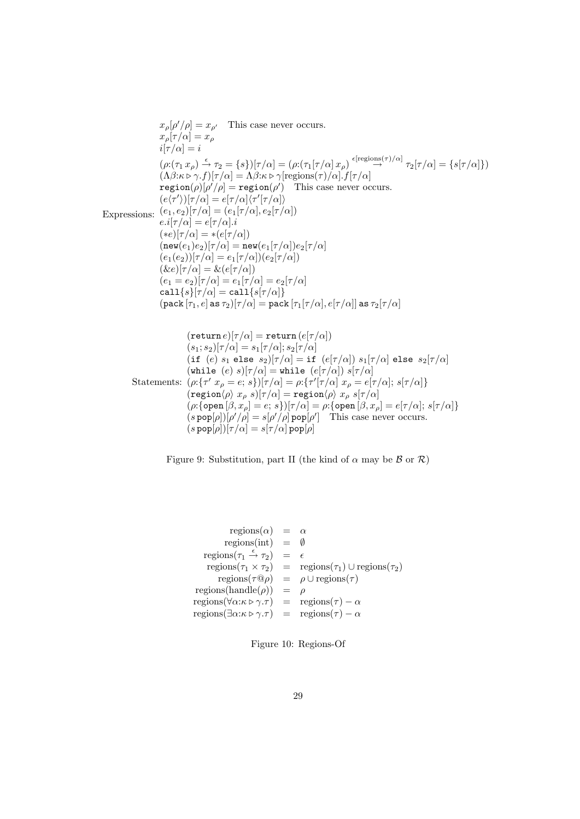$$
x_{\rho}[\rho'/\rho] = x_{\rho'}
$$
 This case never occurs.  
\n
$$
x_{\rho}[\tau/\alpha] = x_{\rho}
$$
  
\n
$$
i[\tau/\alpha] = i
$$
  
\n
$$
(\rho:(\tau_1 x_{\rho}) \xrightarrow{\epsilon} \tau_2 = \{s\})[\tau/\alpha] = (\rho:(\tau_1[\tau/\alpha] x_{\rho}) \xrightarrow{\epsilon} [\text{regions}(\tau)/\alpha] \tau_2[\tau/\alpha] = \{s[\tau/\alpha]\})
$$
  
\n
$$
(\Lambda\beta:\kappa \rhd \gamma.f)[\tau/\alpha] = \Lambda\beta:\kappa \rhd \gamma[\text{regions}(\tau)/\alpha].f[\tau/\alpha]
$$
  
\nregion( $\rho)[\rho'/\rho] = \text{region}(\rho')$  This case never occurs.  
\n
$$
(e_1, e_2)[\tau/\alpha] = e[\tau/\alpha](\tau'[\tau/\alpha])
$$
  
\nExpressions: 
$$
(e_1[\tau/\alpha] = e[\tau/\alpha], e_2[\tau/\alpha])
$$
  
\n
$$
e_2i[\tau/\alpha] = e[\tau/\alpha],
$$
  
\n
$$
(\epsilon \epsilon)[\tau/\alpha] = \kappa(e[\tau/\alpha])
$$
  
\n
$$
(\epsilon \epsilon)[\tau/\alpha] = \kappa(e[\tau/\alpha])
$$
  
\n
$$
(\epsilon \epsilon)[\tau/\alpha] = \kappa(e[\tau/\alpha])
$$
  
\n
$$
(\epsilon \epsilon)[\tau/\alpha] = \kappa(e[\tau/\alpha])
$$
  
\n
$$
(\epsilon \epsilon)[\tau/\alpha] = \kappa(e[\tau/\alpha])
$$
  
\n
$$
(\epsilon \epsilon)[\tau/\alpha] = \epsilon_1[\tau/\alpha] \epsilon_2[\tau/\alpha]
$$
  
\n
$$
(\epsilon \epsilon \epsilon)[\tau/\alpha] = \epsilon_1[\tau/\alpha] = \epsilon_2[\tau/\alpha]
$$
  
\n
$$
(\text{return } e)[\tau/\alpha] = \text{return } (e[\tau/\alpha])
$$
  
\n
$$
(\text{return } e)[\tau/\alpha] = \text{return } (e[\tau/\alpha])
$$
  
\n
$$
(\text{return } e)[\tau/\alpha] = \text{return } (e[\tau/\alpha])
$$
  
\n
$$
(\text{return } e)[\tau/\alpha] = \text{return } (e[\tau/\alpha])
$$

Figure 9: Substitution, part II (the kind of  $\alpha$  may be  $\beta$  or  $\mathcal{R}$ )

 $(s\, \mathsf{pop}[\rho])[\tau/\alpha] = s[\tau/\alpha]\, \mathsf{pop}[\rho]$ 

regions(α) = α  
\nregions(int) = ∅  
\nregions(τ<sub>1</sub> 
$$
\stackrel{\epsilon}{\rightarrow}
$$
 τ<sub>2</sub>) = ε  
\nregions(τ<sub>1</sub> × τ<sub>2</sub>) = regions(τ<sub>1</sub>) ∪ regions(τ<sub>2</sub>)  
\nregions(τ@ρ) = ρ ∪ regions(τ)  
\nregions(handle(ρ)) = ρ  
\nregions(γα:κtriangleright γ.τ) = regions(τ) – α  
\nregions(∃α:κtriangleright γ.τ) = regions(τ) – α

Figure 10: Regions-Of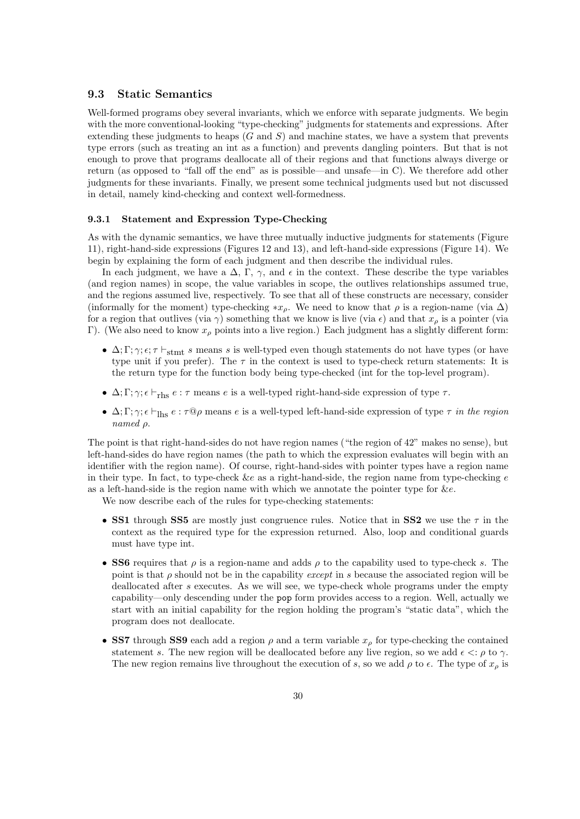# 9.3 Static Semantics

Well-formed programs obey several invariants, which we enforce with separate judgments. We begin with the more conventional-looking "type-checking" judgments for statements and expressions. After extending these judgments to heaps  $(G \text{ and } S)$  and machine states, we have a system that prevents type errors (such as treating an int as a function) and prevents dangling pointers. But that is not enough to prove that programs deallocate all of their regions and that functions always diverge or return (as opposed to "fall off the end" as is possible—and unsafe—in C). We therefore add other judgments for these invariants. Finally, we present some technical judgments used but not discussed in detail, namely kind-checking and context well-formedness.

#### 9.3.1 Statement and Expression Type-Checking

As with the dynamic semantics, we have three mutually inductive judgments for statements (Figure 11), right-hand-side expressions (Figures 12 and 13), and left-hand-side expressions (Figure 14). We begin by explaining the form of each judgment and then describe the individual rules.

In each judgment, we have a  $\Delta$ , Γ,  $\gamma$ , and  $\epsilon$  in the context. These describe the type variables (and region names) in scope, the value variables in scope, the outlives relationships assumed true, and the regions assumed live, respectively. To see that all of these constructs are necessary, consider (informally for the moment) type-checking  $*x<sub>ρ</sub>$ . We need to know that  $\rho$  is a region-name (via  $\Delta$ ) for a region that outlives (via  $\gamma$ ) something that we know is live (via  $\epsilon$ ) and that  $x<sub>o</sub>$  is a pointer (via Γ). (We also need to know  $x<sub>ρ</sub>$  points into a live region.) Each judgment has a slightly different form:

- $\Delta; \Gamma; \gamma; \epsilon; \tau \vdash_{\text{stmt}} s$  means s is well-typed even though statements do not have types (or have type unit if you prefer). The  $\tau$  in the context is used to type-check return statements: It is the return type for the function body being type-checked (int for the top-level program).
- $\Delta; \Gamma; \gamma; \epsilon \vdash_{\text{rhs}} e : \tau$  means e is a well-typed right-hand-side expression of type  $\tau$ .
- $\Delta; \Gamma; \gamma; \epsilon \vdash_{\text{Ihs}} e : \tau \mathbb{Q} \rho$  means e is a well-typed left-hand-side expression of type  $\tau$  in the region named ρ.

The point is that right-hand-sides do not have region names ("the region of 42" makes no sense), but left-hand-sides do have region names (the path to which the expression evaluates will begin with an identifier with the region name). Of course, right-hand-sides with pointer types have a region name in their type. In fact, to type-check  $\&e$  as a right-hand-side, the region name from type-checking e as a left-hand-side is the region name with which we annotate the pointer type for &e.

We now describe each of the rules for type-checking statements:

- SS1 through SS5 are mostly just congruence rules. Notice that in SS2 we use the  $\tau$  in the context as the required type for the expression returned. Also, loop and conditional guards must have type int.
- SS6 requires that  $\rho$  is a region-name and adds  $\rho$  to the capability used to type-check s. The point is that  $\rho$  should not be in the capability *except* in s because the associated region will be deallocated after s executes. As we will see, we type-check whole programs under the empty capability—only descending under the pop form provides access to a region. Well, actually we start with an initial capability for the region holding the program's "static data", which the program does not deallocate.
- SS7 through SS9 each add a region  $\rho$  and a term variable  $x_{\rho}$  for type-checking the contained statement s. The new region will be deallocated before any live region, so we add  $\epsilon \leq \rho$  to  $\gamma$ . The new region remains live throughout the execution of s, so we add  $\rho$  to  $\epsilon$ . The type of  $x_{\rho}$  is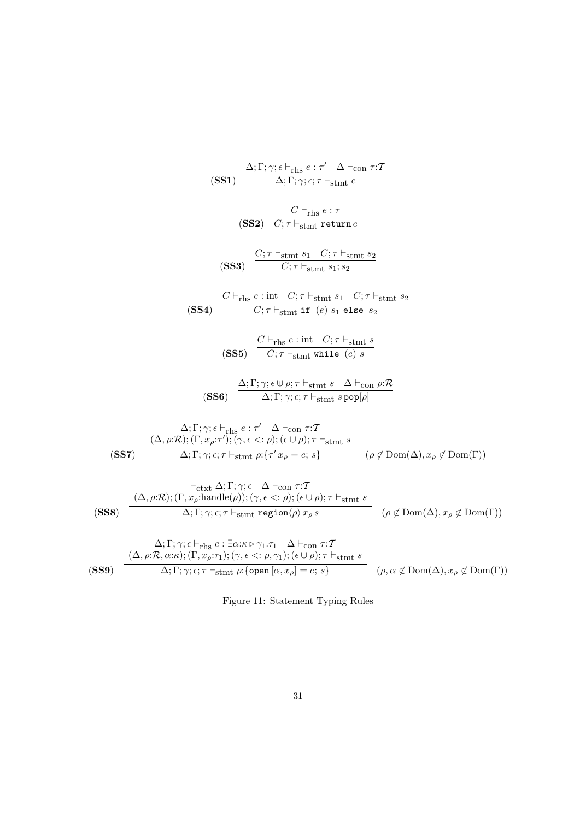$$
\frac{\Delta;\Gamma;\gamma;\epsilon\vdash_{\text{rhs}}\epsilon:r'\Delta\vdash_{\text{com }\tau;\mathcal{T}}}{\Delta;\Gamma;\gamma;\epsilon;\tau\vdash_{\text{stm }\epsilon}\epsilon}
$$
\n
$$
(SS1) \quad \frac{C\vdash_{\text{rhs}}\epsilon:r'\Delta\vdash_{\text{com }\tau;\mathcal{T}}}{\Delta;\Gamma;\gamma;\epsilon;\tau\vdash_{\text{stmt}}\epsilon}
$$
\n
$$
(SS2) \quad \frac{C\vdash_{\text{rhs}}\epsilon:\tau}{C;\tau\vdash_{\text{stmt}}\epsilon_1}\frac{\epsilon_1\cdot\tau;\vdash_{\text{stmt}}\epsilon_2}{C;\tau\vdash_{\text{stmt}}\epsilon_1;\epsilon_2}
$$
\n
$$
(SS3) \quad \frac{C\vdash_{\text{rhs}}\epsilon:\text{int}\quad C;\tau\vdash_{\text{stmt}}\epsilon_1\cdot C;\tau\vdash_{\text{stmt}}\epsilon_2}{C;\tau\vdash_{\text{stmt}}\mathbf{it}\left(\epsilon\right)s_1\text{ else }s_2}
$$
\n
$$
(SS5) \quad \frac{C\vdash_{\text{rhs}}\epsilon:\text{int}\quad C;\tau\vdash_{\text{stmt}}\epsilon}{C;\tau\vdash_{\text{stmt}}\mathbf{while}\left(\epsilon\right)s}
$$
\n
$$
(SS6) \quad \frac{\Delta;\Gamma;\gamma;\epsilon\uplus\rho;\tau\vdash_{\text{stmt}}\epsilon_1}{\Delta;\Gamma;\gamma;\epsilon;\tau\vdash_{\text{stmt}}\epsilon_2\text{pep}[\rho]}
$$
\n
$$
\frac{\Delta;\Gamma;\gamma;\epsilon\vdash_{\text{rhs}}\epsilon:\tau'\Delta\vdash_{\text{com }\tau:\mathcal{T}}}{\Delta;\Gamma;\gamma;\epsilon;\tau\vdash_{\text{stmt}}\rho:\tau^{\prime}\tau;\vdash_{\text{stmt}}\epsilon}}\frac{\left(\Delta,\rho;\mathcal{R});\left(\Gamma,x_\rho;\tau'\right)';\left(\gamma,\epsilon\leq\tau\right)\right);\left(\epsilon\cup\rho\right);\tau\vdash_{\text{stmt}}\epsilon}{\Delta;\Gamma;\gamma;\epsilon;\tau\vdash_{\text{stmt}}\rho:\tau^{\prime}\tau^{\prime}\varphi=\epsilon;s}\quad(\rho\notin\text{Dom}(\Delta),x_\rho\notin\text{Dom}(\Gamma))\right.}{\left(\Delta,\rho;\mathcal{R});\left(\Gamma,x_\rho;\text{handle}(\rho)\right);(\gamma,\epsilon\leq\tau)\right);(\epsilon\
$$

Figure 11: Statement Typing Rules

$$
\overline{21}
$$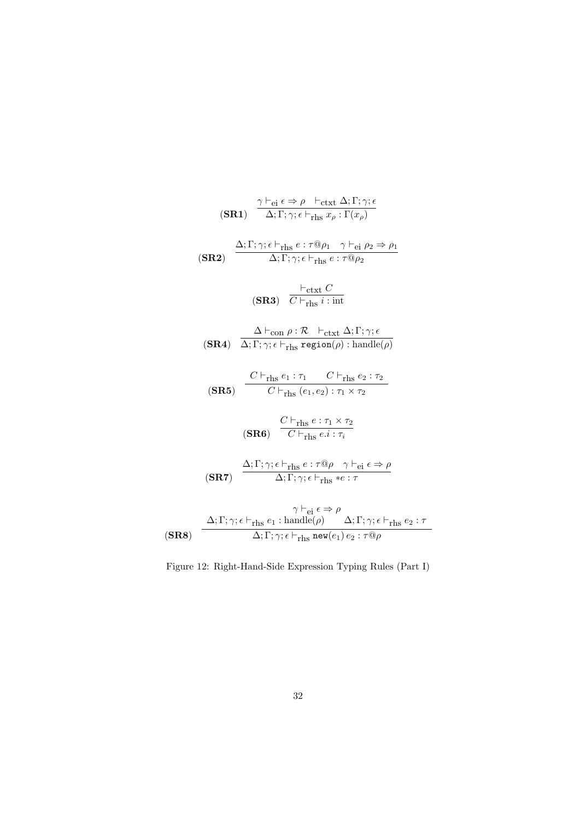$$
\frac{\gamma \vdash_{ei} \epsilon \Rightarrow \rho \vdash_{\text{ctxt}} \Delta; \Gamma; \gamma; \epsilon}{\Delta; \Gamma; \gamma; \epsilon \vdash_{\text{rhs}} x_{\rho} : \Gamma(x_{\rho})}
$$
\n
$$
(SR2) \frac{\Delta; \Gamma; \gamma; \epsilon \vdash_{\text{rhs}} e : \tau \otimes \rho_1 \quad \gamma \vdash_{ei} \rho_2 \Rightarrow \rho_1}{\Delta; \Gamma; \gamma; \epsilon \vdash_{\text{rhs}} e : \tau \otimes \rho_2}
$$
\n
$$
\frac{\vdash_{\text{ctxt}} C}{\Delta; \Gamma; \gamma; \epsilon \vdash_{\text{rhs}} e : \tau \otimes \rho_2}
$$
\n
$$
(SR3) \overline{C \vdash_{\text{rhs}} i : \text{int}}
$$
\n
$$
\frac{\Delta \vdash_{\text{con}} \rho : \mathcal{R} \vdash_{\text{ctxt}} \Delta; \Gamma; \gamma; \epsilon}{\Delta; \Gamma; \gamma; \epsilon \vdash_{\text{rhs}} \text{region}(\rho) : \text{handle}(\rho)}
$$
\n
$$
(SR4) \overline{\Delta; \Gamma; \gamma; \epsilon \vdash_{\text{rhs}} \text{region}(\rho) : \text{handle}(\rho)}
$$
\n
$$
\frac{C \vdash_{\text{rhs}} e_1 : \tau_1 \quad C \vdash_{\text{rhs}} e_2 : \tau_2}{C \vdash_{\text{rhs}} (e_1, e_2) : \tau_1 \times \tau_2}
$$
\n
$$
(SR6) \overline{C \vdash_{\text{rhs}} e : \tau \otimes \rho} \quad \gamma \vdash_{\text{ei}} \epsilon \Rightarrow \rho}
$$
\n
$$
(SR7) \frac{\Delta; \Gamma; \gamma; \epsilon \vdash_{\text{rhs}} e : \tau \otimes \rho \quad \gamma \vdash_{\text{ei}} \epsilon \Rightarrow \rho}{\Delta; \Gamma; \gamma; \epsilon \vdash_{\text{rhs}} \text{new}(e_1) e_2 : \tau \otimes \rho}
$$
\n
$$
\frac{\Delta; \Gamma; \gamma; \epsilon \vdash_{\text{rhs}} e_1 : \text{handle}(\rho) \quad \Delta; \Gamma; \gamma; \epsilon \vdash_{\text{rhs}} e_2 : \tau \otimes \rho}{\Delta; \Gamma; \gamma; \epsilon \vdash_{\text{rhs}} \text{new}(e_1) e_2 : \tau \otimes \rho}
$$

Figure 12: Right-Hand-Side Expression Typing Rules (Part I)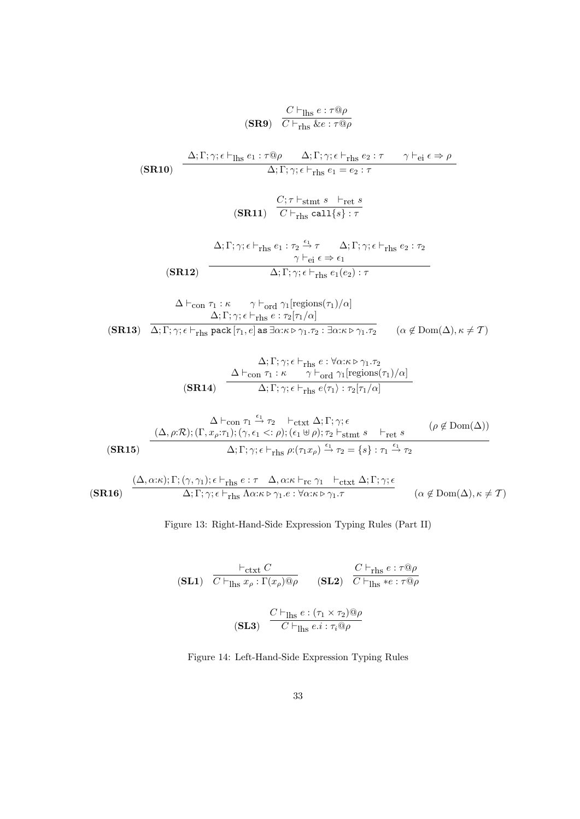$$
\frac{C \vdash_{\text{Ihs}} e : \tau \textcircled{9} \rho}{C \vdash_{\text{rhs}} \& e : \tau \textcircled{9} \rho}
$$
\n
$$
\textbf{(SR10)} \quad \frac{\Delta; \Gamma; \gamma; \epsilon \vdash_{\text{Ihs}} e_1 : \tau \textcircled{9} \rho \quad \Delta; \Gamma; \gamma; \epsilon \vdash_{\text{rhs}} e_2 : \tau \quad \gamma \vdash_{\text{ei}} \epsilon \Rightarrow \rho}{\Delta; \Gamma; \gamma; \epsilon \vdash_{\text{rhs}} e_1 = e_2 : \tau}
$$
\n
$$
\textbf{(SR11)} \quad \frac{C; \tau \vdash_{\text{stmt}} s \quad \vdash_{\text{ret}} s}{C \vdash_{\text{rhs}} \text{call}\{s\} : \tau}
$$
\n
$$
\Delta; \Gamma; \gamma; \epsilon \vdash_{\text{rhs}} e_1 : \tau_2 \xrightarrow{\epsilon_1} \tau \quad \Delta; \Gamma; \gamma; \epsilon \vdash_{\text{rhs}} e_2 : \tau_2
$$
\n
$$
\frac{\gamma \vdash_{\text{ei}} \epsilon \Rightarrow \epsilon_1}{\gamma \vdash_{\text{ei}} \epsilon \Rightarrow \epsilon_1}
$$

(SR12) 
$$
\Delta; \Gamma; \gamma; \epsilon \vdash_{\text{rhs}} e_1(e_2) : \tau
$$

(SR13)  $\Delta \vdash_{\text{con}} \tau_1 : \kappa \qquad \gamma \vdash_{\text{ord}} \gamma_1[\text{regions}(\tau_1)/\alpha]$  $\Delta; \Gamma; \gamma; \epsilon \vdash_{\text{rhs}} e : \tau_2[\tau_1/\alpha]$  $\Delta; \Gamma; \gamma; \epsilon \vdash_{\text{rhs}} \texttt{pack}\left[\tau_1, e\right]$  as  $\exists \alpha: \kappa \triangleright \gamma_1.\tau_2 : \exists \alpha: \kappa \triangleright \gamma_1.\tau_2 \qquad (\alpha \not\in \text{Dom}(\Delta), \kappa \neq \mathcal{T})$ 

$$
\Delta; \Gamma; \gamma; \epsilon \vdash_{\text{rhs}} e : \forall \alpha: \kappa \rhd \gamma_1. \tau_2
$$
\n
$$
\Delta \vdash_{\text{con}} \tau_1 : \kappa \qquad \gamma \vdash_{\text{ord}} \gamma_1 [\text{regions}(\tau_1)/\alpha]
$$
\n
$$
\Delta; \Gamma; \gamma; \epsilon \vdash_{\text{rhs}} e \langle \tau_1 \rangle : \tau_2 [\tau_1/\alpha]
$$

$$
\Delta \vdash_{con} \tau_1 \xrightarrow{\epsilon_1} \tau_2 \qquad \vdash_{\text{ctxt}} \Delta; \Gamma; \gamma; \epsilon \qquad (\rho \notin \text{Dom}(\Delta))
$$
\n
$$
\text{(SR15)} \qquad \frac{(\Delta, \rho; \mathcal{R}); (\Gamma, x_\rho; \tau_1); (\gamma, \epsilon_1 < : \rho); (\epsilon_1 \uplus \rho); \tau_2 \vdash_{\text{stmt}} s \qquad \vdash_{\text{ret}} s}{\Delta; \Gamma; \gamma; \epsilon \vdash_{\text{rhs}} \rho; (\tau_1 x_\rho) \xrightarrow{\epsilon_1} \tau_2} = \{s\} : \tau_1 \xrightarrow{\epsilon_1} \tau_2}
$$

$$
\begin{array}{cc}\n(\mathbf{SR16}) & \xrightarrow{\begin{array}{c}\n(\Delta, \alpha:\kappa);\Gamma;\ (\gamma, \gamma_1);\epsilon \vdash_{\text{rhs}} e:\tau & \Delta, \alpha:\kappa \vdash_{\text{rc}} \gamma_1 & \vdash_{\text{ctxt}} \Delta;\Gamma;\gamma;\epsilon} \\
\hline\n\Delta;\Gamma;\gamma;\epsilon \vdash_{\text{rhs}} \Lambda \alpha:\kappa \rhd \gamma_1.e:\forall \alpha:\kappa \rhd \gamma_1.\tau & (\alpha \notin \text{Dom}(\Delta), \kappa \neq T)\n\end{array}\n\end{array}
$$

Figure 13: Right-Hand-Side Expression Typing Rules (Part II)

$$
\begin{array}{ll}\n\textbf{(SL1)} & \frac{\vdash_{\text{ctxt}} C}{C \vdash_{\text{Ihs}} x_{\rho} : \Gamma(x_{\rho}) \mathbb{Q} \rho} & \textbf{(SL2)} & \frac{C \vdash_{\text{rhs}} e : \tau \mathbb{Q} \rho}{C \vdash_{\text{Ihs}} * e : \tau \mathbb{Q} \rho} \\
\textbf{(SL3)} & \frac{C \vdash_{\text{Ihs}} e : (\tau_1 \times \tau_2) \mathbb{Q} \rho}{C \vdash_{\text{Ihs}} e : i : \tau_i \mathbb{Q} \rho}\n\end{array}
$$

Figure 14: Left-Hand-Side Expression Typing Rules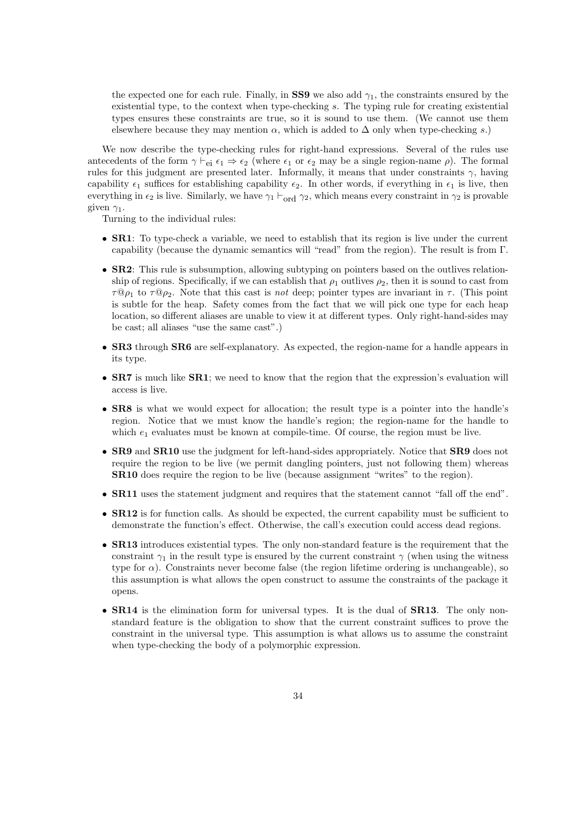the expected one for each rule. Finally, in SS9 we also add  $\gamma_1$ , the constraints ensured by the existential type, to the context when type-checking s. The typing rule for creating existential types ensures these constraints are true, so it is sound to use them. (We cannot use them elsewhere because they may mention  $\alpha$ , which is added to  $\Delta$  only when type-checking s.)

We now describe the type-checking rules for right-hand expressions. Several of the rules use antecedents of the form  $\gamma \vdash_{\mathbf{ei}} \epsilon_1 \Rightarrow \epsilon_2$  (where  $\epsilon_1$  or  $\epsilon_2$  may be a single region-name  $\rho$ ). The formal rules for this judgment are presented later. Informally, it means that under constraints  $\gamma$ , having capability  $\epsilon_1$  suffices for establishing capability  $\epsilon_2$ . In other words, if everything in  $\epsilon_1$  is live, then everything in  $\epsilon_2$  is live. Similarly, we have  $\gamma_1 \vdash_{\text{ord}} \gamma_2$ , which means every constraint in  $\gamma_2$  is provable given  $\gamma_1$ .

Turning to the individual rules:

- SR1: To type-check a variable, we need to establish that its region is live under the current capability (because the dynamic semantics will "read" from the region). The result is from Γ.
- **SR2**: This rule is subsumption, allowing subtyping on pointers based on the outlives relationship of regions. Specifically, if we can establish that  $\rho_1$  outlives  $\rho_2$ , then it is sound to cast from  $\tau \mathbb{Q}_{p_1}$  to  $\tau \mathbb{Q}_{p_2}$ . Note that this cast is not deep; pointer types are invariant in  $\tau$ . (This point is subtle for the heap. Safety comes from the fact that we will pick one type for each heap location, so different aliases are unable to view it at different types. Only right-hand-sides may be cast; all aliases "use the same cast".)
- SR3 through SR6 are self-explanatory. As expected, the region-name for a handle appears in its type.
- **SR7** is much like **SR1**; we need to know that the region that the expression's evaluation will access is live.
- SR8 is what we would expect for allocation; the result type is a pointer into the handle's region. Notice that we must know the handle's region; the region-name for the handle to which  $e_1$  evaluates must be known at compile-time. Of course, the region must be live.
- SR9 and SR10 use the judgment for left-hand-sides appropriately. Notice that SR9 does not require the region to be live (we permit dangling pointers, just not following them) whereas SR10 does require the region to be live (because assignment "writes" to the region).
- SR11 uses the statement judgment and requires that the statement cannot "fall off the end".
- **SR12** is for function calls. As should be expected, the current capability must be sufficient to demonstrate the function's effect. Otherwise, the call's execution could access dead regions.
- **SR13** introduces existential types. The only non-standard feature is the requirement that the constraint  $\gamma_1$  in the result type is ensured by the current constraint  $\gamma$  (when using the witness type for  $\alpha$ ). Constraints never become false (the region lifetime ordering is unchangeable), so this assumption is what allows the open construct to assume the constraints of the package it opens.
- SR14 is the elimination form for universal types. It is the dual of SR13. The only nonstandard feature is the obligation to show that the current constraint suffices to prove the constraint in the universal type. This assumption is what allows us to assume the constraint when type-checking the body of a polymorphic expression.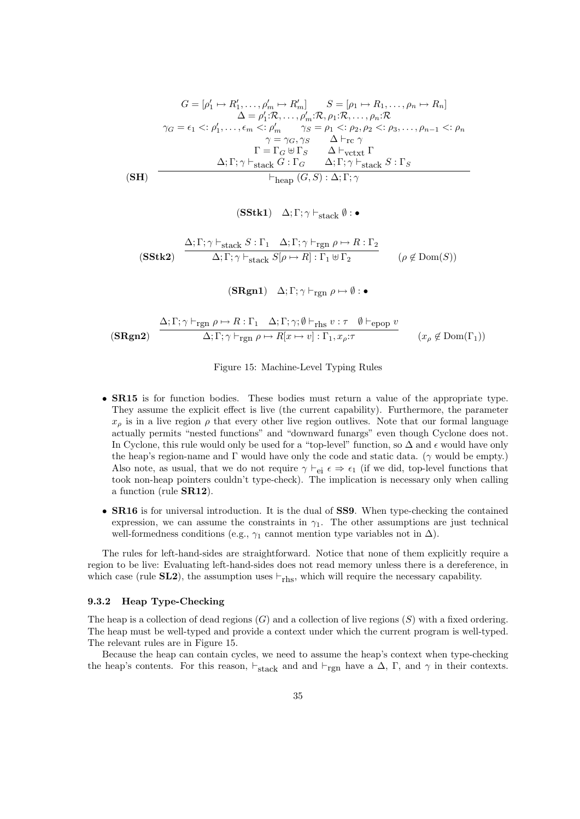$$
G = [\rho'_1 \mapsto R'_1, \dots, \rho'_m \mapsto R'_m] \qquad S = [\rho_1 \mapsto R_1, \dots, \rho_n \mapsto R_n]
$$
  
\n
$$
\Delta = \rho'_1: \mathcal{R}, \dots, \rho'_m: \mathcal{R}, \rho_1: \mathcal{R}, \dots, \rho_n: \mathcal{R}
$$
  
\n
$$
\gamma_G = \epsilon_1 \langle \varphi'_1, \dots, \epsilon_m \langle \varphi'_m \rangle \gamma_S = \rho_1 \langle \varphi_2, \rho_2 \langle \varphi_3, \dots, \rho_{n-1} \langle \varphi'_n, \rho_1 \rangle \rangle
$$
  
\n
$$
\gamma = \gamma_G, \gamma_S \qquad \Delta \vdash_{\text{rc}} \gamma
$$
  
\n
$$
\Gamma = \Gamma_G \oplus \Gamma_S \qquad \Delta \vdash_{\text{vctxt}} \Gamma
$$
  
\n
$$
\Delta; \Gamma; \gamma \vdash_{\text{stack}} G : \Gamma_G \qquad \Delta; \Gamma; \gamma \vdash_{\text{stack}} S : \Gamma_S
$$
  
\n
$$
\vdash_{\text{heap}} (G, S) : \Delta; \Gamma; \gamma
$$

$$
(\textbf{SStk1}) \quad \Delta; \Gamma; \gamma \vdash_{\textbf{stack}} \emptyset : \bullet
$$

$$
\textbf{(SStk2)} \quad \frac{\Delta; \Gamma; \gamma \vdash_{\text{stack}} S: \Gamma_1 \quad \Delta; \Gamma; \gamma \vdash_{\text{rgn}} \rho \mapsto R: \Gamma_2}{\Delta; \Gamma; \gamma \vdash_{\text{stack}} S[\rho \mapsto R]: \Gamma_1 \uplus \Gamma_2} \qquad (\rho \not\in \text{Dom}(S))
$$

 $(SRgn1)$   $\Delta; \Gamma; \gamma \vdash_{\text{rgn}} \rho \mapsto \emptyset$ :

$$
\begin{array}{lll}\n\text{(SRgn2)} & \frac{\Delta; \Gamma; \gamma \vdash_{\text{rgn } \rho \mapsto R: \Gamma_1 \quad \Delta; \Gamma; \gamma; \emptyset \vdash_{\text{rhs } v: \tau \quad \emptyset \vdash_{\text{epop } v}}}{\Delta; \Gamma; \gamma \vdash_{\text{rgn } \rho \mapsto R[x \mapsto v]: \Gamma_1, x_\rho: \tau} & (x_\rho \notin \text{Dom}(\Gamma_1))\n\end{array}
$$

#### Figure 15: Machine-Level Typing Rules

- **SR15** is for function bodies. These bodies must return a value of the appropriate type. They assume the explicit effect is live (the current capability). Furthermore, the parameter  $x_{\rho}$  is in a live region  $\rho$  that every other live region outlives. Note that our formal language actually permits "nested functions" and "downward funargs" even though Cyclone does not. In Cyclone, this rule would only be used for a "top-level" function, so  $\Delta$  and  $\epsilon$  would have only the heap's region-name and  $\Gamma$  would have only the code and static data. ( $\gamma$  would be empty.) Also note, as usual, that we do not require  $\gamma \vdash_{\rm ei} \epsilon \Rightarrow \epsilon_1$  (if we did, top-level functions that took non-heap pointers couldn't type-check). The implication is necessary only when calling a function (rule SR12).
- SR16 is for universal introduction. It is the dual of SS9. When type-checking the contained expression, we can assume the constraints in  $\gamma_1$ . The other assumptions are just technical well-formedness conditions (e.g.,  $\gamma_1$  cannot mention type variables not in  $\Delta$ ).

The rules for left-hand-sides are straightforward. Notice that none of them explicitly require a region to be live: Evaluating left-hand-sides does not read memory unless there is a dereference, in which case (rule **SL2**), the assumption uses  $\vdash_{\text{rhs}}$ , which will require the necessary capability.

#### 9.3.2 Heap Type-Checking

The heap is a collection of dead regions  $(G)$  and a collection of live regions  $(S)$  with a fixed ordering. The heap must be well-typed and provide a context under which the current program is well-typed. The relevant rules are in Figure 15.

Because the heap can contain cycles, we need to assume the heap's context when type-checking the heap's contents. For this reason,  $\vdash_{stack}$  and and  $\vdash_{rgn}$  have a  $\Delta$ , Γ, and  $\gamma$  in their contexts.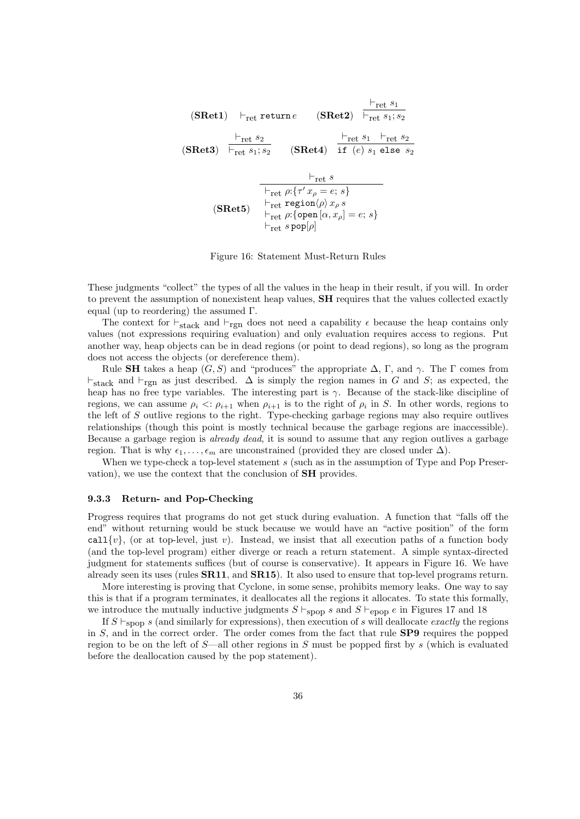(SRet1) 
$$
\vdash_{ret}
$$
 return  $e$  (SRet2)  $\vdash_{ret} s_1$   
\n(SRet3)  $\vdash_{ret} s_2$  (SRet4)  $\vdash_{ret} s_1 + \vdash_{ret} s_2$   
\n $\vdash_{ret} s_1; s_2$  (SRet4)  $\vdash_{te} s_1 \vdash_{te} s_2$   
\n $\vdash_{ret} s$   
\n $\vdash_{ret} s$   
\n $\vdash_{ret} \rho: \{\tau' x_\rho = e; s\}$   
\n $\vdash_{ret} \rho: \{\rho : \rho s_\rho s_\rho\}$   
\n $\vdash_{ret} \rho: \{\rho \text{pen}[\alpha, x_\rho] = e; s\}$   
\n $\vdash_{ret} s \text{pop}[\rho]$ 

Figure 16: Statement Must-Return Rules

These judgments "collect" the types of all the values in the heap in their result, if you will. In order to prevent the assumption of nonexistent heap values, SH requires that the values collected exactly equal (up to reordering) the assumed Γ.

The context for  $\vdash_{\text{stack}}$  and  $\vdash_{\text{rgn}}$  does not need a capability  $\epsilon$  because the heap contains only values (not expressions requiring evaluation) and only evaluation requires access to regions. Put another way, heap objects can be in dead regions (or point to dead regions), so long as the program does not access the objects (or dereference them).

Rule SH takes a heap  $(G, S)$  and "produces" the appropriate  $\Delta$ , Γ, and  $\gamma$ . The Γ comes from  $\vdash_{\text{stack}}$  and  $\vdash_{\text{rem}}$  as just described.  $\Delta$  is simply the region names in G and S; as expected, the heap has no free type variables. The interesting part is  $\gamma$ . Because of the stack-like discipline of regions, we can assume  $\rho_i \ll \rho_{i+1}$  when  $\rho_{i+1}$  is to the right of  $\rho_i$  in S. In other words, regions to the left of S outlive regions to the right. Type-checking garbage regions may also require outlives relationships (though this point is mostly technical because the garbage regions are inaccessible). Because a garbage region is already dead, it is sound to assume that any region outlives a garbage region. That is why  $\epsilon_1, \ldots, \epsilon_m$  are unconstrained (provided they are closed under  $\Delta$ ).

When we type-check a top-level statement s (such as in the assumption of Type and Pop Preservation), we use the context that the conclusion of SH provides.

#### 9.3.3 Return- and Pop-Checking

Progress requires that programs do not get stuck during evaluation. A function that "falls off the end" without returning would be stuck because we would have an "active position" of the form call  $\{v\}$ , (or at top-level, just v). Instead, we insist that all execution paths of a function body (and the top-level program) either diverge or reach a return statement. A simple syntax-directed judgment for statements suffices (but of course is conservative). It appears in Figure 16. We have already seen its uses (rules  $\textbf{S}\textbf{R}$ 11, and  $\textbf{S}\textbf{R}$ 15). It also used to ensure that top-level programs return.

More interesting is proving that Cyclone, in some sense, prohibits memory leaks. One way to say this is that if a program terminates, it deallocates all the regions it allocates. To state this formally, we introduce the mutually inductive judgments  $S \vdash_{\text{Spop}} s$  and  $S \vdash_{\text{epop}} e$  in Figures 17 and 18

If  $S \vdash_{\text{Spop}} s$  (and similarly for expressions), then execution of s will deallocate exactly the regions in  $S$ , and in the correct order. The order comes from the fact that rule  $SP9$  requires the popped region to be on the left of  $S$ —all other regions in S must be popped first by s (which is evaluated before the deallocation caused by the pop statement).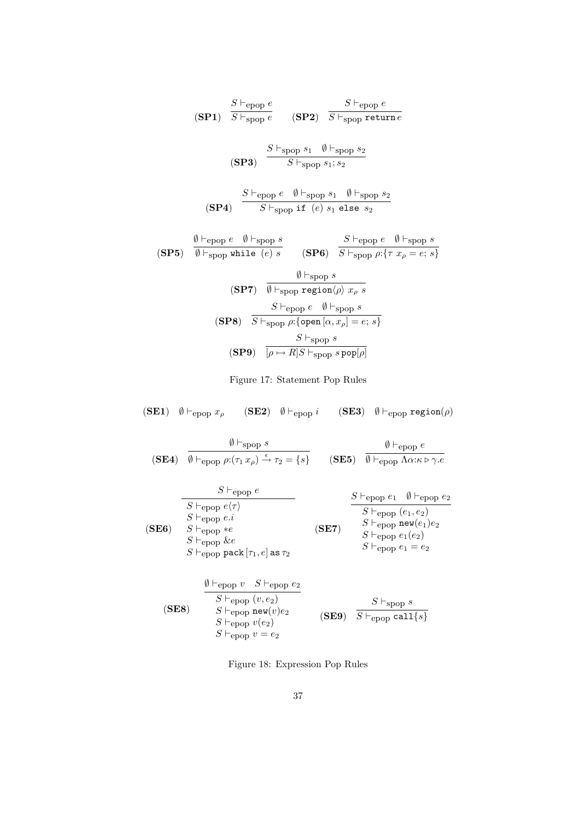$$
\begin{array}{cc}\n & S \vdash_{\text{epop } e} \\
 (\text{SP1}) & \overline{S \vdash_{\text{spop } e}} & (\text{SP2}) & \overline{S \vdash_{\text{spop } \text{return } e}} \\
 & & \xrightarrow{S \vdash_{\text{spop } s_1} \emptyset \vdash_{\text{spop } s_2} \\
 & & \xrightarrow{S \vdash_{\text{epop } e} \emptyset \vdash_{\text{spop } s_1; s_2} \\
 & & \xrightarrow{S \vdash_{\text{epop } e} \emptyset \vdash_{\text{spop } s_1; s_2} \\
 & & \xrightarrow{S \vdash_{\text{epop } e} \emptyset \vdash_{\text{spop } s_1} \emptyset \vdash_{\text{spop } s_2} \\
 & & \xrightarrow{S \vdash_{\text{epop } e} \emptyset \vdash_{\text{spop } s_1} \emptyset \vdash_{\text{spop } e} \emptyset \vdash_{\text{spop } s} \\
 & & \xrightarrow{S \vdash_{\text{epop } e} \emptyset \vdash_{\text{spop } e} \emptyset \vdash_{\text{spop } s} \\
 & & \xrightarrow{S \vdash_{\text{epop } e} \emptyset \vdash_{\text{spop } e} \emptyset \vdash_{\text{spop } s} \\
 & & \xrightarrow{S \vdash_{\text{epop } e} \emptyset \vdash_{\text{spop } s} \\
 & & \xrightarrow{S \vdash_{\text{epop } e} \emptyset \vdash_{\text{spop } s} \\
 & & \xrightarrow{S \vdash_{\text{spop } e} \emptyset \vdash_{\text{spop } s} \\
 & & \xrightarrow{S \vdash_{\text{spop } \emptyset} \emptyset} \\
 & & \xrightarrow{S \vdash_{\text{spop } e} \emptyset \vdash_{\text{spop } s} \\
 & & \xrightarrow{S \vdash_{\text{spop } s} \\
 & & \xrightarrow{S \vdash_{\text{spop } s} \\
 & & \xrightarrow{S \vdash_{\text{spop } s} \\
 & & \xrightarrow{S \vdash_{\text{spop } s} \\
 & & \xrightarrow{S \vdash_{\text{spop } s
$$

Figure 17: Statement Pop Rules

(SE1)  $\emptyset \vdash_{\text{epop}} x_{\rho}$  (SE2)  $\emptyset \vdash_{\text{epop}} i$  (SE3)  $\emptyset \vdash_{\text{epop}} \text{region}(\rho)$ 

(SE4)  $\emptyset \vdash_{\text{spop}} s$  $\emptyset \vdash_{\text{epop}} \rho: (\tau_1 x_\rho) \stackrel{\epsilon}{\rightarrow} \tau_2 = \{s\}$  (SE5)  $\emptyset \vdash_{\text{epop}} e$  $\emptyset ⊢_{epop}$  Λα:κ ⊳ γ.e (SE6)  $S \vdash_{\text{epop}} e$  $S \vdash_{\text{epop}} e \langle \tau \rangle$  $S \vdash_{\text{epop}} e.i$  $S \vdash_{\text{epop}} *e$  $S \vdash_{\text{epop}} \&e$  $S \vdash_{\text{epop}} \texttt{pack}[\tau_1, e]$  as  $\tau_2$ (SE7)  $S \vdash_{\text{epop}} e_1 \quad \emptyset \vdash_{\text{epop}} e_2$  $S \vdash_{\text{epop}} (e_1, e_2)$  $S \vdash_{\text{epop}} {\texttt{new}}(e_1) e_2$  $S \vdash_{\text{epop}} e_1(e_2)$  $S \vdash_{\text{epop}} e_1 = e_2$  $\emptyset \vdash_{\text{epop}} v \quad S \vdash_{\text{epop}} e_2$ 

| $S\vdash_{\text{epop}}(v,e_2)$<br>(SE8)<br>$S\vdash_{\text{epop}} \mathtt{new}(v)e_2$<br>$S\vdash_{\text{epop}} v(e_2)$<br>$S\vdash_{\text{epop}} v=e_2$ |  | $S \vdash_{\text{spop}} s$<br>$(SE9)$ $S \vdash_{\text{epop}} \text{call}\{s\}$ |
|----------------------------------------------------------------------------------------------------------------------------------------------------------|--|---------------------------------------------------------------------------------|
|----------------------------------------------------------------------------------------------------------------------------------------------------------|--|---------------------------------------------------------------------------------|

Figure 18: Expression Pop Rules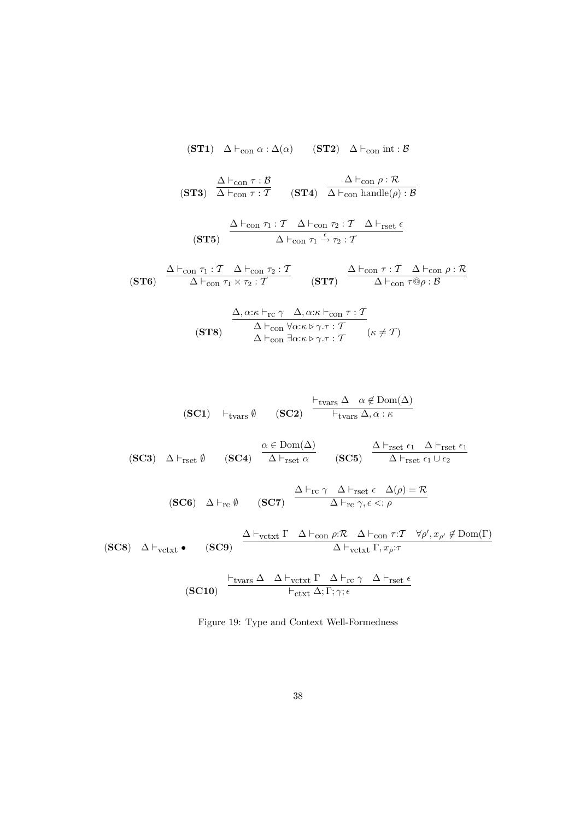$$
\begin{array}{cccc}\n\textbf{(ST1)} & \Delta \vdash_{\text{con}} \alpha : \Delta(\alpha) & \textbf{(ST2)} & \Delta \vdash_{\text{con}} \text{int} : \mathcal{B} \\
\\
\textbf{(ST3)} & \frac{\Delta \vdash_{\text{con}} \tau : \mathcal{B}}{\Delta \vdash_{\text{con}} \tau : \mathcal{T}} & \textbf{(ST4)} & \frac{\Delta \vdash_{\text{con}} \rho : \mathcal{R}}{\Delta \vdash_{\text{con}} \text{handle}(\rho) : \mathcal{B}} \\
\\
\textbf{(ST5)} & \frac{\Delta \vdash_{\text{con}} \tau_1 : \mathcal{T} \Delta \vdash_{\text{con}} \tau_2 : \mathcal{T} \Delta \vdash_{\text{rset}} \epsilon}{\Delta \vdash_{\text{con}} \tau_1 \xrightarrow{\epsilon} \tau_2 : \mathcal{T}} \\
\\
\textbf{(ST6)} & \frac{\Delta \vdash_{\text{con}} \tau_1 : \mathcal{T} \Delta \vdash_{\text{con}} \tau_2 : \mathcal{T}}{\Delta \vdash_{\text{con}} \tau_1 \times \tau_2 : \mathcal{T}} & \textbf{(ST7)} & \frac{\Delta \vdash_{\text{con}} \tau : \mathcal{T} \Delta \vdash_{\text{con}} \rho : \mathcal{B}}{\Delta \vdash_{\text{con}} \tau \otimes \beta} \\
\end{array}
$$

$$
\frac{\Delta, \alpha:\kappa \vdash_{\text{rc}} \gamma \quad \Delta, \alpha:\kappa \vdash_{\text{con}} \tau : \mathcal{T}}{\Delta \vdash_{\text{con}} \forall \alpha:\kappa \rhd \gamma.\tau : \mathcal{T}}(\kappa \neq \mathcal{T})
$$
\n
$$
\Delta \vdash_{\text{con}} \exists \alpha:\kappa \rhd \gamma.\tau : \mathcal{T} \qquad (\kappa \neq \mathcal{T})
$$

$$
\begin{array}{ll}\n\textbf{(SC1)} & \vdash_{\text{tvars}} \emptyset & \textbf{(SC2)} \quad \frac{\vdash_{\text{tvars}} \Delta \quad \alpha \not\in \text{Dom}(\Delta)}{\vdash_{\text{tvars}} \Delta, \alpha : \kappa}\n\end{array}
$$

(SC3)  $\Delta \vdash_{\mathrm{rset}} \emptyset$  $\alpha \in \text{Dom}(\Delta)$  $\Delta \vdash_{\text{rset}} \alpha$  (SC5)  $\Delta \vdash_{\mathrm{rset}} \epsilon_1 \quad \Delta \vdash_{\mathrm{rset}} \epsilon_1$  $\Delta \vdash_{\mathrm{rset}} \epsilon_1 \cup \epsilon_2$ 

$$
\begin{array}{ccc} \textbf{(SC6)} & \Delta \vdash_{\textbf{rc}} \emptyset & \textbf{(SC7)} & \xrightarrow{\Delta \vdash_{\textbf{rc}} \gamma} & \xrightarrow{\Delta \vdash_{\textbf{rset}} \epsilon} & \Delta(\rho) = \mathcal{R} \\ \end{array}
$$

$$
\textbf{(SC8)} \quad \Delta \vdash_{\text{vctx}} \bullet \qquad \textbf{(SC9)} \quad \frac{\Delta \vdash_{\text{vctx}} \Gamma \quad \Delta \vdash_{\text{con } \rho : \mathcal{R} \quad \Delta \vdash_{\text{con } \tau : \mathcal{T} \quad \forall \rho', x_{\rho'} \notin \text{Dom}(\Gamma)} }{\Delta \vdash_{\text{vctx}} \Gamma, x_{\rho : \mathcal{T}}}
$$

$$
\textbf{(SC10)} \quad \xrightarrow{\text{F}_{\text{tvars}} \Delta \quad \Delta \vdash_{\text{vctxt}} \Gamma \quad \Delta \vdash_{\text{rc}} \gamma \quad \Delta \vdash_{\text{rset}} \epsilon}{\text{F}_{\text{ctxt}} \Delta; \Gamma; \gamma; \epsilon}
$$

Figure 19: Type and Context Well-Formedness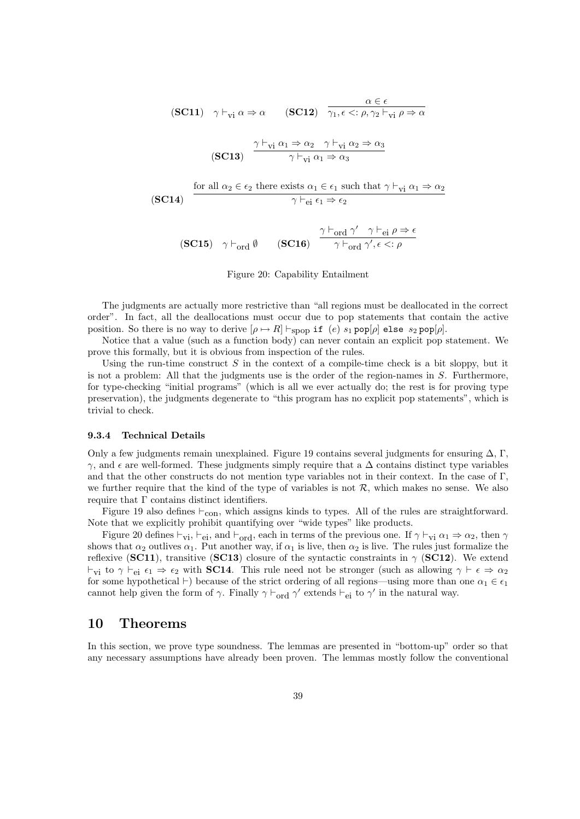(SC11) 
$$
\gamma \vdash_{vi} \alpha \Rightarrow \alpha
$$
 (SC12)  $\overline{\gamma_1, \epsilon \langle : \rho, \gamma_2 \vdash_{vi} \rho \Rightarrow \alpha}$   
\n(SC13)  $\frac{\gamma \vdash_{vi} \alpha_1 \Rightarrow \alpha_2 \quad \gamma \vdash_{vi} \alpha_2 \Rightarrow \alpha_3}{\gamma \vdash_{vi} \alpha_1 \Rightarrow \alpha_3}$   
\nfor all  $\alpha_2 \in \epsilon_2$  there exists  $\alpha_1 \in \epsilon_1$  such that  $\gamma \vdash_{vi} \alpha_1 \Rightarrow \alpha_2$   
\n(SC14)  $\overline{\gamma \vdash_{ei} \epsilon_1 \Rightarrow \epsilon_2}$ 

(SC15)  $\gamma \vdash_{\text{ord}} \emptyset$  (SC16)  $\gamma \vdash_{\text{ord}} \gamma' \quad \gamma \vdash_{\text{ei}} \rho \Rightarrow \epsilon$  $\gamma \vdash_{\text{ord}} \gamma', \epsilon <: \rho$ 

Figure 20: Capability Entailment

The judgments are actually more restrictive than "all regions must be deallocated in the correct order". In fact, all the deallocations must occur due to pop statements that contain the active position. So there is no way to derive  $[\rho \mapsto R] \vdash_{\text{stop}} \text{if} (e) s_1 \text{pop}[\rho]$  else  $s_2 \text{pop}[\rho]$ .

Notice that a value (such as a function body) can never contain an explicit pop statement. We prove this formally, but it is obvious from inspection of the rules.

Using the run-time construct  $S$  in the context of a compile-time check is a bit sloppy, but it is not a problem: All that the judgments use is the order of the region-names in S. Furthermore, for type-checking "initial programs" (which is all we ever actually do; the rest is for proving type preservation), the judgments degenerate to "this program has no explicit pop statements", which is trivial to check.

#### 9.3.4 Technical Details

Only a few judgments remain unexplained. Figure 19 contains several judgments for ensuring  $\Delta$ , Γ,  $γ$ , and  $ε$  are well-formed. These judgments simply require that a  $Δ$  contains distinct type variables and that the other constructs do not mention type variables not in their context. In the case of  $\Gamma$ , we further require that the kind of the type of variables is not  $R$ , which makes no sense. We also require that  $\Gamma$  contains distinct identifiers.

Figure 19 also defines  $\vdash_{con}$ , which assigns kinds to types. All of the rules are straightforward. Note that we explicitly prohibit quantifying over "wide types" like products.

Figure 20 defines  $\vdash_{vi}, \vdash_{ei}$ , and  $\vdash_{ord}$ , each in terms of the previous one. If  $\gamma \vdash_{vi} \alpha_1 \Rightarrow \alpha_2$ , then  $\gamma$ shows that  $\alpha_2$  outlives  $\alpha_1$ . Put another way, if  $\alpha_1$  is live, then  $\alpha_2$  is live. The rules just formalize the reflexive (SC11), transitive (SC13) closure of the syntactic constraints in  $\gamma$  (SC12). We extend  $\vdash_{vi}$  to  $\gamma \vdash_{ei} \epsilon_1 \Rightarrow \epsilon_2$  with **SC14**. This rule need not be stronger (such as allowing  $\gamma \vdash \epsilon \Rightarrow \alpha_2$ for some hypothetical  $\vdash$ ) because of the strict ordering of all regions—using more than one  $\alpha_1 \in \epsilon_1$ cannot help given the form of  $\gamma$ . Finally  $\gamma \vdash_{\text{ord}} \gamma'$  extends  $\vdash_{\text{ei}}$  to  $\gamma'$  in the natural way.

# 10 Theorems

In this section, we prove type soundness. The lemmas are presented in "bottom-up" order so that any necessary assumptions have already been proven. The lemmas mostly follow the conventional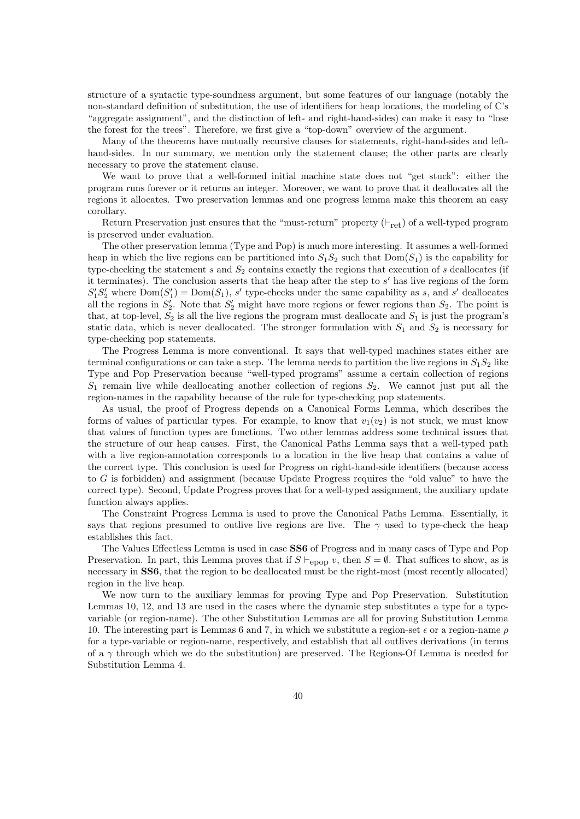structure of a syntactic type-soundness argument, but some features of our language (notably the non-standard definition of substitution, the use of identifiers for heap locations, the modeling of C's "aggregate assignment", and the distinction of left- and right-hand-sides) can make it easy to "lose the forest for the trees". Therefore, we first give a "top-down" overview of the argument.

Many of the theorems have mutually recursive clauses for statements, right-hand-sides and lefthand-sides. In our summary, we mention only the statement clause; the other parts are clearly necessary to prove the statement clause.

We want to prove that a well-formed initial machine state does not "get stuck": either the program runs forever or it returns an integer. Moreover, we want to prove that it deallocates all the regions it allocates. Two preservation lemmas and one progress lemma make this theorem an easy corollary.

Return Preservation just ensures that the "must-return" property  $(\vdash_{\text{ret}})$  of a well-typed program is preserved under evaluation.

The other preservation lemma (Type and Pop) is much more interesting. It assumes a well-formed heap in which the live regions can be partitioned into  $S_1S_2$  such that  $Dom(S_1)$  is the capability for type-checking the statement s and  $S_2$  contains exactly the regions that execution of s deallocates (if it terminates). The conclusion asserts that the heap after the step to  $s'$  has live regions of the form  $S_1'S_2'$  where  $Dom(S_1') = Dom(S_1)$ , s' type-checks under the same capability as s, and s' deallocates all the regions in  $S'_2$ . Note that  $S'_2$  might have more regions or fewer regions than  $S_2$ . The point is that, at top-level,  $S_2$  is all the live regions the program must deallocate and  $S_1$  is just the program's static data, which is never deallocated. The stronger formulation with  $S_1$  and  $S_2$  is necessary for type-checking pop statements.

The Progress Lemma is more conventional. It says that well-typed machines states either are terminal configurations or can take a step. The lemma needs to partition the live regions in  $S_1S_2$  like Type and Pop Preservation because "well-typed programs" assume a certain collection of regions  $S_1$  remain live while deallocating another collection of regions  $S_2$ . We cannot just put all the region-names in the capability because of the rule for type-checking pop statements.

As usual, the proof of Progress depends on a Canonical Forms Lemma, which describes the forms of values of particular types. For example, to know that  $v_1(v_2)$  is not stuck, we must know that values of function types are functions. Two other lemmas address some technical issues that the structure of our heap causes. First, the Canonical Paths Lemma says that a well-typed path with a live region-annotation corresponds to a location in the live heap that contains a value of the correct type. This conclusion is used for Progress on right-hand-side identifiers (because access to G is forbidden) and assignment (because Update Progress requires the "old value" to have the correct type). Second, Update Progress proves that for a well-typed assignment, the auxiliary update function always applies.

The Constraint Progress Lemma is used to prove the Canonical Paths Lemma. Essentially, it says that regions presumed to outlive live regions are live. The  $\gamma$  used to type-check the heap establishes this fact.

The Values Effectless Lemma is used in case SS6 of Progress and in many cases of Type and Pop Preservation. In part, this Lemma proves that if  $S \vdash_{\text{epop}} v$ , then  $S = \emptyset$ . That suffices to show, as is necessary in SS6, that the region to be deallocated must be the right-most (most recently allocated) region in the live heap.

We now turn to the auxiliary lemmas for proving Type and Pop Preservation. Substitution Lemmas 10, 12, and 13 are used in the cases where the dynamic step substitutes a type for a typevariable (or region-name). The other Substitution Lemmas are all for proving Substitution Lemma 10. The interesting part is Lemmas 6 and 7, in which we substitute a region-set  $\epsilon$  or a region-name  $\rho$ for a type-variable or region-name, respectively, and establish that all outlives derivations (in terms of a  $\gamma$  through which we do the substitution) are preserved. The Regions-Of Lemma is needed for Substitution Lemma 4.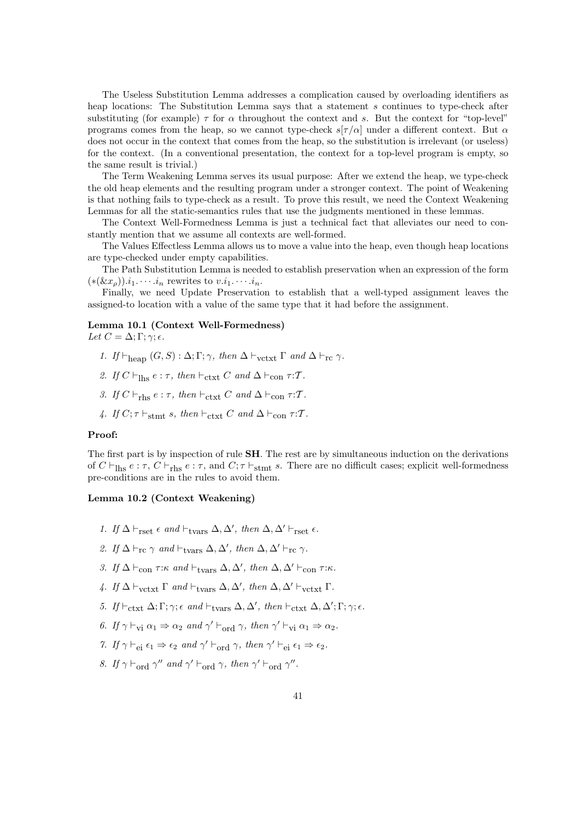The Useless Substitution Lemma addresses a complication caused by overloading identifiers as heap locations: The Substitution Lemma says that a statement s continues to type-check after substituting (for example)  $\tau$  for  $\alpha$  throughout the context and s. But the context for "top-level" programs comes from the heap, so we cannot type-check  $s[\tau/\alpha]$  under a different context. But  $\alpha$ does not occur in the context that comes from the heap, so the substitution is irrelevant (or useless) for the context. (In a conventional presentation, the context for a top-level program is empty, so the same result is trivial.)

The Term Weakening Lemma serves its usual purpose: After we extend the heap, we type-check the old heap elements and the resulting program under a stronger context. The point of Weakening is that nothing fails to type-check as a result. To prove this result, we need the Context Weakening Lemmas for all the static-semantics rules that use the judgments mentioned in these lemmas.

The Context Well-Formedness Lemma is just a technical fact that alleviates our need to constantly mention that we assume all contexts are well-formed.

The Values Effectless Lemma allows us to move a value into the heap, even though heap locations are type-checked under empty capabilities.

The Path Substitution Lemma is needed to establish preservation when an expression of the form  $(*(\&x_{\rho}))$ . $i_1$ .  $\cdots$ . $i_n$  rewrites to  $v.i_1$ .  $\cdots$ . $i_n$ .

Finally, we need Update Preservation to establish that a well-typed assignment leaves the assigned-to location with a value of the same type that it had before the assignment.

# Lemma 10.1 (Context Well-Formedness)

Let  $C = \Delta: \Gamma: \gamma: \epsilon$ .

- 1. If  $\vdash_{\text{hean}} (G, S) : \Delta; \Gamma; \gamma$ , then  $\Delta \vdash_{\text{vctxtxt}} \Gamma$  and  $\Delta \vdash_{\text{rc}} \gamma$ .
- 2. If  $C \vdash_{\text{lhs}} e : \tau$ , then  $\vdash_{\text{ctxt}} C$  and  $\Delta \vdash_{\text{con}} \tau : \mathcal{T}$ .
- 3. If  $C \vdash_{\text{rhs}} e : \tau$ , then  $\vdash_{\text{ctxt}} C$  and  $\Delta \vdash_{\text{con}} \tau : \mathcal{T}$ .
- 4. If  $C; \tau \vdash_{\text{stmt}} s$ , then  $\vdash_{\text{ctxt}} C$  and  $\Delta \vdash_{\text{con}} \tau : \mathcal{T}$ .

# Proof:

The first part is by inspection of rule SH. The rest are by simultaneous induction on the derivations of  $C \vdash_{\text{Ihs}} e : \tau$ ,  $C \vdash_{\text{rhs}} e : \tau$ , and  $C; \tau \vdash_{\text{stmt}} s$ . There are no difficult cases; explicit well-formedness pre-conditions are in the rules to avoid them.

#### Lemma 10.2 (Context Weakening)

- 1. If  $\Delta \vdash_{\text{rset}} \epsilon$  and  $\vdash_{\text{tvars}} \Delta, \Delta',$  then  $\Delta, \Delta' \vdash_{\text{rset}} \epsilon$ .
- 2. If  $\Delta \vdash_{\rm rc} \gamma$  and  $\vdash_{\text{tvars}} \Delta, \Delta'$ , then  $\Delta, \Delta' \vdash_{\rm rc} \gamma$ .
- 3. If  $\Delta \vdash_{con} \tau:\kappa$  and  $\vdash_{\text{tvars}} \Delta, \Delta',$  then  $\Delta, \Delta' \vdash_{con} \tau:\kappa$ .
- 4. If  $\Delta \vdash_{\text{vctxt}} \Gamma$  and  $\vdash_{\text{tvars}} \Delta, \Delta',$  then  $\Delta, \Delta' \vdash_{\text{vctxt}} \Gamma$ .
- 5. If  $\vdash_{\text{ctxt}} \Delta; \Gamma; \gamma; \epsilon \text{ and } \vdash_{\text{tvars}} \Delta, \Delta', \text{ then } \vdash_{\text{ctxt}} \Delta, \Delta'; \Gamma; \gamma; \epsilon.$
- 6. If  $\gamma \vdash_{\text{vi}} \alpha_1 \Rightarrow \alpha_2$  and  $\gamma' \vdash_{\text{ord}} \gamma$ , then  $\gamma' \vdash_{\text{vi}} \alpha_1 \Rightarrow \alpha_2$ .
- 7. If  $\gamma \vdash_{ei} \epsilon_1 \Rightarrow \epsilon_2$  and  $\gamma' \vdash_{ord} \gamma$ , then  $\gamma' \vdash_{ei} \epsilon_1 \Rightarrow \epsilon_2$ .
- 8. If  $\gamma \vdash_{\text{ord}} \gamma''$  and  $\gamma' \vdash_{\text{ord}} \gamma$ , then  $\gamma' \vdash_{\text{ord}} \gamma''$ .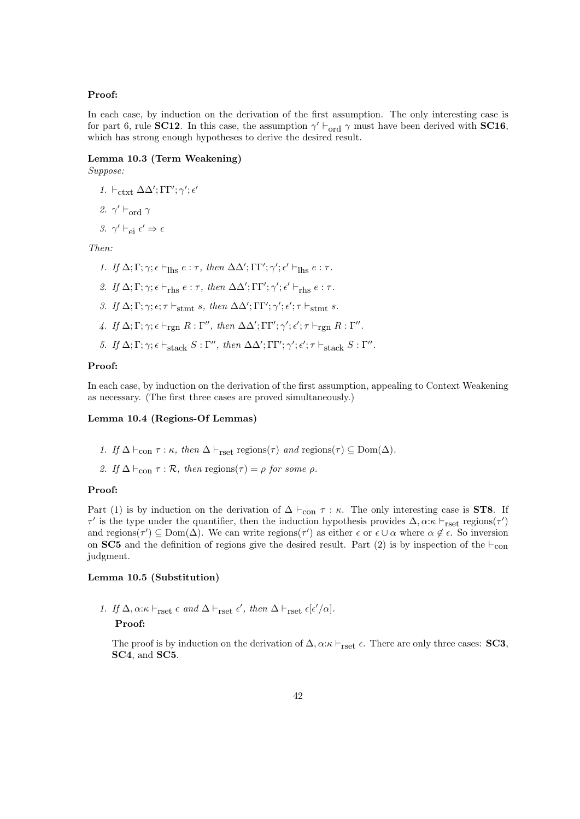#### Proof:

In each case, by induction on the derivation of the first assumption. The only interesting case is for part 6, rule **SC12**. In this case, the assumption  $\gamma' \vdash_{\text{ord}} \gamma$  must have been derived with **SC16**, which has strong enough hypotheses to derive the desired result.

# Lemma 10.3 (Term Weakening)

Suppose:

- 1.  $\vdash_{\textup{ctxt}} \Delta\Delta'; \Gamma\Gamma'; \gamma'; \epsilon'$
- 2.  $\gamma' \vdash_{\text{ord}} \gamma$
- 3.  $\gamma' \vdash_{\text{ei}} \epsilon' \Rightarrow \epsilon$

Then:

- 1. If  $\Delta; \Gamma; \gamma; \epsilon \vdash_{\text{Ihs}} e : \tau$ , then  $\Delta\Delta'; \Gamma\Gamma'; \gamma'; \epsilon' \vdash_{\text{Ihs}} e : \tau$ .
- 2. If  $\Delta; \Gamma; \gamma; \epsilon \vdash_{\text{rhs}} e : \tau$ , then  $\Delta\Delta'; \Gamma\Gamma'; \gamma'; \epsilon' \vdash_{\text{rhs}} e : \tau$ .
- 3. If  $\Delta; \Gamma; \gamma; \epsilon; \tau \vdash_{\text{stmt}} s, \text{ then } \Delta\Delta'; \Gamma\Gamma'; \gamma'; \epsilon'; \tau \vdash_{\text{stmt}} s.$
- 4. If  $\Delta; \Gamma; \gamma; \epsilon \vdash_{\text{rgn}} R : \Gamma'', \text{ then } \Delta\Delta'; \Gamma\Gamma'; \gamma'; \epsilon'; \tau \vdash_{\text{rgn}} R : \Gamma''.$
- 5. If  $\Delta; \Gamma; \gamma; \epsilon \vdash_{\text{stack}} S : \Gamma'', \text{ then } \Delta\Delta'; \Gamma\Gamma'; \gamma'; \epsilon'; \tau \vdash_{\text{stack}} S : \Gamma''.$

## Proof:

In each case, by induction on the derivation of the first assumption, appealing to Context Weakening as necessary. (The first three cases are proved simultaneously.)

#### Lemma 10.4 (Regions-Of Lemmas)

- 1. If  $\Delta \vdash_{con} \tau : \kappa$ , then  $\Delta \vdash_{\text{rset}} \text{regions}(\tau)$  and  $\text{regions}(\tau) \subseteq \text{Dom}(\Delta)$ .
- 2. If  $\Delta \vdash_{con} \tau : \mathcal{R}$ , then regions( $\tau$ ) = ρ for some ρ.

#### Proof:

Part (1) is by induction on the derivation of  $\Delta \vdash_{con} \tau : \kappa$ . The only interesting case is **ST8**. If  $\tau'$  is the type under the quantifier, then the induction hypothesis provides  $\Delta, \alpha:\kappa \vdash_{\text{rset}}$  regions( $\tau'$ ) and regions( $\tau'$ )  $\subseteq$  Dom( $\Delta$ ). We can write regions( $\tau'$ ) as either  $\epsilon$  or  $\epsilon \cup \alpha$  where  $\alpha \notin \epsilon$ . So inversion on SC5 and the definition of regions give the desired result. Part (2) is by inspection of the  $\vdash_{\text{con}}$ judgment.

#### Lemma 10.5 (Substitution)

1. If  $\Delta, \alpha: \kappa \vdash_{\mathrm{rset}} \epsilon \text{ and } \Delta \vdash_{\mathrm{rset}} \epsilon', \text{ then } \Delta \vdash_{\mathrm{rset}} \epsilon [\epsilon'/\alpha].$ 

# Proof:

The proof is by induction on the derivation of  $\Delta, \alpha:\kappa \vdash_{\text{rset}} \epsilon$ . There are only three cases: **SC3**, SC4, and SC5.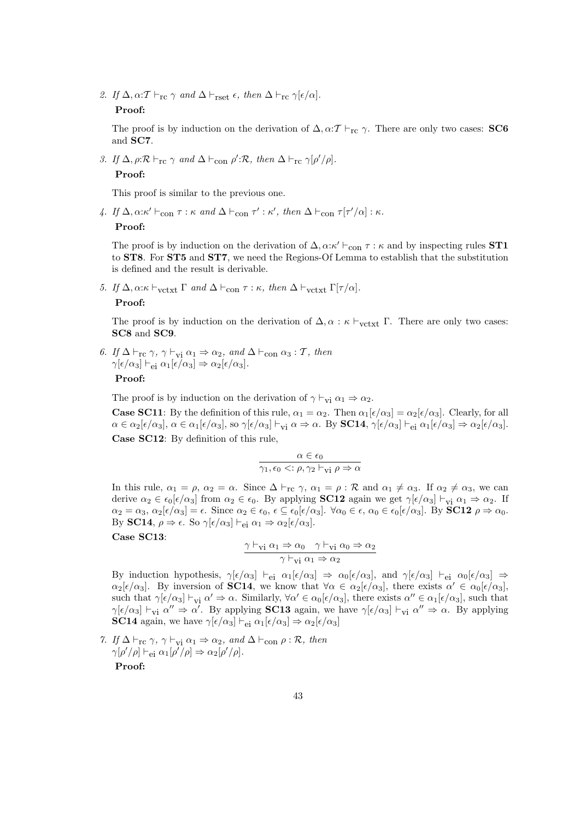2. If  $\Delta$ ,  $\alpha$ : $\mathcal{T} \vdash_{\rm rc} \gamma$  and  $\Delta \vdash_{\rm rset} \epsilon$ , then  $\Delta \vdash_{\rm rc} \gamma[\epsilon/\alpha]$ .

## Proof:

The proof is by induction on the derivation of  $\Delta, \alpha: \mathcal{T} \vdash_{\mathrm{rc}} \gamma$ . There are only two cases: **SC6** and SC7.

3. If  $\Delta$ ,  $\rho: \mathcal{R} \vdash_{\text{rc}} \gamma$  and  $\Delta \vdash_{\text{con}} \rho': \mathcal{R}$ , then  $\Delta \vdash_{\text{rc}} \gamma[\rho'/\rho]$ . Proof:

This proof is similar to the previous one.

4. If  $\Delta, \alpha: \kappa' \vdash_{\text{con}} \tau : \kappa \text{ and } \Delta \vdash_{\text{con}} \tau' : \kappa', \text{ then } \Delta \vdash_{\text{con}} \tau[\tau'/\alpha] : \kappa.$ 

Proof:

The proof is by induction on the derivation of  $\Delta, \alpha: \kappa' \vdash_{con} \tau : \kappa$  and by inspecting rules **ST1** to ST8. For ST5 and ST7, we need the Regions-Of Lemma to establish that the substitution is defined and the result is derivable.

5. If  $\Delta$ ,  $\alpha:\kappa \vdash_{\text{vctx}} \Gamma$  and  $\Delta \vdash_{\text{con}} \tau : \kappa$ , then  $\Delta \vdash_{\text{vctx}} \Gamma[\tau/\alpha]$ .

#### Proof:

The proof is by induction on the derivation of  $\Delta, \alpha : \kappa \vdash_{\text{vctxt}} \Gamma$ . There are only two cases: SC8 and SC9.

6. If  $\Delta \vdash_{\rm rc} \gamma$ ,  $\gamma \vdash_{\rm vi} \alpha_1 \Rightarrow \alpha_2$ , and  $\Delta \vdash_{\rm con} \alpha_3 : \mathcal{T}$ , then  $\gamma[\epsilon/\alpha_3] \vdash_{\mathrm{ei}} \alpha_1[\epsilon/\alpha_3] \Rightarrow \alpha_2[\epsilon/\alpha_3].$ 

Proof:

The proof is by induction on the derivation of  $\gamma \vdash_{vi} \alpha_1 \Rightarrow \alpha_2$ .

**Case SC11**: By the definition of this rule,  $\alpha_1 = \alpha_2$ . Then  $\alpha_1[\epsilon/\alpha_3] = \alpha_2[\epsilon/\alpha_3]$ . Clearly, for all  $\alpha \in \alpha_2[\epsilon/\alpha_3], \ \alpha \in \alpha_1[\epsilon/\alpha_3],$  so  $\gamma[\epsilon/\alpha_3] \vdash_{\mathbf{vi}} \alpha \Rightarrow \alpha$ . By **SC14**,  $\gamma[\epsilon/\alpha_3] \vdash_{\mathbf{ei}} \alpha_1[\epsilon/\alpha_3] \Rightarrow \alpha_2[\epsilon/\alpha_3]$ . Case SC12: By definition of this rule,

$$
\frac{\alpha \in \epsilon_0}{\gamma_1, \epsilon_0 \prec : \rho, \gamma_2 \vdash_{\mathbf{vi}} \rho \Rightarrow \alpha}
$$

In this rule,  $\alpha_1 = \rho$ ,  $\alpha_2 = \alpha$ . Since  $\Delta \vdash_{\rm rc} \gamma$ ,  $\alpha_1 = \rho : \mathcal{R}$  and  $\alpha_1 \neq \alpha_3$ . If  $\alpha_2 \neq \alpha_3$ , we can derive  $\alpha_2 \in \epsilon_0[\epsilon/\alpha_3]$  from  $\alpha_2 \in \epsilon_0$ . By applying **SC12** again we get  $\gamma[\epsilon/\alpha_3] \vdash_{\mathbf{vi}} \alpha_1 \Rightarrow \alpha_2$ . If  $\alpha_2 = \alpha_3, \, \alpha_2[\epsilon/\alpha_3] = \epsilon.$  Since  $\alpha_2 \in \epsilon_0, \, \epsilon \subseteq \epsilon_0[\epsilon/\alpha_3]$ .  $\forall \alpha_0 \in \epsilon, \, \alpha_0 \in \epsilon_0[\epsilon/\alpha_3]$ . By **SC12**  $\rho \Rightarrow \alpha_0$ . By SC14,  $\rho \Rightarrow \epsilon$ . So  $\gamma[\epsilon/\alpha_3] \vdash_{ei} \alpha_1 \Rightarrow \alpha_2[\epsilon/\alpha_3]$ .

Case SC13:

$$
\frac{\gamma \vdash_{vi} \alpha_1 \Rightarrow \alpha_0 \quad \gamma \vdash_{vi} \alpha_0 \Rightarrow \alpha_2}{\gamma \vdash_{vi} \alpha_1 \Rightarrow \alpha_2}
$$

By induction hypothesis,  $\gamma[\epsilon/\alpha_3] \vdash_{ei} \alpha_1[\epsilon/\alpha_3] \Rightarrow \alpha_0[\epsilon/\alpha_3]$ , and  $\gamma[\epsilon/\alpha_3] \vdash_{ei} \alpha_0[\epsilon/\alpha_3] \Rightarrow$  $\alpha_2[\epsilon/\alpha_3]$ . By inversion of **SC14**, we know that  $\forall \alpha \in \alpha_2[\epsilon/\alpha_3]$ , there exists  $\alpha' \in \alpha_0[\epsilon/\alpha_3]$ , such that  $\gamma[\epsilon/\alpha_3] \vdash_{vi} \alpha' \Rightarrow \alpha$ . Similarly,  $\forall \alpha' \in \alpha_0[\epsilon/\alpha_3]$ , there exists  $\alpha'' \in \alpha_1[\epsilon/\alpha_3]$ , such that  $\gamma[\epsilon/\alpha_3] \vdash_{\text{vi}} \alpha'' \Rightarrow \alpha'$ . By applying **SC13** again, we have  $\gamma[\epsilon/\alpha_3] \vdash_{\text{vi}} \alpha'' \Rightarrow \alpha$ . By applying **SC14** again, we have  $\gamma[\epsilon/\alpha_3] \vdash_{ei} \alpha_1[\epsilon/\alpha_3] \Rightarrow \alpha_2[\epsilon/\alpha_3]$ 

7. If  $\Delta \vdash_{\rm rc} \gamma$ ,  $\gamma \vdash_{\rm vi} \alpha_1 \Rightarrow \alpha_2$ , and  $\Delta \vdash_{\rm con} \rho : \mathcal{R}$ , then  $\gamma[\rho'/\rho] \vdash_{\text{ei}} \alpha_1[\rho'/\rho] \Rightarrow \alpha_2[\rho'/\rho].$ 

Proof: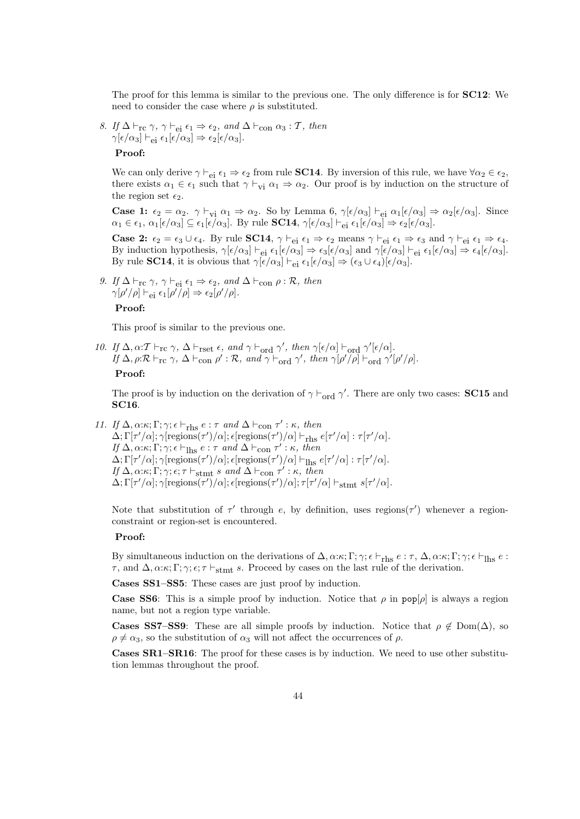The proof for this lemma is similar to the previous one. The only difference is for SC12: We need to consider the case where  $\rho$  is substituted.

8. If  $\Delta \vdash_{\rm rc} \gamma$ ,  $\gamma \vdash_{\rm ei} \epsilon_1 \Rightarrow \epsilon_2$ , and  $\Delta \vdash_{\rm con} \alpha_3 : \mathcal{T}$ , then  $\gamma[\epsilon/\alpha_3] \vdash_{\rm ei} \epsilon_1[\epsilon/\alpha_3] \Rightarrow \epsilon_2[\epsilon/\alpha_3].$ Proof:

We can only derive  $\gamma \vdash_{ei} \epsilon_1 \Rightarrow \epsilon_2$  from rule **SC14**. By inversion of this rule, we have  $\forall \alpha_2 \in \epsilon_2$ , there exists  $\alpha_1 \in \epsilon_1$  such that  $\gamma \vdash_{vi} \alpha_1 \Rightarrow \alpha_2$ . Our proof is by induction on the structure of the region set  $\epsilon_2$ .

**Case 1:**  $\epsilon_2 = \alpha_2$ .  $\gamma \vdash_{vi} \alpha_1 \Rightarrow \alpha_2$ . So by Lemma 6,  $\gamma[\epsilon/\alpha_3] \vdash_{ei} \alpha_1[\epsilon/\alpha_3] \Rightarrow \alpha_2[\epsilon/\alpha_3]$ . Since  $\alpha_1 \in \epsilon_1$ ,  $\alpha_1[\epsilon/\alpha_3] \subseteq \epsilon_1[\epsilon/\alpha_3]$ . By rule **SC14**,  $\gamma[\epsilon/\alpha_3] \vdash_{ei} \epsilon_1[\epsilon/\alpha_3] \Rightarrow \epsilon_2[\epsilon/\alpha_3]$ .

**Case 2:**  $\epsilon_2 = \epsilon_3 \cup \epsilon_4$ . By rule **SC14**,  $\gamma \vdash_{ei} \epsilon_1 \Rightarrow \epsilon_2$  means  $\gamma \vdash_{ei} \epsilon_1 \Rightarrow \epsilon_3$  and  $\gamma \vdash_{ei} \epsilon_1 \Rightarrow \epsilon_4$ . By induction hypothesis,  $\gamma[\epsilon/\alpha_3] \vdash_{ei} \epsilon_1[\epsilon/\alpha_3] \Rightarrow \epsilon_3[\epsilon/\alpha_3]$  and  $\gamma[\epsilon/\alpha_3] \vdash_{ei} \epsilon_1[\epsilon/\alpha_3] \Rightarrow \epsilon_4[\epsilon/\alpha_3]$ . By rule **SC14**, it is obvious that  $\gamma[\epsilon/\alpha_3] \vdash_{\text{ei}} \epsilon_1[\epsilon/\alpha_3] \Rightarrow (\epsilon_3 \cup \epsilon_4)[\epsilon/\alpha_3]$ .

9. If  $\Delta \vdash_{\rm rc} \gamma$ ,  $\gamma \vdash_{\rm ei} \epsilon_1 \Rightarrow \epsilon_2$ , and  $\Delta \vdash_{\rm con} \rho : \mathcal{R}$ , then  $\gamma[\rho'/\rho] \vdash_{\rm ei} \epsilon_1[\rho'/\rho] \Rightarrow \epsilon_2[\rho'/\rho].$ Proof:

This proof is similar to the previous one.

10. If  $\Delta, \alpha: \mathcal{T} \vdash_{\mathrm{rc}} \gamma$ ,  $\Delta \vdash_{\mathrm{rset}} \epsilon$ , and  $\gamma \vdash_{\mathrm{ord}} \gamma'$ , then  $\gamma[\epsilon/\alpha] \vdash_{\mathrm{ord}} \gamma'[\epsilon/\alpha]$ . If  $\Delta$ ,  $\rho: \mathcal{R} \vdash_{\rm rc} \gamma$ ,  $\Delta \vdash_{\text{con}} \rho' : \mathcal{R}$ , and  $\gamma \vdash_{\text{ord}} \gamma'$ , then  $\gamma[\rho'/\rho] \vdash_{\text{ord}} \gamma'[\rho'/\rho]$ . Proof:

The proof is by induction on the derivation of  $\gamma \vdash_{ord} \gamma'$ . There are only two cases: **SC15** and SC16.

11. If  $\Delta, \alpha; \kappa; \Gamma; \gamma; \epsilon \vdash_{\text{rhs}} e : \tau \text{ and } \Delta \vdash_{\text{con}} \tau' : \kappa, \text{ then}$  $\Delta; \Gamma[\tau'/\alpha]; \gamma[$ regions $(\tau')/\alpha]$ ;  $\epsilon$ [regions $(\tau')/\alpha] \vdash_{\text{rhs}} e[\tau'/\alpha] : \tau[\tau'/\alpha]$ . If  $\Delta$ ,  $\alpha$ : $\kappa$ ;  $\Gamma$ ;  $\gamma$ ;  $\epsilon \vdash_{\text{Ihs}} e : \tau$  and  $\Delta \vdash_{\text{con}} \tau' : \kappa$ , then  $\Delta; \Gamma[\tau'/\alpha]; \gamma[$ regions $(\tau')/\alpha]$ ;  $\epsilon$ [regions $(\tau')/\alpha] \vdash_{\text{Ihs}} e[\tau'/\alpha] : \tau[\tau'/\alpha]$ . If  $\Delta, \alpha; \kappa; \Gamma; \gamma; \epsilon; \tau \vdash_{\text{stmt}} s \text{ and } \Delta \vdash_{\text{con}} \tau' : \kappa, \text{ then}$  $\Delta; \Gamma[\tau'/\alpha]; \gamma[$ regions $(\tau')/\alpha]$ ;  $\epsilon$ [regions $(\tau')/\alpha]$ ;  $\tau[\tau'/\alpha] \vdash_{\text{stmt}} s[\tau'/\alpha]$ .

Note that substitution of  $\tau'$  through e, by definition, uses regions( $\tau'$ ) whenever a regionconstraint or region-set is encountered.

#### Proof:

By simultaneous induction on the derivations of  $\Delta$ ,  $\alpha$ : $\kappa$ ;  $\Gamma$ ;  $\gamma$ ;  $\epsilon \vdash_{\text{rhs}} \epsilon$  :  $\tau$ ,  $\Delta$ ,  $\alpha$ : $\kappa$ ;  $\Gamma$ ;  $\gamma$ ;  $\epsilon \vdash_{\text{lls}} \epsilon$  :  $τ$ , and Δ, α:κ; Γ; γ;  $ε$ ;  $τ$   $\vdash$ <sub>stmt</sub> s. Proceed by cases on the last rule of the derivation.

Cases SS1–SS5: These cases are just proof by induction.

**Case SS6:** This is a simple proof by induction. Notice that  $\rho$  in pop[ $\rho$ ] is always a region name, but not a region type variable.

**Cases SS7–SS9:** These are all simple proofs by induction. Notice that  $\rho \notin \text{Dom}(\Delta)$ , so  $\rho \neq \alpha_3$ , so the substitution of  $\alpha_3$  will not affect the occurrences of  $\rho$ .

Cases SR1–SR16: The proof for these cases is by induction. We need to use other substitution lemmas throughout the proof.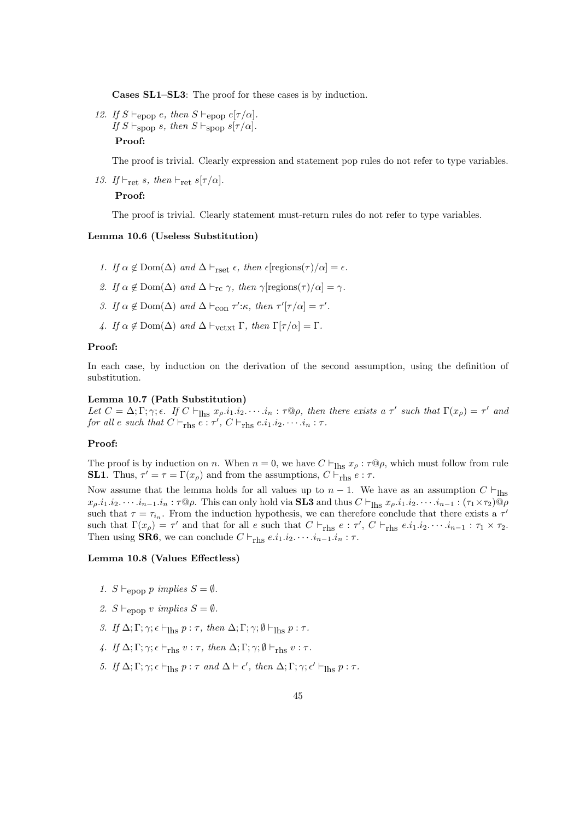Cases SL1–SL3: The proof for these cases is by induction.

12. If  $S \vdash_{\text{epop}} e$ , then  $S \vdash_{\text{epop}} e[\tau / \alpha]$ . If  $S \vdash_{\text{spop}} s$ , then  $S \vdash_{\text{spop}} s[\tau/\alpha]$ . Proof:

The proof is trivial. Clearly expression and statement pop rules do not refer to type variables.

13. If  $\vdash_{\text{ret}} s$ , then  $\vdash_{\text{ret}} s[\tau / \alpha]$ .

# Proof:

The proof is trivial. Clearly statement must-return rules do not refer to type variables.

#### Lemma 10.6 (Useless Substitution)

- 1. If  $\alpha \notin \text{Dom}(\Delta)$  and  $\Delta \vdash_{\text{rset}} \epsilon$ , then  $\epsilon$ [regions( $\tau$ )/ $\alpha$ ] =  $\epsilon$ .
- 2. If  $\alpha \notin \text{Dom}(\Delta)$  and  $\Delta \vdash_{\text{rc}} \gamma$ , then  $\gamma$ [regions( $\tau$ )/ $\alpha$ ] =  $\gamma$ .
- 3. If  $\alpha \notin \text{Dom}(\Delta)$  and  $\Delta \vdash_{\text{con}} \tau': \kappa$ , then  $\tau'[\tau/\alpha] = \tau'.$
- 4. If  $\alpha \notin \text{Dom}(\Delta)$  and  $\Delta \vdash_{\text{vctxt} \times \text{t}} \Gamma$ , then  $\Gamma[\tau/\alpha] = \Gamma$ .

#### Proof:

In each case, by induction on the derivation of the second assumption, using the definition of substitution.

## Lemma 10.7 (Path Substitution)

Let  $C = \Delta; \Gamma; \gamma; \epsilon$ . If  $C \vdash_{\text{Ihs}} x_{\rho}.i_1. i_2. \cdots . i_n : \tau \mathbb{Q} \rho$ , then there exists a  $\tau'$  such that  $\Gamma(x_{\rho}) = \tau'$  and for all e such that  $C \vdash_{\text{rhs}} e : \tau', C \vdash_{\text{rhs}} e.i_1.i_2.\cdots.i_n : \tau$ .

#### Proof:

The proof is by induction on n. When  $n = 0$ , we have  $C \vdash_{\text{Ihs}} x_{\rho} : \tau \mathbb{Q} \rho$ , which must follow from rule **SL1**. Thus,  $\tau' = \tau = \Gamma(x_\rho)$  and from the assumptions,  $C \vdash_{\text{rhs}} e : \tau$ .

Now assume that the lemma holds for all values up to  $n - 1$ . We have as an assumption C  $\vdash_{\text{hbs}}$  $x_{\rho}.i_1.i_2.\cdots.i_{n-1}.i_n : \tau\mathbb{Q}\rho$ . This can only hold via **SL3** and thus  $C \vdash_{\text{Ihs}} x_{\rho}.i_1.i_2.\cdots.i_{n-1} : (\tau_1 \times \tau_2)\mathbb{Q}\rho$ such that  $\tau = \tau_{i_n}$ . From the induction hypothesis, we can therefore conclude that there exists a  $\tau'$ such that  $\Gamma(x_{\rho}) = \tau'$  and that for all e such that  $C \vdash_{\text{rhs}} e : \tau', C \vdash_{\text{rhs}} e.i_1.i_2.\cdots.i_{n-1} : \tau_1 \times \tau_2$ . Then using **SR6**, we can conclude  $C \vdash_{\text{rhs}} e.i_1.i_2.\cdots.i_{n-1}.i_n : \tau$ .

#### Lemma 10.8 (Values Effectless)

- 1. S  $\vdash_{\text{enon}} p \implies S = \emptyset$ .
- 2.  $S \vdash_{\text{epon}} v \implies S = \emptyset$ .
- 3. If  $\Delta; \Gamma; \gamma; \epsilon \vdash_{\text{Ihs}} p : \tau$ , then  $\Delta; \Gamma; \gamma; \emptyset \vdash_{\text{Ihs}} p : \tau$ .
- 4. If  $\Delta; \Gamma; \gamma; \epsilon \vdash_{\text{rhs}} v : \tau$ , then  $\Delta; \Gamma; \gamma; \emptyset \vdash_{\text{rhs}} v : \tau$ .
- 5. If  $\Delta; \Gamma; \gamma; \epsilon \vdash_{\text{lhs}} p : \tau \text{ and } \Delta \vdash \epsilon', \text{ then } \Delta; \Gamma; \gamma; \epsilon' \vdash_{\text{lhs}} p : \tau.$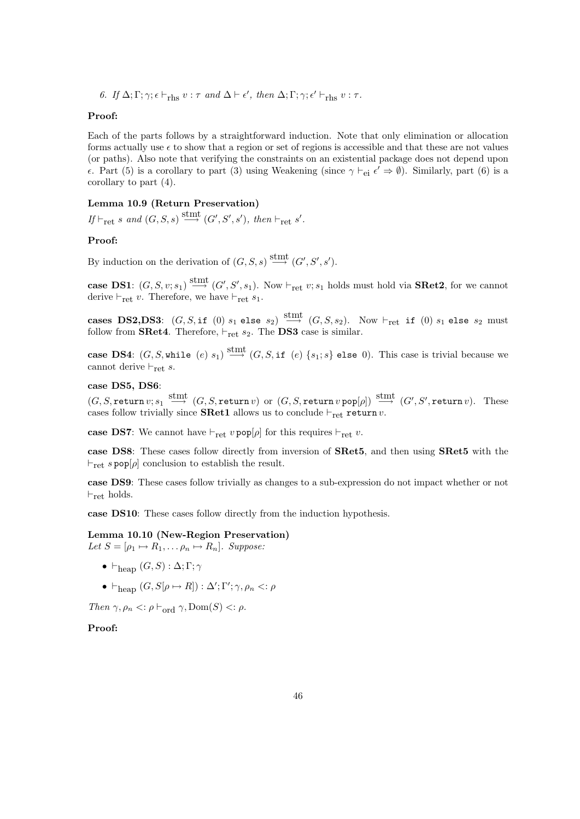6. If  $\Delta; \Gamma; \gamma; \epsilon \vdash_{\text{rhs}} v : \tau \text{ and } \Delta \vdash \epsilon', \text{ then } \Delta; \Gamma; \gamma; \epsilon' \vdash_{\text{rhs}} v : \tau.$ 

#### Proof:

Each of the parts follows by a straightforward induction. Note that only elimination or allocation forms actually use  $\epsilon$  to show that a region or set of regions is accessible and that these are not values (or paths). Also note that verifying the constraints on an existential package does not depend upon e. Part (5) is a corollary to part (3) using Weakening (since  $\gamma \vdash_{ei} \epsilon' \Rightarrow \emptyset$ ). Similarly, part (6) is a corollary to part (4).

## Lemma 10.9 (Return Preservation)

If  $\vdash_{\text{ret}} s$  and  $(G, S, s) \xrightarrow{\text{stmt}} (G', S', s')$ , then  $\vdash_{\text{ret}} s'$ .

# Proof:

By induction on the derivation of  $(G, S, s) \stackrel{\text{stmt}}{\longrightarrow} (G', S', s').$ 

case DS1:  $(G, S, v; s_1) \stackrel{\text{stmt}}{\longrightarrow} (G', S', s_1)$ . Now  $\vdash_{\text{ret}} v; s_1$  holds must hold via **SRet2**, for we cannot derive  $\vdash_{\text{ret}} v$ . Therefore, we have  $\vdash_{\text{ret}} s_1$ .

cases DS2,DS3:  $(G, S, \text{if } (0) \ s_1 \text{ else } s_2) \overset{\text{stmt}}{\longrightarrow} (G, S, s_2)$ . Now  $\vdash_{\text{ret}}$  if  $(0) \ s_1$  else  $s_2$  must follow from **SRet4**. Therefore,  $\vdash_{\text{ret}} s_2$ . The **DS3** case is similar.

case DS4:  $(G, S, \text{while } (e) \ s_1) \stackrel{\text{stmt}}{\longrightarrow} (G, S, \text{if } (e) \ {s_1; s} \text{ else } 0).$  This case is trivial because we cannot derive  $\vdash_{\text{ret}} s$ .

#### case DS5, DS6:

 $(G, S, \texttt{return } v; s_1 \stackrel{\text{stmt}}{\longrightarrow} (G, S, \texttt{return } v)$  or  $(G, S, \texttt{return } v \text{ pop}[\rho]) \stackrel{\text{stmt}}{\longrightarrow} (G', S', \texttt{return } v)$ . These cases follow trivially since **SRet1** allows us to conclude  $\vdash_{\text{ret}}$  return v.

case DS7: We cannot have  $\vdash_{\text{ret}} v \text{ pop}[\rho]$  for this requires  $\vdash_{\text{ret}} v$ .

case DS8: These cases follow directly from inversion of SRet5, and then using SRet5 with the  $\vdash_{\text{ret}} s \text{ pop}[\rho]$  conclusion to establish the result.

case DS9: These cases follow trivially as changes to a sub-expression do not impact whether or not  $\vdash_{\rm ret}$  holds.

case DS10: These cases follow directly from the induction hypothesis.

## Lemma 10.10 (New-Region Preservation)

Let  $S = [\rho_1 \mapsto R_1, \dots \rho_n \mapsto R_n]$ . Suppose:

- $\vdash_{\text{hean}} (G, S) : \Delta; \Gamma; \gamma$
- $\vdash_{\text{heap}} (G, S[\rho \mapsto R]) : \Delta'; \Gamma'; \gamma, \rho_n \leq: \rho$

Then  $\gamma, \rho_n \leq \rho \vdash_{\text{ord}} \gamma$ , Dom $(S) \leq \rho$ .

## Proof: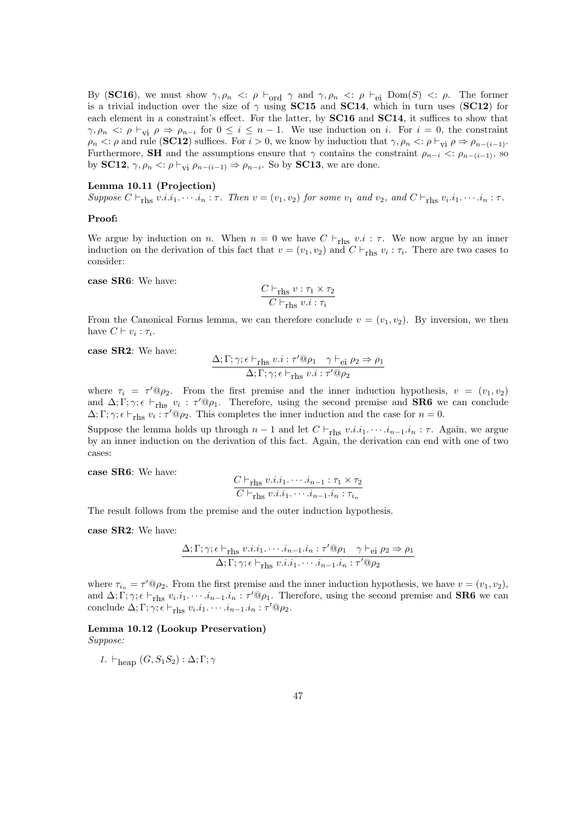By (SC16), we must show  $\gamma, \rho_n \ll \rho \vdash_{\text{ord}} \gamma$  and  $\gamma, \rho_n \ll \rho \vdash_{\text{ei}} \text{Dom}(S) \ll \rho$ . The former is a trivial induction over the size of  $\gamma$  using **SC15** and **SC14**, which in turn uses (**SC12**) for each element in a constraint's effect. For the latter, by SC16 and SC14, it suffices to show that  $\gamma, \rho_n <: \rho \vdash_{vi} \rho \Rightarrow \rho_{n-i}$  for  $0 \leq i \leq n-1$ . We use induction on i. For  $i = 0$ , the constraint  $\rho_n <: \rho$  and rule (SC12) suffices. For  $i > 0$ , we know by induction that  $\gamma, \rho_n <: \rho \vdash_{\text{vi}} \rho \Rightarrow \rho_{n-(i-1)}$ . Furthermore, SH and the assumptions ensure that  $\gamma$  contains the constraint  $\rho_{n-i} <: \rho_{n-(i-1)}$ , so by SC12,  $\gamma, \rho_n \leq \rho \vdash_{\text{vi}} \rho_{n-(i-1)} \Rightarrow \rho_{n-i}$ . So by SC13, we are done.

## Lemma 10.11 (Projection)

Suppose  $C \vdash_{\text{rhs}} v.i.i_1.\cdots.i_n : \tau$ . Then  $v = (v_1, v_2)$  for some  $v_1$  and  $v_2$ , and  $C \vdash_{\text{rhs}} v_i.i_1.\cdots.i_n : \tau$ .

#### Proof:

We argue by induction on n. When  $n = 0$  we have  $C \vdash_{\text{rhs}} v.i : \tau$ . We now argue by an inner induction on the derivation of this fact that  $v = (v_1, v_2)$  and  $C \vdash_{\text{rhs}} v_i : \tau_i$ . There are two cases to consider:

case SR6: We have:

$$
\frac{C \vdash_{\text{rhs}} v : \tau_1 \times \tau_2}{C \vdash_{\text{rhs}} v.i : \tau_i}
$$

From the Canonical Forms lemma, we can therefore conclude  $v = (v_1, v_2)$ . By inversion, we then have  $C \vdash v_i : \tau_i$ .

case SR2: We have:

$$
\frac{\Delta; \Gamma; \gamma; \epsilon \vdash_{\text{rhs}} v.i : \tau' @ \rho_1 \quad \gamma \vdash_{\text{ei}} \rho_2 \Rightarrow \rho_1}{\Delta; \Gamma; \gamma; \epsilon \vdash_{\text{rhs}} v.i : \tau' @ \rho_2}
$$

where  $\tau_i = \tau' @ \rho_2$ . From the first premise and the inner induction hypothesis,  $v = (v_1, v_2)$ and  $\Delta; \Gamma; \gamma; \epsilon \vdash_{\text{rhs}} v_i : \tau' @ \rho_1$ . Therefore, using the second premise and **SR6** we can conclude  $\Delta; \Gamma; \gamma; \epsilon \vdash_{\text{rhs}} v_i : \tau' @ \rho_2$ . This completes the inner induction and the case for  $n = 0$ .

Suppose the lemma holds up through  $n - 1$  and let  $C \vdash_{\text{rhs}} v.i.i_1.\cdots.i_{n-1}.i_n : \tau$ . Again, we argue by an inner induction on the derivation of this fact. Again, the derivation can end with one of two cases:

case SR6: We have:

$$
\frac{C \vdash_{\text{rhs}} v.i.i_1.\cdots.i_{n-1} : \tau_1 \times \tau_2}{C \vdash_{\text{rhs}} v.i.i_1.\cdots.i_{n-1}.i_n : \tau_{i_n}}
$$

The result follows from the premise and the outer induction hypothesis.

case SR2: We have:

$$
\frac{\Delta; \Gamma; \gamma; \epsilon \vdash_{\text{rhs}} v.i.i_1 \cdots i_{n-1}.i_n : \tau' @ \rho_1 \quad \gamma \vdash_{\text{ei}} \rho_2 \Rightarrow \rho_1}{\Delta; \Gamma; \gamma; \epsilon \vdash_{\text{rhs}} v.i.i_1 \cdots i_{n-1}.i_n : \tau' @ \rho_2}
$$

where  $\tau_{i_n} = \tau' @ \rho_2$ . From the first premise and the inner induction hypothesis, we have  $v = (v_1, v_2)$ , and  $\Delta; \Gamma; \gamma; \epsilon \vdash_{\text{rhs}} v_i \ldots i_{n-1} \ldots i_n : \tau' \mathbb{Q} \rho_1$ . Therefore, using the second premise and **SR6** we can conclude  $\Delta; \Gamma; \gamma; \epsilon \vdash_{\text{rhs}} v_i. i_1. \cdots . i_{n-1}. i_n : \tau' @ \rho_2.$ 

#### Lemma 10.12 (Lookup Preservation) Suppose:

1.  $\vdash_{\text{heap}} (G, S_1S_2) : \Delta; \Gamma; \gamma$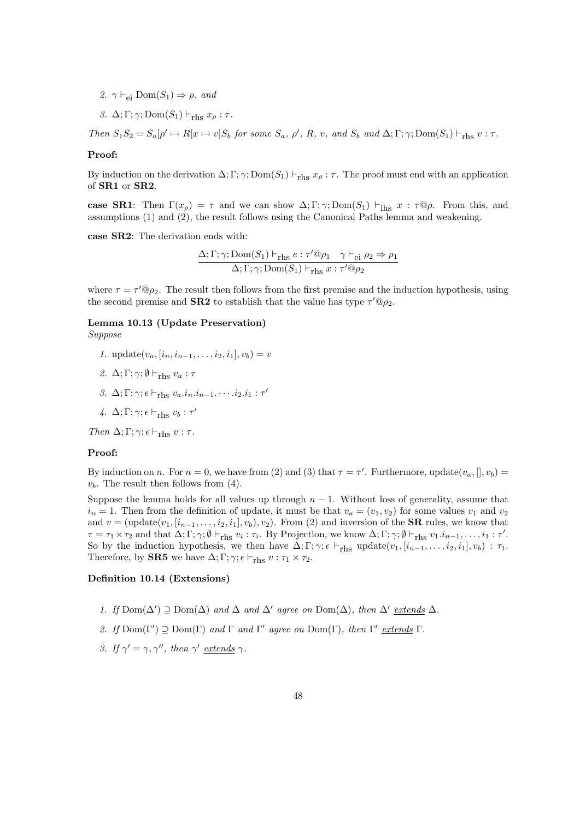- 2.  $\gamma \vdash_{\text{ei}} \text{Dom}(S_1) \Rightarrow \rho$ , and
- 3.  $\Delta; \Gamma; \gamma; \text{Dom}(S_1) \vdash_{\text{rhs}} x_\rho : \tau$ .

Then  $S_1S_2 = S_a[\rho' \mapsto R[x \mapsto v]S_b$  for some  $S_a$ ,  $\rho'$ , R, v, and  $S_b$  and  $\Delta; \Gamma; \gamma;$  Dom $(S_1) \vdash_{\text{rhs}} v : \tau$ .

#### Proof:

By induction on the derivation  $\Delta; \Gamma; \gamma; Dom(S_1) \vdash_{\text{rhs}} x_\rho : \tau$ . The proof must end with an application of SR1 or SR2.

case SR1: Then  $\Gamma(x_{\rho}) = \tau$  and we can show  $\Delta; \Gamma; \gamma; Dom(S_1) \vdash_{\text{Ihs}} x : \tau \mathbb{Q}\rho$ . From this, and assumptions (1) and (2), the result follows using the Canonical Paths lemma and weakening.

case SR2: The derivation ends with:

$$
\frac{\Delta; \Gamma; \gamma; \text{Dom}(S_1) \vdash_{\text{rhs}} e : \tau' @ \rho_1 \quad \gamma \vdash_{\text{ei}} \rho_2 \Rightarrow \rho_1}{\Delta; \Gamma; \gamma; \text{Dom}(S_1) \vdash_{\text{rhs}} x : \tau' @ \rho_2}
$$

where  $\tau = \tau' @ \rho_2$ . The result then follows from the first premise and the induction hypothesis, using the second premise and **SR2** to establish that the value has type  $\tau' @ \rho_2$ .

# Lemma 10.13 (Update Preservation)

- Suppose
	- 1. update $(v_a, [i_n, i_{n-1}, \ldots, i_2, i_1], v_b) = v$
	- 2.  $\Delta; \Gamma; \gamma; \emptyset \vdash_{\text{rhs}} v_a : \tau$
	- 3.  $\Delta; \Gamma; \gamma; \epsilon \vdash_{\text{rhs}} v_a.i_n.i_{n-1}.\cdots.i_2.i_1 : \tau'$
	- 4.  $\Delta; \Gamma; \gamma; \epsilon \vdash_{\text{rhs}} v_b : \tau'$

Then  $\Delta; \Gamma; \gamma; \epsilon \vdash_{\text{rhs}} v : \tau$ .

#### Proof:

By induction on n. For  $n = 0$ , we have from (2) and (3) that  $\tau = \tau'$ . Furthermore, update $(v_a, [], v_b)$  $v_b$ . The result then follows from (4).

Suppose the lemma holds for all values up through  $n - 1$ . Without loss of generality, assume that  $i_n = 1$ . Then from the definition of update, it must be that  $v_a = (v_1, v_2)$  for some values  $v_1$  and  $v_2$ and  $v = (\text{update}(v_1, [i_{n-1}, \ldots, i_2, i_1], v_b), v_2)$ . From (2) and inversion of the **SR** rules, we know that  $\tau = \tau_1 \times \tau_2$  and that  $\Delta; \Gamma; \gamma; \emptyset \vdash_{\text{rhs}} v_i : \tau_i$ . By Projection, we know  $\Delta; \Gamma; \gamma; \emptyset \vdash_{\text{rhs}} v_1 \ldots, i_1 : \tau'.$ So by the induction hypothesis, we then have  $\Delta; \Gamma; \gamma; \epsilon \vdash_{\text{rhs}} \text{update}(v_1, [i_{n-1}, \ldots, i_2, i_1], v_b) : \tau_1$ . Therefore, by **SR5** we have  $\Delta; \Gamma; \gamma; \epsilon \vdash_{\text{rhs}} v : \tau_1 \times \tau_2$ .

# Definition 10.14 (Extensions)

- 1. If  $Dom(\Delta') \supseteq Dom(\Delta)$  and  $\Delta$  and  $\Delta'$  agree on  $Dom(\Delta)$ , then  $\Delta'$  extends  $\Delta$ .
- 2. If  $Dom(\Gamma') \supseteq Dom(\Gamma)$  and  $\Gamma$  and  $\Gamma'$  agree on  $Dom(\Gamma)$ , then  $\Gamma'$  extends  $\Gamma$ .
- 3. If  $\gamma' = \gamma, \gamma''$ , then  $\gamma'$  extends  $\gamma$ .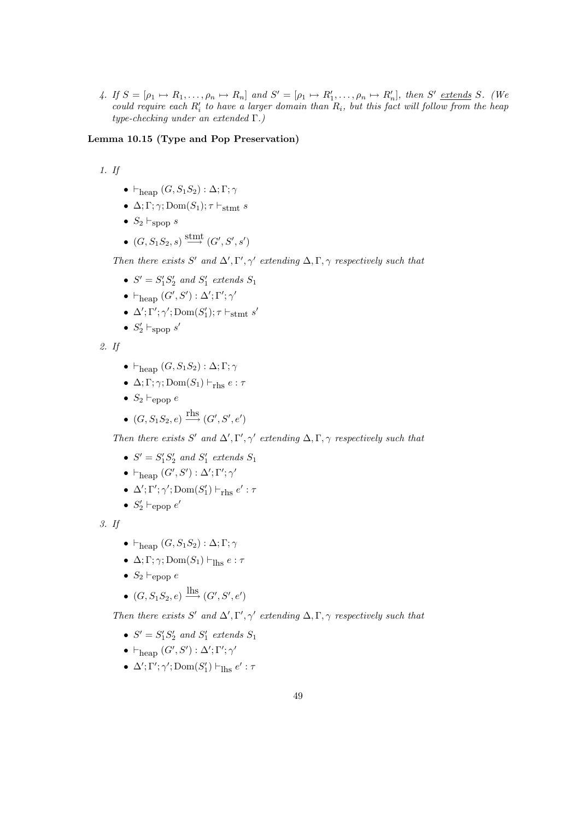4. If  $S = [\rho_1 \mapsto R_1, \ldots, \rho_n \mapsto R_n]$  and  $S' = [\rho_1 \mapsto R'_1, \ldots, \rho_n \mapsto R'_n]$ , then  $S'$  extends S. (We could require each  $R_i'$  to have a larger domain than  $R_i$ , but this fact will follow from the heap type-checking under an extended Γ.)

#### Lemma 10.15 (Type and Pop Preservation)

1. If

- $\vdash_{\text{heap}} (G, S_1S_2) : \Delta; \Gamma; \gamma$
- $\Delta; \Gamma; \gamma; \text{Dom}(S_1); \tau \vdash_{\text{stmt}} s$
- $S_2 \vdash_{\text{spop}} s$
- $(G, S_1S_2, s) \stackrel{\text{stmt}}{\longrightarrow} (G', S', s')$

Then there exists S' and  $\Delta', \Gamma', \gamma'$  extending  $\Delta, \Gamma, \gamma$  respectively such that

- $S' = S_1'S_2'$  and  $S_1'$  extends  $S_1$
- $\vdash_{\text{heap}} (G', S') : \Delta'; \Gamma'; \gamma'$
- $\Delta'$ ;  $\Gamma'$ ;  $\gamma'$ ; Dom $(S'_1)$ ;  $\tau \vdash_{\text{stmt}} s'$
- $S'_2 \vdash_{\text{spop}} s'$

2. If

- $\vdash_{\text{hean}} (G, S_1S_2) : \Delta; \Gamma; \gamma$
- $\Delta; \Gamma; \gamma; \text{Dom}(S_1) \vdash_{\text{rhs}} e : \tau$
- $S_2 \vdash_{\text{epop}} e$
- $(G, S_1S_2, e) \xrightarrow{\text{rhs}} (G', S', e')$

Then there exists S' and  $\Delta', \Gamma', \gamma'$  extending  $\Delta, \Gamma, \gamma$  respectively such that

- $S' = S_1'S_2'$  and  $S_1'$  extends  $S_1$
- $\vdash_{\text{heap}} (G', S') : \Delta'; \Gamma'; \gamma'$
- $\Delta'$ ;  $\Gamma'$ ;  $\gamma'$ ; Dom $(S'_1) \vdash_{\text{rhs}} e' : \tau$
- $S'_2 \vdash_{\text{epop}} e'$

3. If

- $\vdash_{\text{hean}} (G, S_1S_2) : \Delta; \Gamma; \gamma$
- $\Delta; \Gamma; \gamma; \text{Dom}(S_1) \vdash_{\text{lhs}} e : \tau$
- $S_2 \vdash_{\text{epop}} e$
- $(G, S_1S_2, e) \xrightarrow{\text{lhs}} (G', S', e')$

Then there exists S' and  $\Delta', \Gamma', \gamma'$  extending  $\Delta, \Gamma, \gamma$  respectively such that

- $S' = S_1'S_2'$  and  $S_1'$  extends  $S_1$
- $\vdash_{\text{heap}} (G', S') : \Delta'; \Gamma'; \gamma'$
- $\Delta'$ ;  $\Gamma'$ ;  $\gamma'$ ;  $Dom(S'_1) \vdash_{\text{Ihs}} e' : \tau$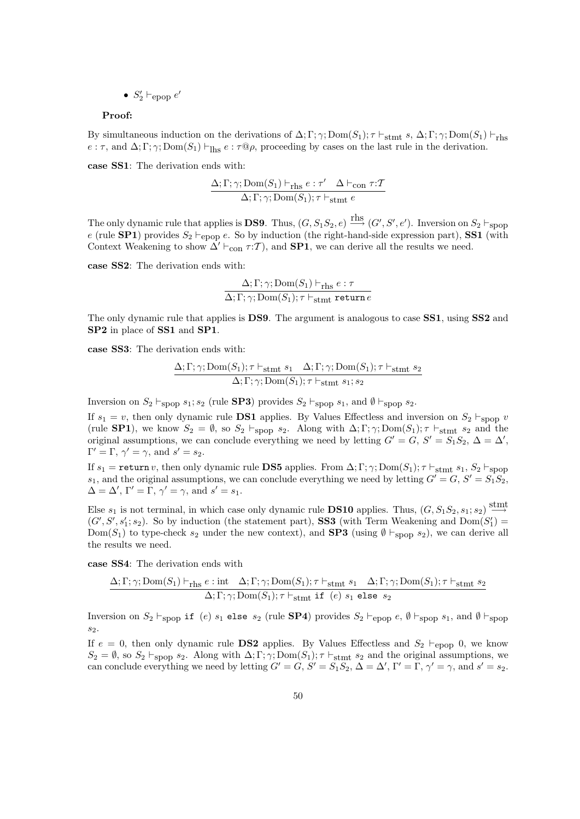•  $S'_2 \vdash_{\text{epop}} e'$ 

#### Proof:

By simultaneous induction on the derivations of  $\Delta; \Gamma; \gamma; \text{Dom}(S_1); \tau \vdash_{\text{stmt}} s, \Delta; \Gamma; \gamma; \text{Dom}(S_1) \vdash_{\text{rhs}}$  $e : \tau$ , and  $\Delta; \Gamma; \gamma; \text{Dom}(S_1) \vdash_{\text{Hs}} e : \tau \mathbb{Q}\rho$ , proceeding by cases on the last rule in the derivation.

case SS1: The derivation ends with:

$$
\frac{\Delta; \Gamma; \gamma; \operatorname{Dom}(S_1) \vdash_{\operatorname{rhs}} e : \tau' \quad \Delta \vdash_{\operatorname{con}} \tau : T}{\Delta; \Gamma; \gamma; \operatorname{Dom}(S_1); \tau \vdash_{\operatorname{stmt}} e}
$$

The only dynamic rule that applies is **DS9**. Thus,  $(G, S_1S_2, e) \xrightarrow{\text{rhs}} (G', S', e')$ . Inversion on  $S_2 \vdash_{\text{spop}}$ e (rule **SP1**) provides  $S_2 \vdash_{\text{epop}} e$ . So by induction (the right-hand-side expression part), **SS1** (with Context Weakening to show  $\overline{\Delta}^{\prime} \vdash_{\text{con}} \tau : \mathcal{T}$ ), and **SP1**, we can derive all the results we need.

case SS2: The derivation ends with:

$$
\frac{\Delta; \Gamma; \gamma; \text{Dom}(S_1) \vdash_{\text{rhs}} e : \tau}{\Delta; \Gamma; \gamma; \text{Dom}(S_1); \tau \vdash_{\text{stmt return } e}}
$$

The only dynamic rule that applies is DS9. The argument is analogous to case SS1, using SS2 and SP2 in place of SS1 and SP1.

case SS3: The derivation ends with:

$$
\frac{\Delta; \Gamma; \gamma; \text{Dom}(S_1); \tau \vdash_{\text{stmt}} s_1 \quad \Delta; \Gamma; \gamma; \text{Dom}(S_1); \tau \vdash_{\text{stmt}} s_2}{\Delta; \Gamma; \gamma; \text{Dom}(S_1); \tau \vdash_{\text{stmt}} s_1; s_2}
$$

Inversion on  $S_2 \vdash_{\text{spop}} s_1; s_2$  (rule **SP3**) provides  $S_2 \vdash_{\text{spop}} s_1$ , and  $\emptyset \vdash_{\text{spop}} s_2$ .

If  $s_1 = v$ , then only dynamic rule **DS1** applies. By Values Effectless and inversion on  $S_2 \vdash_{\text{spop}} v$ (rule **SP1**), we know  $S_2 = \emptyset$ , so  $S_2 \vdash_{\text{spop}} s_2$ . Along with  $\Delta; \Gamma; \gamma; \text{Dom}(S_1); \tau \vdash_{\text{stmt}} s_2$  and the original assumptions, we can conclude everything we need by letting  $G' = G, S' = S_1S_2, \Delta = \Delta'$ ,  $\Gamma' = \Gamma, \gamma' = \gamma, \text{ and } s' = s_2.$ 

If  $s_1$  = return v, then only dynamic rule **DS5** applies. From  $\Delta; \Gamma; \gamma; Dom(S_1); \tau \vdash_{stmt} s_1, S_2 \vdash_{\text{spoop}}$  $s_1$ , and the original assumptions, we can conclude everything we need by letting  $G' = G$ ,  $S' = S_1 S_2$ ,  $\Delta = \Delta', \Gamma' = \Gamma, \gamma' = \gamma, \text{ and } s' = s_1.$ 

Else  $s_1$  is not terminal, in which case only dynamic rule **DS10** applies. Thus,  $(G, S_1S_2, s_1; s_2) \stackrel{\text{stmt}}{\longrightarrow}$  $(G', S', s'_1; s_2)$ . So by induction (the statement part), **SS3** (with Term Weakening and  $Dom(S'_1)$ Dom(S<sub>1</sub>) to type-check s<sub>2</sub> under the new context), and **SP3** (using  $\emptyset \vdash_{\text{spop}} s_2$ ), we can derive all the results we need.

case SS4: The derivation ends with

$$
\frac{\Delta; \Gamma; \gamma; \mathrm{Dom}(S_1) \vdash_{\mathrm{rhs}} e : \mathrm{int} \quad \Delta; \Gamma; \gamma; \mathrm{Dom}(S_1); \tau \vdash_{\mathrm{stmt}} s_1 \quad \Delta; \Gamma; \gamma; \mathrm{Dom}(S_1); \tau \vdash_{\mathrm{stmt}} s_2}{\Delta; \Gamma; \gamma; \mathrm{Dom}(S_1); \tau \vdash_{\mathrm{stmt}} \mathtt{if} \ (e) \ s_1 \ \mathtt{else} \ s_2}
$$

Inversion on  $S_2 \vdash_{\text{spop}}$  if (e)  $s_1$  else  $s_2$  (rule SP4) provides  $S_2 \vdash_{\text{epop}} e$ ,  $\emptyset \vdash_{\text{spop}} s_1$ , and  $\emptyset \vdash_{\text{spop}}$  $s<sub>2</sub>$ .

If  $e = 0$ , then only dynamic rule **DS2** applies. By Values Effectless and  $S_2 \vdash_{\text{epop}} 0$ , we know  $S_2 = \emptyset$ , so  $S_2 \vdash_{\text{spop}} s_2$ . Along with  $\Delta; \Gamma; \gamma; \text{Dom}(S_1); \tau \vdash_{\text{stmt}} s_2$  and the original assumptions, we can conclude everything we need by letting  $G' = G$ ,  $S' = S_1 S_2$ ,  $\Delta = \Delta'$ ,  $\Gamma' = \Gamma$ ,  $\gamma' = \gamma$ , and  $s' = s_2$ .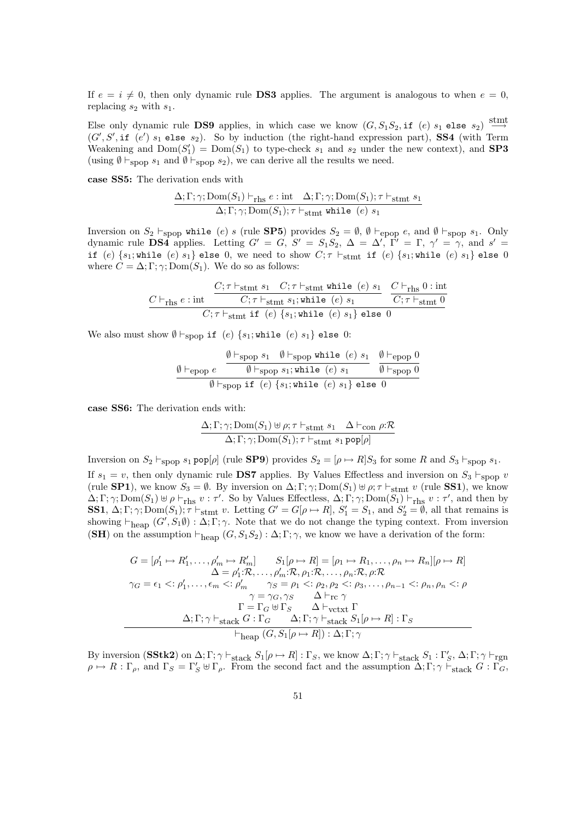If  $e = i \neq 0$ , then only dynamic rule **DS3** applies. The argument is analogous to when  $e = 0$ , replacing  $s_2$  with  $s_1$ .

Else only dynamic rule DS9 applies, in which case we know  $(G, S_1S_2, \text{if } (e) \ s_1 \text{ else } s_2) \stackrel{\text{stmt}}{\longrightarrow}$  $(G', S', \text{if } (e') s_1 \text{ else } s_2)$ . So by induction (the right-hand expression part), SS4 (with Term Weakening and  $Dom(S'_1) = Dom(S_1)$  to type-check  $s_1$  and  $s_2$  under the new context), and **SP3** (using  $\emptyset \vdash_{\text{spoo}} s_1$  and  $\emptyset \vdash_{\text{spoo}} s_2$ ), we can derive all the results we need.

case SS5: The derivation ends with

$$
\frac{\Delta; \Gamma; \gamma; \text{Dom}(S_1) \vdash_{\text{rhs}} e : \text{int} \quad \Delta; \Gamma; \gamma; \text{Dom}(S_1); \tau \vdash_{\text{stmt}} s_1}{\Delta; \Gamma; \gamma; \text{Dom}(S_1); \tau \vdash_{\text{stmt} while} (e) s_1}
$$

Inversion on  $S_2 \vdash_{\text{spop}}$  while (e) s (rule **SP5**) provides  $S_2 = \emptyset$ ,  $\emptyset \vdash_{\text{epop}} e$ , and  $\emptyset \vdash_{\text{spop}} s_1$ . Only dynamic rule **DS4** applies. Letting  $G' = G$ ,  $S' = S_1S_2$ ,  $\Delta = \Delta'$ ,  $\overline{\Gamma'} = \Gamma$ ,  $\gamma' = \gamma$ , and  $s' =$ if (e)  $\{s_1;$  while (e)  $s_1\}$  else 0, we need to show  $C; \tau \vdash_{\text{stmt}}$  if (e)  $\{s_1;$  while (e)  $s_1\}$  else 0 where  $C = \Delta; \Gamma; \gamma; Dom(S_1)$ . We do so as follows:

$$
\underbrace{C \vdash_{\text{rhs}} e : \text{int} \quad \underbrace{C; \tau \vdash_{\text{stmt}} s_1 \quad C; \tau \vdash_{\text{stmt}} \text{while} \ (e) \ s_1}_{C; \tau \vdash_{\text{stmt}} s_1; \text{while} \ (e) \ s_1} \quad \underbrace{C \vdash_{\text{rhs}} 0 : \text{int}}_{C; \tau \vdash_{\text{stmt}} 1f} \\ (e) \ \{s_1; \text{while} \ (e) \ s_1\} \ \text{else} \ 0}
$$

We also must show  $\emptyset \vdash_{\text{spop}}$  if (e) {s<sub>1</sub>; while (e) s<sub>1</sub>} else 0:

$$
\frac{\emptyset \vdash_{\text{spop}} s_1 \quad \emptyset \vdash_{\text{spop}} \text{while } (e) \ s_1 \quad \emptyset \vdash_{\text{epop}} 0}{\emptyset \vdash_{\text{spop}} s_1; \text{while } (e) \ s_1 \quad \emptyset \vdash_{\text{spop}} 0}
$$
\n
$$
\frac{\emptyset \vdash_{\text{epop}} 0}{\emptyset \vdash_{\text{spop}} \text{if } (e) \ \{s_1; \text{while } (e) \ s_1\} \text{ else } 0}
$$

case SS6: The derivation ends with:

$$
\frac{\Delta; \Gamma; \gamma; \text{Dom}(S_1) \uplus \rho; \tau \vdash_{\text{stmt}} s_1 \quad \Delta \vdash_{\text{con}} \rho; \mathcal{R}}{\Delta; \Gamma; \gamma; \text{Dom}(S_1); \tau \vdash_{\text{stmt}} s_1 \text{ pop}[\rho]}
$$

Inversion on  $S_2 \vdash_{\text{spop}} s_1 \text{ pop}[\rho]$  (rule **SP9**) provides  $S_2 = [\rho \mapsto R]S_3$  for some R and  $S_3 \vdash_{\text{spop}} s_1$ . If  $s_1 = v$ , then only dynamic rule **DS7** applies. By Values Effectless and inversion on  $S_3 \vdash_{\text{spoop}} v$ (rule **SP1**), we know  $S_3 = \emptyset$ . By inversion on  $\Delta; \Gamma; \gamma; \text{Dom}(S_1) \oplus \rho; \tau \vdash_{\text{stmt}} v$  (rule **SS1**), we know  $\Delta; \Gamma; \gamma; \text{Dom}(S_1) \uplus \rho \vdash_{\text{rhs}} v : \tau'.$  So by Values Effectless,  $\Delta; \Gamma; \gamma; \text{Dom}(S_1) \vdash_{\text{rhs}} v : \tau'.$  and then by **SS1**,  $\Delta; \Gamma; \gamma; \text{Dom}(S_1); \tau \vdash_{\text{stmt}} v$ . Letting  $G' = G[\rho \mapsto R], S'_1 = S_1$ , and  $S'_2 = \emptyset$ , all that remains is showing  $\vdash_{\text{heap}} (G', S_1 \emptyset) : \Delta; \Gamma; \gamma$ . Note that we do not change the typing context. From inversion (SH) on the assumption  $\vdash_{\text{heap}} (G, S_1S_2) : \Delta; \Gamma; \gamma$ , we know we have a derivation of the form:

$$
G = [\rho'_1 \mapsto R'_1, \dots, \rho'_m \mapsto R'_m] \qquad S_1[\rho \mapsto R] = [\rho_1 \mapsto R_1, \dots, \rho_n \mapsto R_n][\rho \mapsto R]
$$
  
\n
$$
\Delta = \rho'_1: \mathcal{R}, \dots, \rho'_m: \mathcal{R}, \rho_1: \mathcal{R}, \dots, \rho_n: \mathcal{R}, \rho: \mathcal{R}
$$
  
\n
$$
\gamma_G = \epsilon_1 \leq: \rho'_1, \dots, \epsilon_m \leq: \rho'_m \qquad \gamma_S = \rho_1 \leq: \rho_2, \rho_2 \leq: \rho_3, \dots, \rho_{n-1} \leq: \rho_n, \rho_n \leq: \rho
$$
  
\n
$$
\gamma = \gamma_G, \gamma_S \qquad \Delta \vdash_{\mathcal{C}} \gamma
$$
  
\n
$$
\Gamma = \Gamma_G \uplus \Gamma_S \qquad \Delta \vdash_{\mathcal{V}\mathcal{C}\mathcal{K}} \Gamma
$$
  
\n
$$
\Delta; \Gamma; \gamma \vdash_{\mathcal{S}\mathcal{K}} \alpha: \Gamma_G \qquad \Delta; \Gamma; \gamma \vdash_{\mathcal{S}\mathcal{K}} \alpha: \Gamma, \gamma \vdash_{\mathcal{S}\mathcal{K}} \Gamma
$$
  
\n
$$
\vdash_{\mathcal{H}\mathcal{R}} (G, S_1[\rho \mapsto R]) : \Delta; \Gamma; \gamma
$$

By inversion  $(\textbf{SStk2})$  on  $\Delta; \Gamma; \gamma \vdash_{\textbf{stack}} S_1[\rho \mapsto R] : \Gamma_S$ , we know  $\Delta; \Gamma; \gamma \vdash_{\textbf{stack}} S_1 : \Gamma'_S$ ,  $\Delta; \Gamma; \gamma \vdash_{\textbf{rgn}}$  $\rho \mapsto R : \Gamma_{\rho}$ , and  $\Gamma_S = \Gamma_S' \uplus \Gamma_{\rho}$ . From the second fact and the assumption  $\Delta; \Gamma; \gamma \vdash_{\text{stack}} G : \Gamma_G$ ,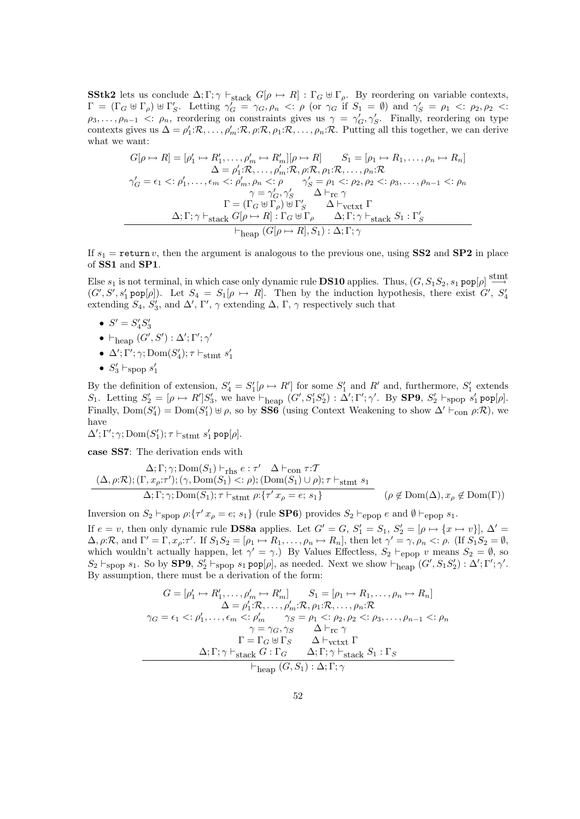**SStk2** lets us conclude  $\Delta; \Gamma; \gamma \vdash_{stack} G[\rho \mapsto R] : \Gamma_G \uplus \Gamma_\rho$ . By reordering on variable contexts,  $\Gamma = (\Gamma_G \oplus \Gamma_\rho) \oplus \Gamma'_S$ . Letting  $\gamma'_G = \gamma_G, \rho_n \prec : \rho$  (or  $\gamma_G$  if  $S_1 = \emptyset$ ) and  $\gamma'_S = \rho_1 \prec : \rho_2, \rho_2 \prec :$  $\rho_3,\ldots,\rho_{n-1}$  <:  $\rho_n$ , reordering on constraints gives us  $\gamma = \gamma_G',\gamma_S'$ . Finally, reordering on type contexts gives us  $\Delta = \rho'_1 : \mathcal{R}, \ldots, \rho'_m : \mathcal{R}, \rho : \mathcal{R}, \rho_1 : \mathcal{R}, \ldots, \rho_n : \mathcal{R}$ . Putting all this together, we can derive what we want:

$$
G[\rho \mapsto R] = [\rho'_1 \mapsto R'_1, \dots, \rho'_m \mapsto R'_m][\rho \mapsto R] \qquad S_1 = [\rho_1 \mapsto R_1, \dots, \rho_n \mapsto R_n]
$$
  
\n
$$
\Delta = \rho'_1: \mathcal{R}, \dots, \rho'_m: \mathcal{R}, \rho: \mathcal{R}, \rho_1: \mathcal{R}, \dots, \rho_n: \mathcal{R}
$$
  
\n
$$
\gamma'_G = \epsilon_1 <: \rho'_1, \dots, \epsilon_m <: \rho'_m, \rho_n <: \rho \qquad \gamma'_S = \rho_1 <: \rho_2, \rho_2 <: \rho_3, \dots, \rho_{n-1} <: \rho_n
$$
  
\n
$$
\gamma = \gamma'_G, \gamma'_S \qquad \Delta \vdash_{\text{rc } \gamma}
$$
  
\n
$$
\Gamma = (\Gamma_G \uplus \Gamma_\rho) \uplus \Gamma'_S \qquad \Delta \vdash_{\text{vctx } \Gamma}
$$
  
\n
$$
\Delta; \Gamma; \gamma \vdash_{\text{stack }} G[\rho \mapsto R] : \Gamma_G \uplus \Gamma_\rho \qquad \Delta; \Gamma; \gamma \vdash_{\text{stack }} S_1 : \Gamma'_S
$$
  
\n
$$
\vdash_{\text{heap }} (G[\rho \mapsto R], S_1) : \Delta; \Gamma; \gamma
$$

If  $s_1$  = return v, then the argument is analogous to the previous one, using SS2 and SP2 in place of SS1 and SP1.

Else  $s_1$  is not terminal, in which case only dynamic rule **DS10** applies. Thus,  $(G, S_1S_2, s_1 \text{ pop}[\rho] \stackrel{\text{stmt}}{\longrightarrow}$  $(G', S', s'_1 \text{ pop}[\rho])$ . Let  $S_4 = S_1[\rho \mapsto R]$ . Then by the induction hypothesis, there exist G',  $S'_4$ extending  $S_4$ ,  $S'_3$ , and  $\Delta'$ ,  $\Gamma'$ ,  $\gamma$  extending  $\Delta$ ,  $\Gamma$ ,  $\gamma$  respectively such that

- $S' = S'_4 S'_3$
- $\vdash_{\text{heap}} (G', S') : \Delta'; \Gamma'; \gamma'$
- $\Delta'$ ;  $\Gamma'$ ;  $\gamma$ ; Dom $(S'_4)$ ;  $\tau \vdash_{\text{stmt}} s'_1$
- $S'_3 \vdash_{\text{spop}} s'_1$

By the definition of extension,  $S_4' = S_1'[\rho \mapsto R']$  for some  $S_1'$  and  $R'$  and, furthermore,  $S_1'$  extends S<sub>1</sub>. Letting  $S_2' = [\rho \mapsto R']S_3'$ , we have  $\vdash_{\text{heap}} (G', S_1'S_2') : \Delta'; \Gamma'; \gamma'.$  By **SP9**,  $S_2' \vdash_{\text{spop}} s_1' \text{ pop}[\rho].$ Finally,  $Dom(S'_4) = Dom(S'_1) \oplus \rho$ , so by SS6 (using Context Weakening to show  $\Delta' \vdash_{con} \rho : \mathcal{R}$ ), we have

 $\Delta';\Gamma';\gamma;{\rm Dom}(S_1');\tau\vdash_{\text{stmt}} s_1'\,\text{pop}[\rho].$ 

case SS7: The derivation ends with

$$
\Delta; \Gamma; \gamma; Dom(S_1) \vdash_{\text{rhs}} e : \tau' \Delta \vdash_{\text{con}} \tau: \mathcal{T}
$$
  
\n
$$
(\Delta, \rho: \mathcal{R}); (\Gamma, x_{\rho}: \tau'); (\gamma, Dom(S_1) < \epsilon) ; (\text{Dom}(S_1) \cup \rho); \tau \vdash_{\text{stmt}} s_1
$$
  
\n
$$
\Delta; \Gamma; \gamma; Dom(S_1); \tau \vdash_{\text{stmt}} \rho: \{\tau' \ x_{\rho} = e; \ s_1\}
$$
  
\n
$$
(\rho \notin Dom(\Delta), x_{\rho} \notin Dom(\Gamma))
$$

Inversion on  $S_2 \vdash_{\text{spop}} \rho: \{\tau' x_\rho = e; s_1\}$  (rule **SP6**) provides  $S_2 \vdash_{\text{epop}} e$  and  $\emptyset \vdash_{\text{epop}} s_1$ .

If  $e = v$ , then only dynamic rule **DS8a** applies. Let  $G' = G$ ,  $S'_1 = S_1$ ,  $S'_2 = [\rho \mapsto \{x \mapsto v\}]$ ,  $\Delta' =$  $\Delta, \rho: \mathcal{R}, \text{ and } \Gamma' = \Gamma, x_{\rho}: \tau'. \text{ If } S_1 S_2 = [\rho_1 \mapsto R_1, \ldots, \rho_n \mapsto R_n], \text{ then let } \gamma' = \gamma, \rho_n <: \rho. \text{ (If } S_1 S_2 = \emptyset,$ which wouldn't actually happen, let  $\gamma' = \gamma$ . By Values Effectless,  $S_2 \vdash_{\text{epop}} v$  means  $S_2 = \emptyset$ , so  $S_2 \vdash_{\text{spop}} s_1$ . So by **SP9**,  $S'_2 \vdash_{\text{spop}} s_1 \text{ pop}[\rho]$ , as needed. Next we show  $\vdash_{\text{heap}} (G', S_1 S'_2) : \Delta'; \Gamma'; \gamma'.$ By assumption, there must be a derivation of the form:

$$
G = [\rho'_1 \mapsto R'_1, \dots, \rho'_m \mapsto R'_m] \qquad S_1 = [\rho_1 \mapsto R_1, \dots, \rho_n \mapsto R_n]
$$
  
\n
$$
\Delta = \rho'_1: R, \dots, \rho'_m: R, \rho_1: R, \dots, \rho_n: R
$$
  
\n
$$
\gamma_G = \epsilon_1 <: \rho'_1, \dots, \epsilon_m <: \rho'_m \qquad \gamma_S = \rho_1 <: \rho_2, \rho_2 <: \rho_3, \dots, \rho_{n-1} <: \rho_n
$$
  
\n
$$
\gamma = \gamma_G, \gamma_S \qquad \Delta \vdash_{\text{rc}} \gamma
$$
  
\n
$$
\Gamma = \Gamma_G \uplus \Gamma_S \qquad \Delta \vdash_{\text{vctxt}} \Gamma
$$
  
\n
$$
\Delta; \Gamma; \gamma \vdash_{\text{stack}} G: \Gamma_G \qquad \Delta; \Gamma; \gamma \vdash_{\text{stack}} S_1: \Gamma_S
$$

 $\vdash_{\text{heap}} (G, S_1) : \Delta; \Gamma; \gamma$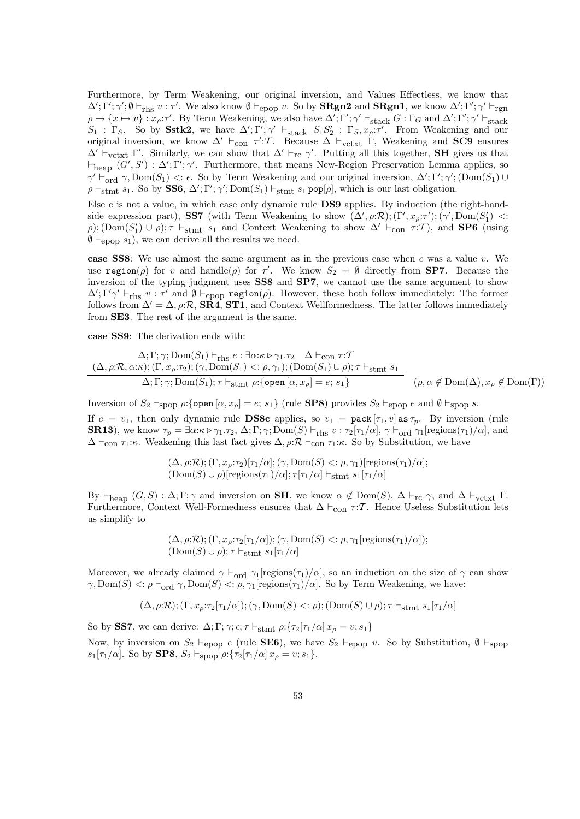Furthermore, by Term Weakening, our original inversion, and Values Effectless, we know that  $\Delta'; \Gamma'; \gamma'; \emptyset \vdash_{\text{rhs}} v : \tau'.$  We also know  $\emptyset \vdash_{\text{epop}} v$ . So by **SRgn2** and **SRgn1**, we know  $\Delta'; \Gamma'; \gamma' \vdash_{\text{rgn}}$  $\rho \mapsto \{x \mapsto v\} : x_{\rho} : \tau'.$  By Term Weakening, we also have  $\Delta'; \Gamma'; \gamma' \vdash_{\text{stack}} G : \Gamma_G$  and  $\Delta'; \Gamma'; \gamma' \vdash_{\text{stack}} g$  $S_1$ : Γ<sub>S</sub>. So by Sstk2, we have  $\Delta'$ ; Γ'; γ'  $\vdash_{\text{stack}} S_1S_2'$ : Γ<sub>S</sub>,  $x_\rho$ : τ'. From Weakening and our original inversion, we know  $\Delta' \vdash_{con} \tau' : \mathcal{T}$ . Because  $\Delta \vdash_{vctxt} \Gamma$ , Weakening and **SC9** ensures  $\Delta' \vdash_{\text{vctxt}} \Gamma'$ . Similarly, we can show that  $\Delta' \vdash_{\text{rc}} \gamma'$ . Putting all this together, **SH** gives us that  $\vdash_{\text{heap}}(G', S') : \Delta'; \Gamma'; \gamma'.$  Furthermore, that means New-Region Preservation Lemma applies, so  $\gamma' \vdash_{\text{ord}}^{\gamma} \gamma$ , Dom $(S_1) < \epsilon$ . So by Term Weakening and our original inversion,  $\Delta'; \Gamma'; \gamma';$  (Dom $(S_1) \cup$  $\rho \vdash_{\text{stmt}} s_1$ . So by SS6,  $\Delta'; \Gamma'; \gamma'; \text{Dom}(S_1) \vdash_{\text{stmt}} s_1 \text{ pop}[\rho],$  which is our last obligation.

Else  $e$  is not a value, in which case only dynamic rule DS9 applies. By induction (the right-handside expression part), **SS7** (with Term Weakening to show  $(\Delta', \rho: \mathcal{R})$ ;  $(\Gamma', x_{\rho}: \tau')$ ;  $(\gamma', \text{Dom}(S'_1)$  <:  $\rho$ ); (Dom(S'<sub>1</sub>)  $\cup$   $\rho$ );  $\tau$   $\vdash$ <sub>stmt</sub> s<sub>1</sub> and Context Weakening to show  $\Delta' \vdash_{con} \tau : \mathcal{T}$ ), and **SP6** (using  $\emptyset \vdash_{\text{epop}} s_1$ , we can derive all the results we need.

case SS8: We use almost the same argument as in the previous case when  $e$  was a value  $v$ . We use region( $\rho$ ) for v and handle( $\rho$ ) for  $\tau'$ . We know  $S_2 = \emptyset$  directly from **SP7**. Because the inversion of the typing judgment uses SS8 and SP7, we cannot use the same argument to show  $\Delta'$ ; Γ' $\gamma' \vdash_{\text{rhs}} v : \tau'$  and  $\emptyset \vdash_{\text{epop}} \text{region}(\rho)$ . However, these both follow immediately: The former follows from  $\Delta' = \Delta$ ,  $\rho: \mathcal{R}$ , **SR4**, **ST1**, and Context Wellformedness. The latter follows immediately from SE3. The rest of the argument is the same.

case SS9: The derivation ends with:

$$
\Delta; \Gamma; \gamma; Dom(S_1) \vdash_{\text{rhs}} e : \exists \alpha: \kappa \rhd \gamma_1. \tau_2 \Delta \vdash_{\text{con}} \tau: \mathcal{T}
$$
\n
$$
(\Delta, \rho: \mathcal{R}, \alpha: \kappa); (\Gamma, x_\rho: \tau_2); (\gamma, Dom(S_1) <: \rho, \gamma_1); (Dom(S_1) \cup \rho); \tau \vdash_{\text{stmt}} s_1
$$
\n
$$
\Delta; \Gamma; \gamma; Dom(S_1); \tau \vdash_{\text{stmt}} \rho: \{\text{open}\, [\alpha, x_\rho] = e; \, s_1\} \qquad (\rho, \alpha \notin Dom(\Delta), x_\rho \notin Dom(\Gamma))
$$

Inversion of  $S_2 \vdash_{\text{spop}} \rho$ :{open  $[\alpha, x_\rho] = e$ ;  $s_1$ } (rule **SP8**) provides  $S_2 \vdash_{\text{epop}} e$  and  $\emptyset \vdash_{\text{spop}} s$ . If  $e = v_1$ , then only dynamic rule **DS8c** applies, so  $v_1 = \text{pack}[\tau_1, v]$  as  $\tau_p$ . By inversion (rule **SR13**), we know  $\tau_p = \exists \alpha : \kappa \triangleright \gamma_1 \cdot \tau_2$ ,  $\Delta; \Gamma; \gamma; \text{Dom}(S) \vdash_{\text{rhs}} v : \tau_2[\tau_1/\alpha], \gamma \vdash_{\text{ord}} \gamma_1[\text{regions}(\tau_1)/\alpha],$  and  $\Delta \vdash_{\text{con } \mathcal{T}_1:\kappa.}$  Weakening this last fact gives  $\Delta$ ,  $\rho:\mathcal{R} \vdash_{\text{con } \mathcal{T}_1:\kappa.}$  So by Substitution, we have

$$
(\Delta, \rho: \mathcal{R}); (\Gamma, x_{\rho}: \tau_2)[\tau_1/\alpha]; (\gamma, \text{Dom}(S) <: \rho, \gamma_1)[\text{regions}(\tau_1)/\alpha];
$$
  

$$
(\text{Dom}(S) \cup \rho)[\text{regions}(\tau_1)/\alpha]; \tau[\tau_1/\alpha] \vdash_{\text{stmt}} s_1[\tau_1/\alpha]
$$

By  $\vdash_{\text{heap}} (G, S) : \Delta; \Gamma; \gamma$  and inversion on **SH**, we know  $\alpha \notin \text{Dom}(S)$ ,  $\Delta \vdash_{\text{rc}} \gamma$ , and  $\Delta \vdash_{\text{vctxt}} \Gamma$ . Furthermore, Context Well-Formedness ensures that  $\Delta \vdash_{con} \tau : \mathcal{T}$ . Hence Useless Substitution lets us simplify to

$$
(\Delta, \rho:\mathcal{R}); (\Gamma, x_{\rho}:\tau_2[\tau_1/\alpha]); (\gamma, \text{Dom}(S) < \rho, \gamma_1[\text{regions}(\tau_1)/\alpha]);
$$
  

$$
(\text{Dom}(S) \cup \rho); \tau \vdash_{\text{stmt}} s_1[\tau_1/\alpha]
$$

Moreover, we already claimed  $\gamma \vdash_{\text{ord}} \gamma_1$ [regions( $\tau_1$ )/α], so an induction on the size of  $\gamma$  can show  $\gamma$ , Dom(S)  $\langle : \rho \vdash_{\text{ord}} \gamma$ , Dom(S)  $\langle : \rho, \gamma_1[\text{regions}(\tau_1)/\alpha]$ . So by Term Weakening, we have:

$$
(\Delta, \rho: \mathcal{R}); (\Gamma, x_{\rho}: \tau_2[\tau_1/\alpha]); (\gamma, \text{Dom}(S) \lt; : \rho); (\text{Dom}(S) \cup \rho); \tau \vdash_{\text{stmt}} s_1[\tau_1/\alpha]
$$

So by SS7, we can derive:  $\Delta; \Gamma; \gamma; \epsilon; \tau \vdash_{\text{stmt}} \rho: \{\tau_2[\tau_1/\alpha] \, x_\rho = v; s_1\}$ Now, by inversion on  $S_2 \vdash_{\text{epop}} e$  (rule **SE6**), we have  $S_2 \vdash_{\text{epop}} v$ . So by Substitution,  $\emptyset \vdash_{\text{spop}}$  $s_1[\tau_1/\alpha]$ . So by **SP8**,  $S_2 \vdash_{\text{stop}} \rho: \{\tau_2[\tau_1/\alpha] | x_\rho = v; s_1\}.$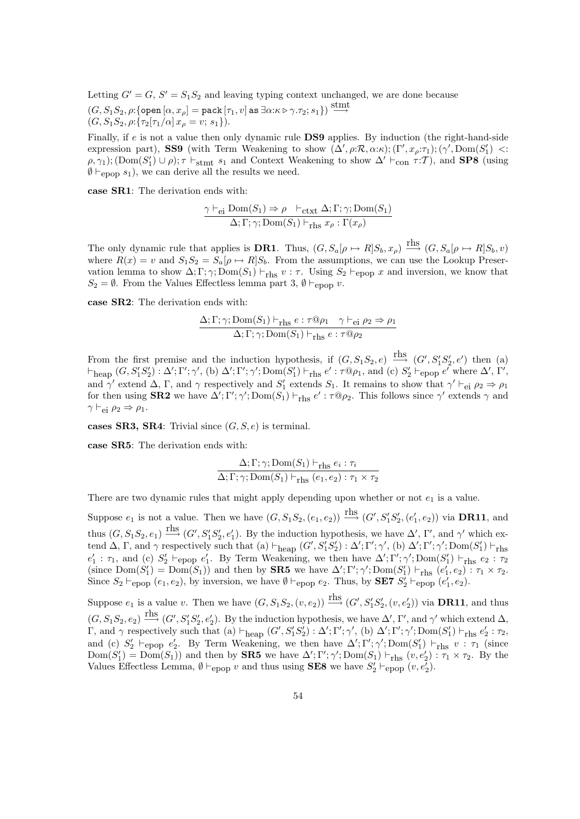Letting  $G' = G, S' = S_1 S_2$  and leaving typing context unchanged, we are done because  $(G, S_1S_2, \rho{:}\{\texttt{open} \, [\alpha, x_\rho] = \texttt{pack} \, [\tau_1, v]$  as  $\exists \alpha{:}\kappa \triangleright \gamma.\tau_2; s_1\}) \stackrel{\text{stmt}}{\longrightarrow}$  $(G, S_1S_2, \rho: \{ \tau_2 | \tau_1/\alpha | x_\rho = v; s_1 \}).$ 

Finally, if e is not a value then only dynamic rule DS9 applies. By induction (the right-hand-side expression part), **SS9** (with Term Weakening to show  $(\Delta', \rho: \mathcal{R}, \alpha: \kappa); (\Gamma', x_{\rho}: \tau_1); (\gamma', \text{Dom}(S'_1)$  <:  $(\rho, \gamma_1)$ ; (Dom $(S'_1) \cup \rho$ );  $\tau \vdash_{\text{stmt}} s_1$  and Context Weakening to show  $\Delta' \vdash_{\text{con}} \tau : \mathcal{T}$ ), and **SP8** (using  $\emptyset \vdash_{\text{epop}} s_1$ , we can derive all the results we need.

case SR1: The derivation ends with:

$$
\frac{\gamma \vdash_{\text{ei}} \text{Dom}(S_1) \Rightarrow \rho \vdash_{\text{ctxt}} \Delta; \Gamma; \gamma; \text{Dom}(S_1)}{\Delta; \Gamma; \gamma; \text{Dom}(S_1) \vdash_{\text{rhs}} x_{\rho} : \Gamma(x_{\rho})}
$$

The only dynamic rule that applies is **DR1**. Thus,  $(G, S_a[\rho \mapsto R]S_b, x_{\rho}) \stackrel{\text{rhs}}{\longrightarrow} (G, S_a[\rho \mapsto R]S_b, v)$ where  $R(x) = v$  and  $S_1S_2 = S_a(\rho \mapsto R|S_b)$ . From the assumptions, we can use the Lookup Preservation lemma to show  $\Delta; \Gamma; \gamma; \text{Dom}(S_1) \vdash_{\text{rhs}} v : \tau$ . Using  $S_2 \vdash_{\text{epop}} x$  and inversion, we know that  $S_2 = \emptyset$ . From the Values Effectless lemma part 3,  $\emptyset \vdash_{\text{epop}} v$ .

case SR2: The derivation ends with:

$$
\frac{\Delta; \Gamma; \gamma; \text{Dom}(S_1) \vdash_{\text{rhs}} e : \tau @ \rho_1 \quad \gamma \vdash_{\text{ei}} \rho_2 \Rightarrow \rho_1}{\Delta; \Gamma; \gamma; \text{Dom}(S_1) \vdash_{\text{rhs}} e : \tau @ \rho_2}
$$

From the first premise and the induction hypothesis, if  $(G, S_1S_2, e) \xrightarrow{\text{rhs }} (G', S'_1S'_2, e')$  then (a)  $\vdash_{\text{heap}}(G, S_1'S_2'): \Delta'; \Gamma'; \gamma', \text{ (b) }\Delta'; \Gamma'; \gamma'; \text{Dom}(S_1') \vdash_{\text{rhs}} e': \tau \mathbb{Q}\rho_1$ , and (c)  $S_2' \vdash_{\text{epop}} e'$  where  $\Delta', \Gamma',$ and  $\gamma'$  extend  $\Delta$ , Γ, and  $\gamma$  respectively and  $S'_1$  extends  $S_1$ . It remains to show that  $\gamma' \vdash_{e_i} \rho_2 \Rightarrow \rho_1$ for then using **SR2** we have  $\Delta'$ ; Γ';  $\gamma'$ ; Dom( $S_1$ )  $\vdash_{\text{rhs}} e' : \tau \mathbb{Q} \rho_2$ . This follows since  $\gamma'$  extends  $\gamma$  and  $\gamma \vdash_{\rm ei} \rho_2 \Rightarrow \rho_1$ .

cases SR3, SR4: Trivial since  $(G, S, e)$  is terminal.

case SR5: The derivation ends with:

$$
\frac{\Delta; \Gamma; \gamma; \text{Dom}(S_1) \vdash_{\text{rhs}} e_i : \tau_i}{\Delta; \Gamma; \gamma; \text{Dom}(S_1) \vdash_{\text{rhs}} (e_1, e_2) : \tau_1 \times \tau_2}
$$

There are two dynamic rules that might apply depending upon whether or not  $e_1$  is a value.

Suppose  $e_1$  is not a value. Then we have  $(G, S_1S_2, (e_1, e_2)) \stackrel{\text{rhs}}{\longrightarrow} (G', S'_1S'_2, (e'_1, e_2))$  via **DR11**, and thus  $(G, S_1S_2, e_1) \stackrel{\text{rhs}}{\longrightarrow} (G', S'_1S'_2, e'_1)$ . By the induction hypothesis, we have  $\Delta', \Gamma'$ , and  $\gamma'$  which extend  $\Delta$ ,  $\Gamma$ , and  $\gamma$  respectively such that (a)  $\vdash_{\text{heap}}(G', S'_1S'_2) : \Delta'; \Gamma'; \gamma',$  (b)  $\Delta'; \Gamma'; \gamma'; \text{Dom}(S'_1) \vdash_{\text{rhs}}$  $e'_1 : \tau_1$ , and (c)  $S'_2 \vdash_{\text{epop}} e'_1$ . By Term Weakening, we then have  $\Delta'; \Gamma'; \gamma'; \text{Dom}(S'_1) \vdash_{\text{rhs}} e_2 : \tau_2$ (since  $Dom(S'_1) = Dom(S_1)$ ) and then by **SR5** we have  $\Delta'; \Gamma'; \gamma'; Dom(S'_1) \vdash_{\text{rhs}} (e'_1, e_2) : \tau_1 \times \tau_2$ . Since  $S_2 \vdash_{\text{epop}} (e_1, e_2)$ , by inversion, we have  $\emptyset \vdash_{\text{epop}} e_2$ . Thus, by **SE7**  $S'_2 \vdash_{\text{epop}} (e'_1, e_2)$ .

Suppose  $e_1$  is a value v. Then we have  $(G, S_1S_2, (v, e_2)) \stackrel{\text{rhs}}{\longrightarrow} (G', S'_1S'_2, (v, e'_2))$  via **DR11**, and thus  $(G, S_1S_2, e_2) \stackrel{\text{rhs}}{\longrightarrow} (G', S'_1S'_2, e'_2)$ . By the induction hypothesis, we have  $\Delta', \Gamma',$  and  $\gamma'$  which extend  $\Delta$ ,  $Γ$ , and γ respectively such that (a)  $\vdash_{\text{heap}}(G', S'_1S'_2) : Δ'; Γ'; γ',$  (b)  $Δ'; Γ'; γ'; Dom(S'_1) \vdash_{\text{rhs}} e'_2 : τ_2$ , and (c)  $S'_2 \vdash_{\text{epop}} e'_2$ . By Term Weakening, we then have  $\Delta'; \Gamma'; \gamma'; \text{Dom}(S'_1) \vdash_{\text{rhs}} v : \tau_1$  (since  $Dom(S'_1) = Dom(S_1)$  and then by **SR5** we have  $\Delta'; \Gamma'; \gamma'; Dom(S_1) \vdash_{\text{rhs}} (v, e'_2) : \tau_1 \times \tau_2$ . By the Values Effectless Lemma,  $\emptyset \vdash_{\text{epop}} v$  and thus using **SE8** we have  $S'_2 \vdash_{\text{epop}} (v, e'_2)$ .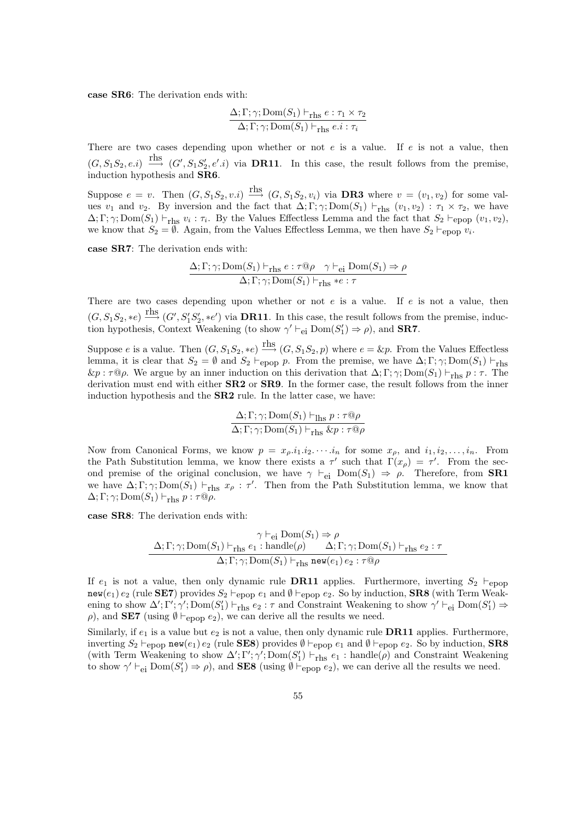case SR6: The derivation ends with:

$$
\frac{\Delta; \Gamma; \gamma; \text{Dom}(S_1) \vdash_{\text{rhs}} e : \tau_1 \times \tau_2}{\Delta; \Gamma; \gamma; \text{Dom}(S_1) \vdash_{\text{rhs}} e.i : \tau_i}
$$

There are two cases depending upon whether or not  $e$  is a value. If  $e$  is not a value, then  $(G, S_1S_2, e.i) \stackrel{\text{rhs}}{\longrightarrow} (G', S_1S'_2, e'.i)$  via **DR11**. In this case, the result follows from the premise, induction hypothesis and SR6.

Suppose  $e = v$ . Then  $(G, S_1S_2, v.i) \stackrel{\text{rhs}}{\longrightarrow} (G, S_1S_2, v_i)$  via **DR3** where  $v = (v_1, v_2)$  for some values  $v_1$  and  $v_2$ . By inversion and the fact that  $\Delta; \Gamma; \gamma; \text{Dom}(S_1) \vdash_{\text{rhs}} (v_1, v_2) : \tau_1 \times \tau_2$ , we have  $\Delta; \Gamma; \gamma; \text{Dom}(S_1) \vdash_{\text{rhs}} v_i : \tau_i$ . By the Values Effectless Lemma and the fact that  $S_2 \vdash_{\text{epop}} (v_1, v_2)$ , we know that  $S_2 = \emptyset$ . Again, from the Values Effectless Lemma, we then have  $S_2 \vdash_{\text{epop}} v_i$ .

case SR7: The derivation ends with:

$$
\frac{\Delta; \Gamma; \gamma; \text{Dom}(S_1) \vdash_{\text{rhs}} e : \tau @ \rho \quad \gamma \vdash_{\text{ei}} \text{Dom}(S_1) \Rightarrow \rho}{\Delta; \Gamma; \gamma; \text{Dom}(S_1) \vdash_{\text{rhs}} * e : \tau}
$$

There are two cases depending upon whether or not  $e$  is a value. If  $e$  is not a value, then  $(G, S_1S_2, *e) \stackrel{\text{rhs}}{\longrightarrow} (G', S'_1S'_2, *e')$  via **DR11**. In this case, the result follows from the premise, induction hypothesis, Context Weakening (to show  $\gamma' \vdash_{\text{ei}} \text{Dom}(S'_1) \Rightarrow \rho$ ), and **SR7**.

Suppose e is a value. Then  $(G, S_1S_2, *e) \xrightarrow{\text{rhs}} (G, S_1S_2, p)$  where  $e = \&p$ . From the Values Effectless lemma, it is clear that  $S_2 = \emptyset$  and  $S_2 \vdash_{\text{epop}} p$ . From the premise, we have  $\Delta; \Gamma; \gamma; \text{Dom}(S_1) \vdash_{\text{rhs}}$  $\&p : \tau \circledcirc \rho$ . We argue by an inner induction on this derivation that  $\Delta; \Gamma; \gamma; \text{Dom}(S_1) \vdash_{\text{rhs}} p : \tau$ . The derivation must end with either **SR2** or **SR9**. In the former case, the result follows from the inner induction hypothesis and the SR2 rule. In the latter case, we have:

$$
\frac{\Delta; \Gamma; \gamma; Dom(S_1) \vdash_{\text{Ihs}} p : \tau @ \rho}{\Delta; \Gamma; \gamma; Dom(S_1) \vdash_{\text{rhs}} \& p : \tau @ \rho}
$$

Now from Canonical Forms, we know  $p = x_{\rho}.i_1.i_2.\cdots.i_n$  for some  $x_{\rho}$ , and  $i_1, i_2, \ldots, i_n$ . From the Path Substitution lemma, we know there exists a  $\tau'$  such that  $\Gamma(x_{\rho}) = \tau'$ . From the second premise of the original conclusion, we have  $\gamma \vdash_{ei} \text{Dom}(S_1) \Rightarrow \rho$ . Therefore, from **SR1** we have  $\Delta; \Gamma; \gamma; Dom(S_1) \vdash_{\text{rhs}} x_{\rho} : \tau'.$  Then from the Path Substitution lemma, we know that  $\Delta; \Gamma; \gamma; Dom(S_1) \vdash_{\text{rhs}} p : \tau \mathbb{Q} \rho.$ 

case SR8: The derivation ends with:

$$
\gamma \vdash_{\text{ei}} \text{Dom}(S_1) \Rightarrow \rho
$$
  

$$
\Delta; \Gamma; \gamma; \text{Dom}(S_1) \vdash_{\text{rhs}} e_1 : \text{handle}(\rho) \qquad \Delta; \Gamma; \gamma; \text{Dom}(S_1) \vdash_{\text{rhs}} e_2 : \tau
$$
  

$$
\Delta; \Gamma; \gamma; \text{Dom}(S_1) \vdash_{\text{rhs}} \text{new}(e_1) e_2 : \tau @ \rho
$$

If  $e_1$  is not a value, then only dynamic rule **DR11** applies. Furthermore, inverting  $S_2 \vdash_{\text{epop}}$ new(e<sub>1</sub>) e<sub>2</sub> (rule **SE7**) provides  $S_2 \vdash_{\text{epop}} e_1$  and  $\emptyset \vdash_{\text{epop}} e_2$ . So by induction, **SR8** (with Term Weakening to show  $\Delta'$ ; Γ';  $\gamma'$ ; Dom( $S'_1$ )  $\vdash_{\text{rhs}} e_2 : \tau$  and Constraint Weakening to show  $\gamma' \vdash_{\text{ei}} \text{Dom}(S'_1) \Rightarrow$  $ρ$ ), and **SE7** (using  $θ \vdash_{epop} e_2$ ), we can derive all the results we need.

Similarly, if  $e_1$  is a value but  $e_2$  is not a value, then only dynamic rule **DR11** applies. Furthermore, inverting  $S_2 \vdash_{\text{epop}} \text{new}(e_1) e_2$  (rule **SE8**) provides  $\emptyset \vdash_{\text{epop}} e_1$  and  $\emptyset \vdash_{\text{epop}} e_2$ . So by induction, **SR8** (with Term Weakening to show  $\Delta'$ ; Γ';  $\gamma'$ ; Dom( $S'_1$ )  $\vdash_{\text{rhs}}$  e<sub>1</sub> : handle( $\rho$ ) and Constraint Weakening to show  $\gamma' \vdash_{\text{ei}} \text{Dom}(S_1') \Rightarrow \rho$ , and **SE8** (using  $\emptyset \vdash_{\text{epop}} e_2$ ), we can derive all the results we need.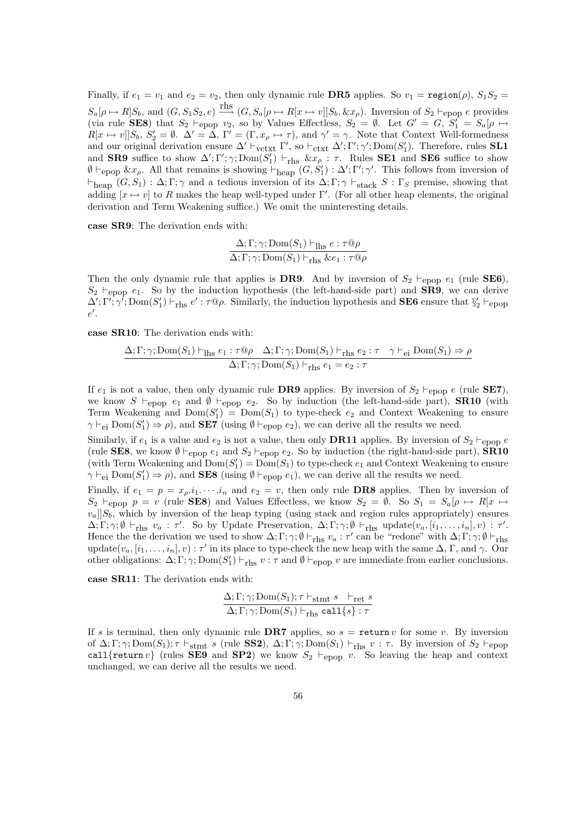Finally, if  $e_1 = v_1$  and  $e_2 = v_2$ , then only dynamic rule **DR5** applies. So  $v_1 = \text{region}(\rho)$ ,  $S_1S_2 =$  $S_a[\rho \mapsto R]S_b$ , and  $(G, S_1S_2, e) \stackrel{\text{rhs}}{\longrightarrow} (G, S_a[\rho \mapsto R[x \mapsto v]]S_b, \& x_{\rho})$ . Inversion of  $S_2 \vdash_{\text{epop}} e$  provides (via rule **SE8**) that  $S_2 \vdash_{\text{epop}} v_2$ , so by Values Effectless,  $S_2 = \emptyset$ . Let  $G' = G$ ,  $S'_1 = S_a[\rho \mapsto$  $R[x \mapsto v]]S_b$ ,  $S'_2 = \emptyset$ .  $\Delta' = \overline{\Delta}$ ,  $\Gamma' = (\Gamma, x_{\rho} \mapsto \tau)$ , and  $\gamma' = \gamma$ . Note that Context Well-formedness and our original derivation ensure  $\Delta' \vdash_{\text{vctxt}} \Gamma'$ , so  $\vdash_{\text{ctxt}} \Delta'; \Gamma'; \gamma'; \text{Dom}(S'_1)$ . Therefore, rules **SL1** and **SR9** suffice to show  $\Delta'$ ; Γ';  $\gamma$ ; Dom( $S'_1$ )  $\vdash_{\text{rhs}} \&x_\rho : \tau$ . Rules **SE1** and **SE6** suffice to show  $\emptyset \vdash_{\text{epop}} \&x_{\rho}$ . All that remains is showing  $\vdash_{\text{heap}}(G, S'_1) : \Delta'; \Gamma'; \gamma'.$  This follows from inversion of  $\vdash_{\text{heap}} (G, S_1) : \Delta; \Gamma; \gamma$  and a tedious inversion of its  $\Delta; \Gamma; \gamma \vdash_{\text{stack}} S : \Gamma_S$  premise, showing that adding  $[x \mapsto v]$  to R makes the heap well-typed under Γ'. (For all other heap elements, the original derivation and Term Weakening suffice.) We omit the uninteresting details.

case SR9: The derivation ends with:

$$
\frac{\Delta; \Gamma; \gamma; \text{Dom}(S_1) \vdash_{\text{Ihs}} e : \tau @ \rho}{\Delta; \Gamma; \gamma; \text{Dom}(S_1) \vdash_{\text{rhs}} \& e_1 : \tau @ \rho}
$$

Then the only dynamic rule that applies is DR9. And by inversion of  $S_2 \vdash_{\text{epop}} e_1$  (rule SE6),  $S_2 \vdash_{\text{epop}} e_1$ . So by the induction hypothesis (the left-hand-side part) and **SR9**, we can derive  $\Delta'$ ;  $\Gamma'$ ;  $\gamma'$ ;  $\text{Dom}(S'_1) \vdash_{\text{rhs}} e' : \tau \mathbb{Q}\rho$ . Similarly, the induction hypothesis and **SE6** ensure that  $\S_2' \vdash_{\text{epop}}$  $e'$ .

case SR10: The derivation ends with:

$$
\frac{\Delta; \Gamma; \gamma; \text{Dom}(S_1) \vdash_{\text{Ihs}} e_1 : \tau \textcircled{a} \rho \quad \Delta; \Gamma; \gamma; \text{Dom}(S_1) \vdash_{\text{rhs}} e_2 : \tau \quad \gamma \vdash_{\text{ei}} \text{Dom}(S_1) \Rightarrow \rho}{\Delta; \Gamma; \gamma; \text{Dom}(S_1) \vdash_{\text{rhs}} e_1 = e_2 : \tau}
$$

If  $e_1$  is not a value, then only dynamic rule **DR9** applies. By inversion of  $S_2 \vdash_{\text{FDD}} e$  (rule **SE7**), we know S  $\vdash_{\text{epop}} e_1$  and  $\emptyset \vdash_{\text{epop}} e_2$ . So by induction (the left-hand-side part), **SR10** (with Term Weakening and  $Dom(S'_1) = Dom(S_1)$  to type-check  $e_2$  and Context Weakening to ensure  $\gamma \vdash_{\text{ei}} \text{Dom}(S_1') \Rightarrow \rho$ , and **SE7** (using  $\emptyset \vdash_{\text{epop}} e_2$ ), we can derive all the results we need.

Similarly, if  $e_1$  is a value and  $e_2$  is not a value, then only **DR11** applies. By inversion of  $S_2 \vdash_{\text{epop}} e$ (rule SE8, we know  $\emptyset \vdash_{\text{epop}} e_1$  and  $S_2 \vdash_{\text{epop}} e_2$ . So by induction (the right-hand-side part),  $\overline{\text{SR10}}$ (with Term Weakening and  $Dom(S_1) = Dom(S_1)$  to type-check  $e_1$  and Context Weakening to ensure  $\gamma \vdash_{\text{ei}} \text{Dom}(S_1') \Rightarrow \rho$ , and **SE8** (using  $\emptyset \vdash_{\text{epop}} e_1$ ), we can derive all the results we need.

Finally, if  $e_1 = p = x_{\rho} \cdot i_1 \cdots i_n$  and  $e_2 = v$ , then only rule **DR8** applies. Then by inversion of  $S_2 \vdash_{\text{epop}} p = v \text{ (rule }$  SE8) and Values Effectless, we know  $S_2 = \emptyset$ . So  $S_1 = S_a[\rho \mapsto R[x \mapsto$  $[v_a]]S_b$ , which by inversion of the heap typing (using stack and region rules appropriately) ensures  $\Delta; \Gamma; \gamma; \emptyset \vdash_{\text{rhs}} v_a : \tau'.$  So by Update Preservation,  $\Delta; \Gamma; \gamma; \emptyset \vdash_{\text{rhs}} \text{update}(v_a, [i_1, \ldots, i_n], v) : \tau'.$ Hence the the derivation we used to show  $\Delta; \Gamma; \gamma; \emptyset \vdash_{\text{rhs}} v_a : \tau'$  can be "redone" with  $\Delta; \Gamma; \gamma; \emptyset \vdash_{\text{rhs}}$ update $(v_a, [i_1, \ldots, i_n], v) : \tau'$  in its place to type-check the new heap with the same  $\Delta$ ,  $\Gamma$ , and  $\gamma$ . Our other obligations:  $\Delta; \Gamma; \gamma; \text{Dom}(S_1') \vdash_{\text{rhs}} v : \tau$  and  $\emptyset \vdash_{\text{epop}} v$  are immediate from earlier conclusions.

case SR11: The derivation ends with:

$$
\frac{\Delta; \Gamma; \gamma; \text{Dom}(S_1); \tau \vdash_{\text{stmt } S} \vdash_{\text{ret } S}}{\Delta; \Gamma; \gamma; \text{Dom}(S_1) \vdash_{\text{rhs }} \text{call}\{s\} : \tau}
$$

If s is terminal, then only dynamic rule DR7 applies, so  $s = \text{return } v$  for some v. By inversion of  $\Delta; \Gamma; \gamma; \text{Dom}(S_1); \tau \vdash_{\text{stmt}} s$  (rule SS2),  $\Delta; \Gamma; \gamma; \text{Dom}(S_1) \vdash_{\text{rhs}} v : \tau$ . By inversion of  $S_2 \vdash_{\text{epop}}$ call {return v} (rules SE9 and SP2) we know  $S_2 \vdash_{\text{epop}} v$ . So leaving the heap and context unchanged, we can derive all the results we need.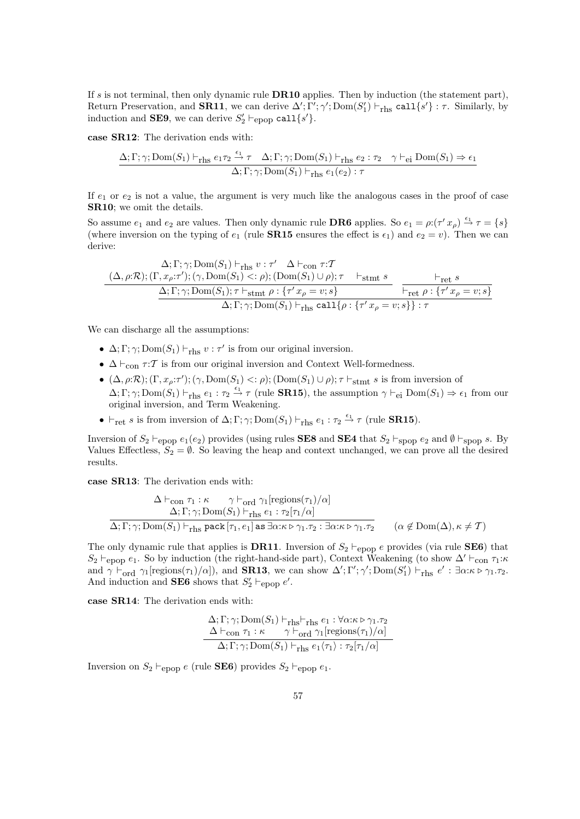If s is not terminal, then only dynamic rule **DR10** applies. Then by induction (the statement part), Return Preservation, and **SR11**, we can derive  $\Delta'$ ;  $\Gamma'$ ;  $\gamma'$ ;  $\text{Dom}(S'_1) \vdash_{\text{rhs}} \text{call}\{s'\}$ :  $\tau$ . Similarly, by induction and **SE9**, we can derive  $S'_2 \vdash_{\text{epop}} \text{call}\{s'\}.$ 

case SR12: The derivation ends with:

$$
\frac{\Delta; \Gamma; \gamma; \text{Dom}(S_1) \vdash_{\text{rhs}} e_1 \tau_2 \xrightarrow{\epsilon_1} \tau \Delta; \Gamma; \gamma; \text{Dom}(S_1) \vdash_{\text{rhs}} e_2 : \tau_2 \gamma \vdash_{\text{ei}} \text{Dom}(S_1) \Rightarrow \epsilon_1}{\Delta; \Gamma; \gamma; \text{Dom}(S_1) \vdash_{\text{rhs}} e_1(e_2) : \tau}
$$

If  $e_1$  or  $e_2$  is not a value, the argument is very much like the analogous cases in the proof of case SR10; we omit the details.

So assume  $e_1$  and  $e_2$  are values. Then only dynamic rule **DR6** applies. So  $e_1 = \rho: (\tau' x_\rho) \stackrel{\epsilon_1}{\rightarrow} \tau = \{s\}$ (where inversion on the typing of  $e_1$  (rule **SR15** ensures the effect is  $\epsilon_1$ ) and  $e_2 = v$ ). Then we can derive:

$$
\frac{\Delta; \Gamma; \gamma; \text{Dom}(S_1) \vdash_{\text{rhs}} v : \tau' \quad \Delta \vdash_{\text{con}} \tau : T}{\Delta; \Gamma; \gamma; \text{Dom}(S_1) \langle \gamma, \text{Dom}(S_1) \rangle \langle \gamma \rangle}; \text{ (Dom}(S_1) \cup \rho); \tau \quad \text{F}_{\text{stmt}} \ s} \n\frac{\Delta; \Gamma; \gamma; \text{Dom}(S_1); \tau \vdash_{\text{stmt}} \rho : \{\tau' x_\rho = v; s\}}{\Delta; \Gamma; \gamma; \text{Dom}(S_1) \vdash_{\text{rhs}} \text{call}\{\rho : \{\tau' x_\rho = v; s\}\} : \tau} \n\frac{\vdash_{\text{ret}} \rho : \{\tau' x_\rho = v; s\}}{\Delta; \Gamma; \gamma; \text{Dom}(S_1) \vdash_{\text{rhs}} \text{call}\{\rho : \{\tau' x_\rho = v; s\}\} : \tau}
$$

We can discharge all the assumptions:

- $\Delta; \Gamma; \gamma; Dom(S_1) \vdash_{\text{rhs}} v : \tau'$  is from our original inversion.
- $\Delta \vdash_{\text{con}} \tau : \mathcal{T}$  is from our original inversion and Context Well-formedness.
- $(\Delta, \rho:\mathcal{R})$ ;  $(\Gamma, x_{\rho}:\tau')$ ;  $(\gamma, \text{Dom}(S_1) < \rho)$ ;  $(\text{Dom}(S_1) \cup \rho)$ ;  $\tau \vdash_{\text{stmt}} s$  is from inversion of  $\Delta; \Gamma; \gamma; \text{Dom}(S_1) \vdash_{\text{rhs}} e_1 : \tau_2 \stackrel{\epsilon_1}{\rightarrow} \tau \text{ (rule SR15), the assumption } \gamma \vdash_{\text{ei}} \text{Dom}(S_1) \Rightarrow \epsilon_1 \text{ from our}$ original inversion, and Term Weakening.
- $\vdash_{\text{ret}} s$  is from inversion of  $\Delta; \Gamma; \gamma; \text{Dom}(S_1) \vdash_{\text{rhs}} e_1 : \tau_2 \stackrel{\epsilon_1}{\rightarrow} \tau$  (rule **SR15**).

Inversion of  $S_2 \vdash_{\text{epop}} e_1(e_2)$  provides (using rules **SE8** and **SE4** that  $S_2 \vdash_{\text{spop}} e_2$  and  $\emptyset \vdash_{\text{spop}} s$ . By Values Effectless,  $S_2 = \emptyset$ . So leaving the heap and context unchanged, we can prove all the desired results.

case SR13: The derivation ends with:

$$
\Delta \vdash_{\text{con } \tau_1 : \kappa} \gamma \vdash_{\text{ord } \gamma_1} [\text{regions}(\tau_1)/\alpha]
$$
  

$$
\Delta; \Gamma; \gamma; \text{Dom}(S_1) \vdash_{\text{rhs } e_1} \epsilon_1 : \tau_2[\tau_1/\alpha]
$$
  

$$
\Delta; \Gamma; \gamma; \text{Dom}(S_1) \vdash_{\text{rhs } \text{pack}} [\tau_1, e_1] \text{ as } \exists \alpha : \kappa \triangleright \gamma_1 . \tau_2 : \exists \alpha : \kappa \triangleright \gamma_1 . \tau_2 \qquad (\alpha \notin \text{Dom}(\Delta), \kappa \neq \mathcal{T})
$$

The only dynamic rule that applies is **DR11**. Inversion of  $S_2 \vdash_{\text{epop}} e$  provides (via rule **SE6**) that  $S_2 \vdash_{\text{epop}} e_1$ . So by induction (the right-hand-side part), Context Weakening (to show  $\Delta' \vdash_{\text{con}} \tau_1:\kappa$ and  $\gamma \vdash_{\text{ord}} \gamma_1[\text{regions}(\tau_1)/\alpha]$ , and **SR13**, we can show  $\Delta'; \Gamma'; \gamma'; \text{Dom}(S'_1) \vdash_{\text{rhs}} e' : \exists \alpha : \kappa \triangleright \gamma_1 \cdot \tau_2$ . And induction and **SE6** shows that  $S'_2 \vdash_{\text{epop}} e'$ .

case SR14: The derivation ends with:

$$
\frac{\Delta; \Gamma; \gamma; \text{Dom}(S_1) \vdash_{\text{rhs}} \vdash_{\text{rhs}} e_1 : \forall \alpha : \kappa \triangleright \gamma_1 . \tau_2}{\Delta \vdash_{\text{con}} \tau_1 : \kappa \quad \gamma \vdash_{\text{ord}} \gamma_1 [\text{regions}(\tau_1)/\alpha]}
$$

$$
\Delta; \Gamma; \gamma; \text{Dom}(S_1) \vdash_{\text{rhs}} e_1 \langle \tau_1 \rangle : \tau_2[\tau_1/\alpha]
$$

Inversion on  $S_2 \vdash_{\text{epop}} e$  (rule **SE6**) provides  $S_2 \vdash_{\text{epop}} e_1$ .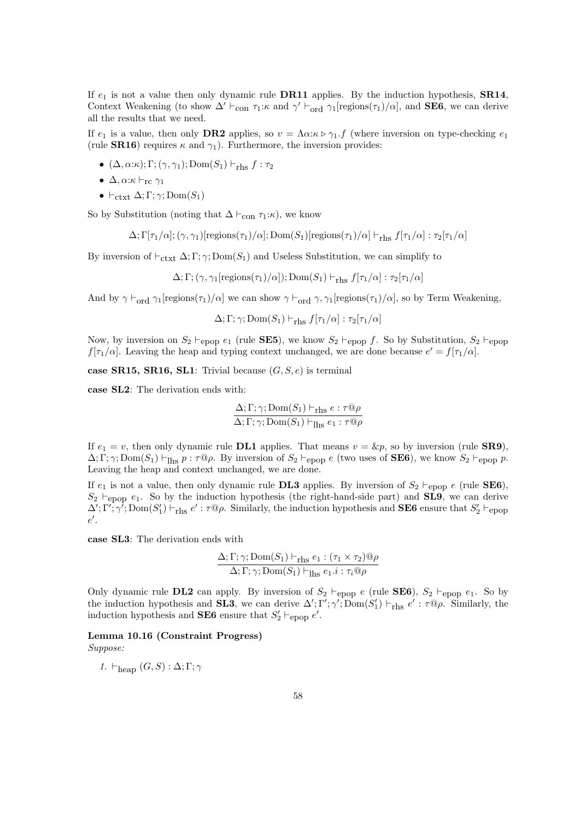If  $e_1$  is not a value then only dynamic rule **DR11** applies. By the induction hypothesis, **SR14**, Context Weakening (to show  $\Delta' \vdash_{con} \tau_1:\kappa$  and  $\gamma' \vdash_{ord} \gamma_1$ [regions( $\tau_1$ )/ $\alpha$ ], and **SE6**, we can derive all the results that we need.

If  $e_1$  is a value, then only **DR2** applies, so  $v = \Lambda \alpha : \kappa \triangleright \gamma_1 \cdot f$  (where inversion on type-checking  $e_1$ (rule **SR16**) requires  $\kappa$  and  $\gamma_1$ ). Furthermore, the inversion provides:

- $(\Delta, \alpha:\kappa); \Gamma; (\gamma, \gamma_1); \text{Dom}(S_1) \vdash_{\text{rhs}} f : \tau_2$
- $\Delta$ ,  $\alpha$ : $\kappa \vdash_{\rm rc} \gamma_1$
- $\vdash_{\text{ctxt}} \Delta; \Gamma; \gamma; \text{Dom}(S_1)$

So by Substitution (noting that  $\Delta \vdash_{con} \tau_1:\kappa$ ), we know

$$
\Delta; \Gamma[\tau_1/\alpha]; (\gamma, \gamma_1)[\text{regions}(\tau_1)/\alpha]; \text{Dom}(S_1)[\text{regions}(\tau_1)/\alpha] \vdash_{\text{rhs}} f[\tau_1/\alpha]: \tau_2[\tau_1/\alpha]
$$

By inversion of  $\vdash_{\text{ctxt}} \Delta; \Gamma; \gamma; \text{Dom}(S_1)$  and Useless Substitution, we can simplify to

$$
\Delta
$$
;  $\Gamma$ ;  $(\gamma, \gamma_1[\text{regions}(\tau_1)/\alpha])$ ;  $\text{Dom}(S_1) \vdash_{\text{rhs}} f[\tau_1/\alpha] : \tau_2[\tau_1/\alpha]$ 

And by  $\gamma \vdash_{ord} \gamma_1$ [regions( $\tau_1$ )/ $\alpha$ ] we can show  $\gamma \vdash_{ord} \gamma$ ,  $\gamma_1$ [regions( $\tau_1$ )/ $\alpha$ ], so by Term Weakening,

 $\Delta; \Gamma; \gamma; \text{Dom}(S_1) \vdash_{\text{rhs}} f[\tau_1/\alpha] : \tau_2[\tau_1/\alpha]$ 

Now, by inversion on  $S_2 \vdash_{\text{epop}} e_1$  (rule **SE5**), we know  $S_2 \vdash_{\text{epop}} f$ . So by Substitution,  $S_2 \vdash_{\text{epop}} f$  $f[\tau_1/\alpha]$ . Leaving the heap and typing context unchanged, we are done because  $e' = f[\tau_1/\alpha]$ .

case SR15, SR16, SL1: Trivial because  $(G, S, e)$  is terminal

case SL2: The derivation ends with:

$$
\frac{\Delta; \Gamma; \gamma; \text{Dom}(S_1) \vdash_{\text{rhs}} e : \tau @ \rho}{\Delta; \Gamma; \gamma; \text{Dom}(S_1) \vdash_{\text{lls}} e_1 : \tau @ \rho}
$$

If  $e_1 = v$ , then only dynamic rule **DL1** applies. That means  $v = \&p$ , so by inversion (rule **SR9**),  $\Delta; \Gamma; \gamma; \text{Dom}(S_1) \vdash_{\text{Ihs}} p : \tau \mathbb{Q} \rho$ . By inversion of  $S_2 \vdash_{\text{epop}} e$  (two uses of **SE6**), we know  $S_2 \vdash_{\text{epop}} p$ . Leaving the heap and context unchanged, we are done.

If  $e_1$  is not a value, then only dynamic rule **DL3** applies. By inversion of  $S_2 \vdash_{\text{FDD}} e$  (rule **SE6**),  $S_2 \vdash_{\text{epop}} e_1$ . So by the induction hypothesis (the right-hand-side part) and **SL9**, we can derive  $\Delta'$ ; Γ';  $\gamma'$ ; Dom(S'<sub>1</sub>)  $\vdash_{\text{rhs}} e' : \tau \circledcirc \rho$ . Similarly, the induction hypothesis and **SE6** ensure that  $S'_2 \vdash_{\text{epop}}$  $e'$ .

case SL3: The derivation ends with

$$
\frac{\Delta; \Gamma; \gamma; \text{Dom}(S_1) \vdash_{\text{rhs}} e_1 : (\tau_1 \times \tau_2) @ \rho}{\Delta; \Gamma; \gamma; \text{Dom}(S_1) \vdash_{\text{lls}} e_1 \ldots : \tau_i @ \rho}
$$

Only dynamic rule **DL2** can apply. By inversion of  $S_2 \vdash_{\text{epop}} e$  (rule **SE6**),  $S_2 \vdash_{\text{epop}} e_1$ . So by the induction hypothesis and **SL3**, we can derive  $\Delta'$ ;  $\Gamma'$ ;  $\gamma'$ ;  $\overline{\mathrm{Dom}}(S'_1)$   $\vdash_{\text{rhs}} e' : \tau \mathbb{Q}\rho$ . Similarly, the induction hypothesis and **SE6** ensure that  $S_2' \vdash_{\text{epop}} e'$ .

## Lemma 10.16 (Constraint Progress)

Suppose:

1.  $\vdash_{\text{hean}} (G, S) : \Delta; \Gamma; \gamma$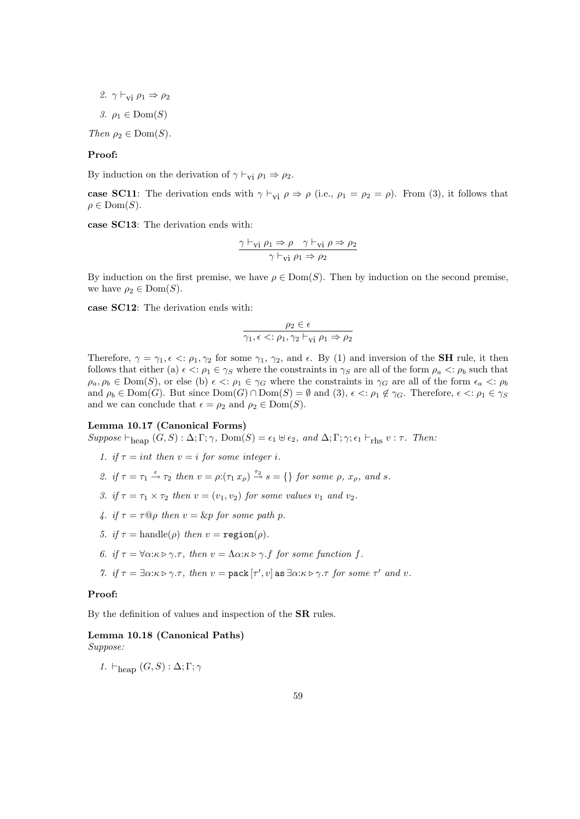2.  $\gamma \vdash_{vi} \rho_1 \Rightarrow \rho_2$ 

3.  $\rho_1 \in \text{Dom}(S)$ 

Then  $\rho_2 \in \text{Dom}(S)$ .

## Proof:

By induction on the derivation of  $\gamma \vdash_{vi} \rho_1 \Rightarrow \rho_2$ .

case SC11: The derivation ends with  $\gamma \vdash_{vi} \rho \Rightarrow \rho$  (i.e.,  $\rho_1 = \rho_2 = \rho$ ). From (3), it follows that  $\rho \in Dom(S)$ .

case SC13: The derivation ends with:

$$
\frac{\gamma \vdash_{vi} \rho_1 \Rightarrow \rho \quad \gamma \vdash_{vi} \rho \Rightarrow \rho_2}{\gamma \vdash_{vi} \rho_1 \Rightarrow \rho_2}
$$

By induction on the first premise, we have  $\rho \in \text{Dom}(S)$ . Then by induction on the second premise, we have  $\rho_2 \in \text{Dom}(S)$ .

case SC12: The derivation ends with:

$$
\dfrac{\rho_2 \in \epsilon}{\gamma_1,\epsilon <: \rho_1, \gamma_2 \vdash_{\mathrm{vi}} \rho_1 \Rightarrow \rho_2}
$$

Therefore,  $\gamma = \gamma_1, \epsilon \leq \rho_1, \gamma_2$  for some  $\gamma_1, \gamma_2$ , and  $\epsilon$ . By (1) and inversion of the **SH** rule, it then follows that either (a)  $\epsilon \le \rho_1 \in \gamma_S$  where the constraints in  $\gamma_S$  are all of the form  $\rho_a \le \rho_b$  such that  $\rho_a, \rho_b \in \text{Dom}(S)$ , or else (b)  $\epsilon \leq \rho_1 \in \gamma_G$  where the constraints in  $\gamma_G$  are all of the form  $\epsilon_a \leq \rho_b$ and  $\rho_b \in \text{Dom}(G)$ . But since  $\text{Dom}(G) \cap \text{Dom}(S) = \emptyset$  and  $(3)$ ,  $\epsilon \leq \rho_1 \notin \gamma_G$ . Therefore,  $\epsilon \leq \rho_1 \in \gamma_S$ and we can conclude that  $\epsilon = \rho_2$  and  $\rho_2 \in \text{Dom}(S)$ .

#### Lemma 10.17 (Canonical Forms)

 $Suppose \vdash_{\text{heap}} (G, S) : \Delta; \Gamma; \gamma, \text{Dom}(S) = \epsilon_1 \uplus \epsilon_2, \text{ and } \Delta; \Gamma; \gamma; \epsilon_1 \vdash_{\text{rhs}} v : \tau. \text{ Then:}$ 

- 1. if  $\tau = int$  then  $v = i$  for some integer i.
- 2. if  $\tau = \tau_1 \stackrel{\epsilon}{\rightarrow} \tau_2$  then  $v = \rho: (\tau_1 x_\rho) \stackrel{\tau_2}{\rightarrow} s = \{\}\$  for some  $\rho, x_\rho$ , and s.
- 3. if  $\tau = \tau_1 \times \tau_2$  then  $v = (v_1, v_2)$  for some values  $v_1$  and  $v_2$ .
- 4. if  $\tau = \tau \mathbb{Q} \rho$  then  $v = \&p$  for some path p.
- 5. if  $\tau = \text{handle}(\rho)$  then  $v = \text{region}(\rho)$ .
- 6. if  $\tau = \forall \alpha : \kappa \triangleright \gamma . \tau$ , then  $v = \Lambda \alpha : \kappa \triangleright \gamma . f$  for some function f.
- 7. if  $\tau = \exists \alpha : \kappa \triangleright \gamma \cdot \tau$ , then  $v = \text{pack}[\tau', v]$  as  $\exists \alpha : \kappa \triangleright \gamma \cdot \tau$  for some  $\tau'$  and  $v$ .

#### Proof:

By the definition of values and inspection of the SR rules.

# Lemma 10.18 (Canonical Paths)

Suppose:

1.  $\vdash_{\text{heap}} (G, S) : \Delta; \Gamma; \gamma$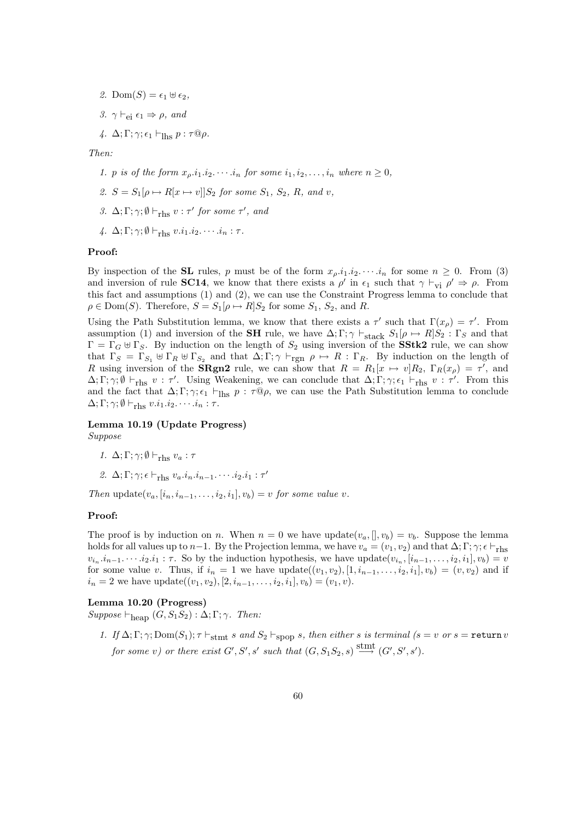- 2. Dom $(S) = \epsilon_1 \uplus \epsilon_2$ ,
- 3.  $\gamma \vdash_{\alpha i} \epsilon_1 \Rightarrow \rho$ , and

4.  $\Delta; \Gamma; \gamma; \epsilon_1 \vdash_{\text{lhs}} p : \tau \mathbb{Q} \rho.$ 

Then:

- 1. p is of the form  $x_o.i_1.i_2.\cdots.i_n$  for some  $i_1, i_2, \ldots, i_n$  where  $n \geq 0$ ,
- 2.  $S = S_1[\rho \mapsto R[x \mapsto v]]S_2$  for some  $S_1$ ,  $S_2$ , R, and v,
- 3.  $\Delta; \Gamma; \gamma; \emptyset \vdash_{\text{rhs}} v : \tau'$  for some  $\tau'$ , and
- 4.  $\Delta; \Gamma; \gamma; \emptyset \vdash_{\text{rhs}} v.i_1.i_2.\cdots.i_n : \tau$ .

#### Proof:

By inspection of the **SL** rules, p must be of the form  $x_0, i_1, i_2, \cdots, i_n$  for some  $n \ge 0$ . From (3) and inversion of rule **SC14**, we know that there exists a  $\rho'$  in  $\epsilon_1$  such that  $\gamma \vdash_{\mathbf{vi}} \rho' \Rightarrow \rho$ . From this fact and assumptions (1) and (2), we can use the Constraint Progress lemma to conclude that  $\rho \in \text{Dom}(S)$ . Therefore,  $S = S_1[\rho \mapsto R]S_2$  for some  $S_1, S_2$ , and R.

Using the Path Substitution lemma, we know that there exists a  $\tau'$  such that  $\Gamma(x_{\rho}) = \tau'$ . From assumption (1) and inversion of the **SH** rule, we have  $\Delta; \Gamma; \gamma \vdash_{stack} S_1[\rho \mapsto R]S_2 : \Gamma_S$  and that  $\Gamma = \Gamma_G \oplus \Gamma_S$ . By induction on the length of  $S_2$  using inversion of the **SStk2** rule, we can show that  $\Gamma_S = \Gamma_{S_1} \oplus \Gamma_R \oplus \Gamma_{S_2}$  and that  $\Delta; \Gamma; \gamma \vdash_{\text{rgn}} \rho \mapsto R : \Gamma_R$ . By induction on the length of R using inversion of the **SRgn2** rule, we can show that  $R = R_1[x \mapsto v]R_2$ ,  $\Gamma_R(x_\rho) = \tau'$ , and  $\Delta; \Gamma; \gamma; \emptyset \vdash_{\text{rhs}} v : \tau'.$  Using Weakening, we can conclude that  $\Delta; \Gamma; \gamma; \epsilon_1 \vdash_{\text{rhs}} v : \tau'.$  From this and the fact that  $\Delta; \Gamma; \gamma; \epsilon_1 \vdash_{\text{Ihs}} p : \tau \mathbb{Q} \rho$ , we can use the Path Substitution lemma to conclude  $\Delta; \Gamma; \gamma; \emptyset \vdash_{\text{rhs}} v.i_1.i_2.\cdots.i_n : \tau.$ 

#### Lemma 10.19 (Update Progress)

Suppose

- 1.  $\Delta; \Gamma; \gamma; \emptyset \vdash_{\text{rhs}} v_a : \tau$
- 2.  $\Delta; \Gamma; \gamma; \epsilon \vdash_{\text{rhs}} v_a.i_n.i_{n-1}.\cdots.i_2.i_1 : \tau'$

Then update $(v_a, [i_n, i_{n-1}, \ldots, i_2, i_1], v_b) = v$  for some value v.

#### Proof:

The proof is by induction on n. When  $n = 0$  we have update $(v_a, []$ ,  $v_b) = v_b$ . Suppose the lemma holds for all values up to n−1. By the Projection lemma, we have  $v_a = (v_1, v_2)$  and that  $\Delta; \Gamma; \gamma; \epsilon \vdash_{\text{rhs}}$  $v_{i_n}.i_{n-1}. \dots i_2.i_1 : \tau$ . So by the induction hypothesis, we have update $(v_{i_n}, [i_{n-1}, \dots, i_2, i_1], v_b) = v_a$ for some value v. Thus, if  $i_n = 1$  we have  $update((v_1, v_2), [1, i_{n-1}, \ldots, i_2, i_1], v_b) = (v, v_2)$  and if  $i_n = 2$  we have update $((v_1, v_2), [2, i_{n-1}, \ldots, i_2, i_1], v_b) = (v_1, v).$ 

#### Lemma 10.20 (Progress)

 $Suppose \vdash_{\text{heap}} (G, S_1 S_2) : \Delta; \Gamma; \gamma$ . Then:

1. If  $\Delta; \Gamma; \gamma; Dom(S_1); \tau \vdash_{\text{stmt}} s$  and  $S_2 \vdash_{\text{SDOD}} s$ , then either s is terminal (s = v or s = return v for some v) or there exist  $G', S', s'$  such that  $(G, S_1S_2, s) \stackrel{\text{stmt}}{\longrightarrow} (G', S', s').$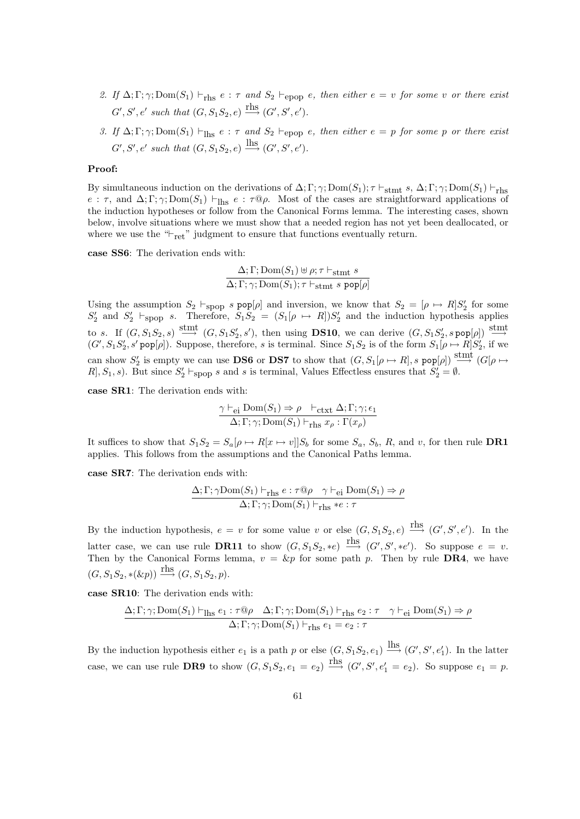- 2. If  $\Delta; \Gamma; \gamma; Dom(S_1) \vdash_{\text{rhs}} e : \tau$  and  $S_2 \vdash_{\text{epop}} e$ , then either  $e = v$  for some v or there exist  $G', S', e'$  such that  $(G, S_1S_2, e) \stackrel{\text{rhs}}{\longrightarrow} (G', S', e').$
- 3. If  $\Delta; \Gamma; \gamma; Dom(S_1) \vdash_{\text{Ihs}} e : \tau$  and  $S_2 \vdash_{\text{epop}} e$ , then either  $e = p$  for some p or there exist  $G', S', e'$  such that  $(G, S_1S_2, e) \stackrel{\text{lhs}}{\longrightarrow} (G', S', e').$

#### Proof:

By simultaneous induction on the derivations of  $\Delta; \Gamma; \gamma; Dom(S_1); \tau \vdash_{\text{stmt}} s, \Delta; \Gamma; \gamma; Dom(S_1) \vdash_{\text{rhs}}$ e :  $\tau$ , and  $\Delta; \Gamma; \gamma; Dom(S_1) \vdash_{\text{Ihs}} e : \tau \mathbb{Q}\rho$ . Most of the cases are straightforward applications of the induction hypotheses or follow from the Canonical Forms lemma. The interesting cases, shown below, involve situations where we must show that a needed region has not yet been deallocated, or where we use the " $\vdash_{\text{ret}}$ " judgment to ensure that functions eventually return.

case SS6: The derivation ends with:

$$
\frac{\Delta; \Gamma; \text{Dom}(S_1) \uplus \rho; \tau \vdash_{\text{stmt } S}}{\Delta; \Gamma; \gamma; \text{Dom}(S_1); \tau \vdash_{\text{stmt } S} \text{pop}[\rho]}
$$

Using the assumption  $S_2 \vdash_{\text{spop}} s \text{ pop}[\rho]$  and inversion, we know that  $S_2 = [\rho \mapsto R]S'_2$  for some  $S'_2$  and  $S'_2$   $\vdash$ spop s. Therefore,  $S_1S_2 = (S_1[\rho \mapsto R])S'_2$  and the induction hypothesis applies to s. If  $(G, S_1S_2, s) \stackrel{\text{stmt}}{\longrightarrow} (G, S_1S'_2, s')$ , then using **DS10**, we can derive  $(G, S_1S'_2, s \text{ pop}[\rho]) \stackrel{\text{stmt}}{\longrightarrow}$  $(G', S_1 S_2', s' \text{ pop}[\rho])$ . Suppose, therefore, s is terminal. Since  $S_1 S_2$  is of the form  $S_1[\rho \mapsto R]S_2'$ , if we can show  $S'_2$  is empty we can use **DS6** or **DS7** to show that  $(G, S_1[\rho \mapsto R], s \text{ pop}[\rho]) \stackrel{\text{stmt}}{\longrightarrow} (G[\rho \mapsto \text{ pop}(\rho])$ R, S<sub>1</sub>, s). But since  $S_2' \vdash_{\text{spop}} s$  and s is terminal, Values Effectless ensures that  $S_2' = \emptyset$ .

case SR1: The derivation ends with:

$$
\frac{\gamma \vdash_{\mathsf{ei}} \mathrm{Dom}(S_1) \Rightarrow \rho \vdash_{\mathsf{ctxt}} \Delta; \Gamma; \gamma; \epsilon_1}{\Delta; \Gamma; \gamma; \mathrm{Dom}(S_1) \vdash_{\mathsf{rhs}} x_{\rho} : \Gamma(x_{\rho})}
$$

It suffices to show that  $S_1S_2 = S_a[\rho \mapsto R[x \mapsto v]]S_b$  for some  $S_a$ ,  $S_b$ , R, and v, for then rule **DR1** applies. This follows from the assumptions and the Canonical Paths lemma.

case SR7: The derivation ends with:

$$
\frac{\Delta; \Gamma; \gamma \text{Dom}(S_1) \vdash_{\text{rhs}} e : \tau \text{@} \rho \quad \gamma \vdash_{\text{ei}} \text{Dom}(S_1) \Rightarrow \rho}{\Delta; \Gamma; \gamma; \text{Dom}(S_1) \vdash_{\text{rhs}} * e : \tau}
$$

By the induction hypothesis,  $e = v$  for some value v or else  $(G, S_1S_2, e) \stackrel{\text{rhs}}{\longrightarrow} (G', S', e')$ . In the latter case, we can use rule **DR11** to show  $(G, S_1S_2, *e) \xrightarrow{\text{rhs}} (G', S', *e')$ . So suppose  $e = v$ . Then by the Canonical Forms lemma,  $v = \&p$  for some path p. Then by rule **DR4**, we have  $(G, S_1S_2, *(\&p)) \xrightarrow{\text{rhs}} (G, S_1S_2, p).$ 

case SR10: The derivation ends with:

$$
\frac{\Delta; \Gamma; \gamma; \text{Dom}(S_1) \vdash_{\text{Ihs}} e_1 : \tau @ \rho \quad \Delta; \Gamma; \gamma; \text{Dom}(S_1) \vdash_{\text{rhs}} e_2 : \tau \quad \gamma \vdash_{\text{ei}} \text{Dom}(S_1) \Rightarrow \rho}{\Delta; \Gamma; \gamma; \text{Dom}(S_1) \vdash_{\text{rhs}} e_1 = e_2 : \tau}
$$

By the induction hypothesis either  $e_1$  is a path p or else  $(G, S_1S_2, e_1) \stackrel{\text{lls}}{\longrightarrow} (G', S', e'_1)$ . In the latter case, we can use rule DR9 to show  $(G, S_1S_2, e_1 = e_2) \xrightarrow{\text{rhs}} (G', S', e'_1 = e_2)$ . So suppose  $e_1 = p$ .